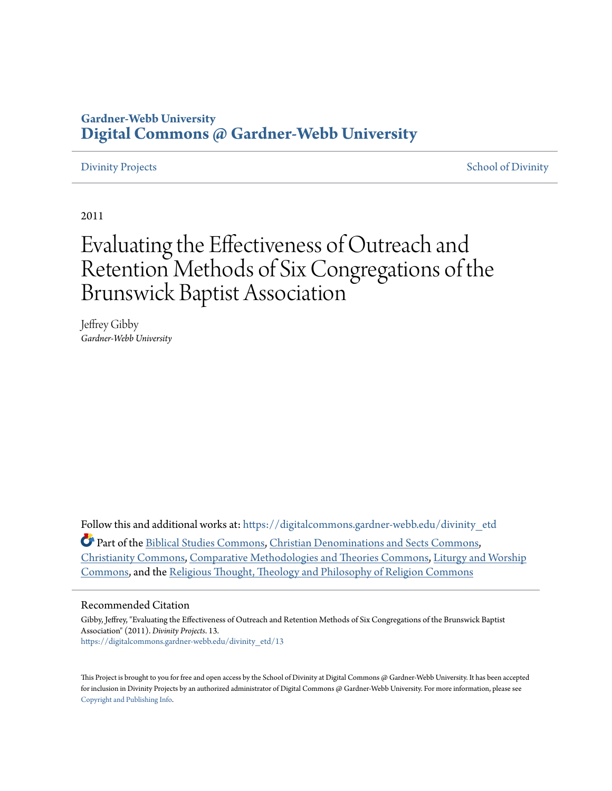# **Gardner-Webb University [Digital Commons @ Gardner-Webb University](https://digitalcommons.gardner-webb.edu?utm_source=digitalcommons.gardner-webb.edu%2Fdivinity_etd%2F13&utm_medium=PDF&utm_campaign=PDFCoverPages)**

[Divinity Projects](https://digitalcommons.gardner-webb.edu/divinity_etd?utm_source=digitalcommons.gardner-webb.edu%2Fdivinity_etd%2F13&utm_medium=PDF&utm_campaign=PDFCoverPages) [School of Divinity](https://digitalcommons.gardner-webb.edu/divinity?utm_source=digitalcommons.gardner-webb.edu%2Fdivinity_etd%2F13&utm_medium=PDF&utm_campaign=PDFCoverPages) Projects School of Divinity Projects School of Divinity Projects School of Divinity School of Divinity School of Divinity School of Divinity School of Divinity School of Divinity School

2011

# Evaluating the Effectiveness of Outreach and Retention Methods of Six Congregations of the Brunswick Baptist Association

Jeffrey Gibby *Gardner-Webb University*

Follow this and additional works at: [https://digitalcommons.gardner-webb.edu/divinity\\_etd](https://digitalcommons.gardner-webb.edu/divinity_etd?utm_source=digitalcommons.gardner-webb.edu%2Fdivinity_etd%2F13&utm_medium=PDF&utm_campaign=PDFCoverPages)

Part of the [Biblical Studies Commons,](http://network.bepress.com/hgg/discipline/539?utm_source=digitalcommons.gardner-webb.edu%2Fdivinity_etd%2F13&utm_medium=PDF&utm_campaign=PDFCoverPages) [Christian Denominations and Sects Commons](http://network.bepress.com/hgg/discipline/1184?utm_source=digitalcommons.gardner-webb.edu%2Fdivinity_etd%2F13&utm_medium=PDF&utm_campaign=PDFCoverPages), [Christianity Commons](http://network.bepress.com/hgg/discipline/1181?utm_source=digitalcommons.gardner-webb.edu%2Fdivinity_etd%2F13&utm_medium=PDF&utm_campaign=PDFCoverPages), [Comparative Methodologies and Theories Commons](http://network.bepress.com/hgg/discipline/540?utm_source=digitalcommons.gardner-webb.edu%2Fdivinity_etd%2F13&utm_medium=PDF&utm_campaign=PDFCoverPages), [Liturgy and Worship](http://network.bepress.com/hgg/discipline/1188?utm_source=digitalcommons.gardner-webb.edu%2Fdivinity_etd%2F13&utm_medium=PDF&utm_campaign=PDFCoverPages) [Commons,](http://network.bepress.com/hgg/discipline/1188?utm_source=digitalcommons.gardner-webb.edu%2Fdivinity_etd%2F13&utm_medium=PDF&utm_campaign=PDFCoverPages) and the [Religious Thought, Theology and Philosophy of Religion Commons](http://network.bepress.com/hgg/discipline/544?utm_source=digitalcommons.gardner-webb.edu%2Fdivinity_etd%2F13&utm_medium=PDF&utm_campaign=PDFCoverPages)

#### Recommended Citation

Gibby, Jeffrey, "Evaluating the Effectiveness of Outreach and Retention Methods of Six Congregations of the Brunswick Baptist Association" (2011). *Divinity Projects*. 13. [https://digitalcommons.gardner-webb.edu/divinity\\_etd/13](https://digitalcommons.gardner-webb.edu/divinity_etd/13?utm_source=digitalcommons.gardner-webb.edu%2Fdivinity_etd%2F13&utm_medium=PDF&utm_campaign=PDFCoverPages)

This Project is brought to you for free and open access by the School of Divinity at Digital Commons @ Gardner-Webb University. It has been accepted for inclusion in Divinity Projects by an authorized administrator of Digital Commons @ Gardner-Webb University. For more information, please see [Copyright and Publishing Info](https://digitalcommons.gardner-webb.edu/copyright_publishing.html).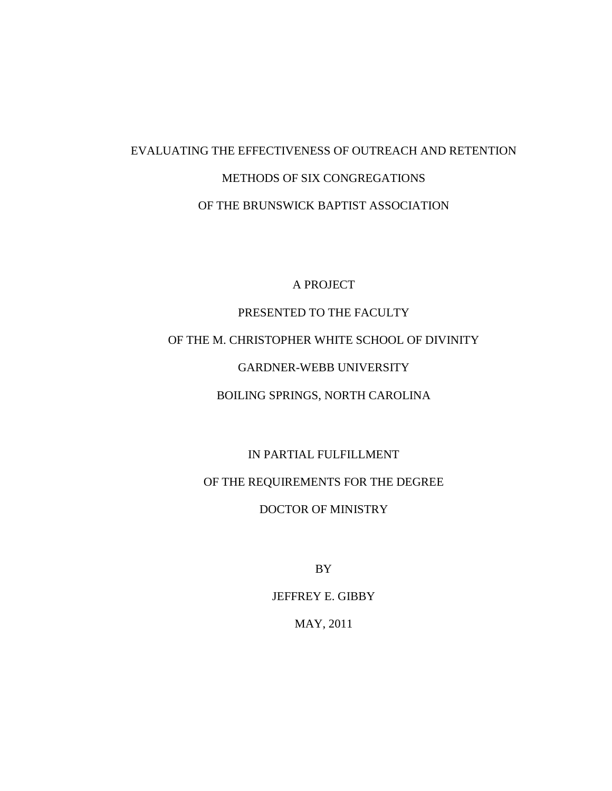# EVALUATING THE EFFECTIVENESS OF OUTREACH AND RETENTION METHODS OF SIX CONGREGATIONS OF THE BRUNSWICK BAPTIST ASSOCIATION

A PROJECT

# PRESENTED TO THE FACULTY OF THE M. CHRISTOPHER WHITE SCHOOL OF DIVINITY GARDNER-WEBB UNIVERSITY BOILING SPRINGS, NORTH CAROLINA

IN PARTIAL FULFILLMENT OF THE REQUIREMENTS FOR THE DEGREE DOCTOR OF MINISTRY

BY

JEFFREY E. GIBBY

MAY, 2011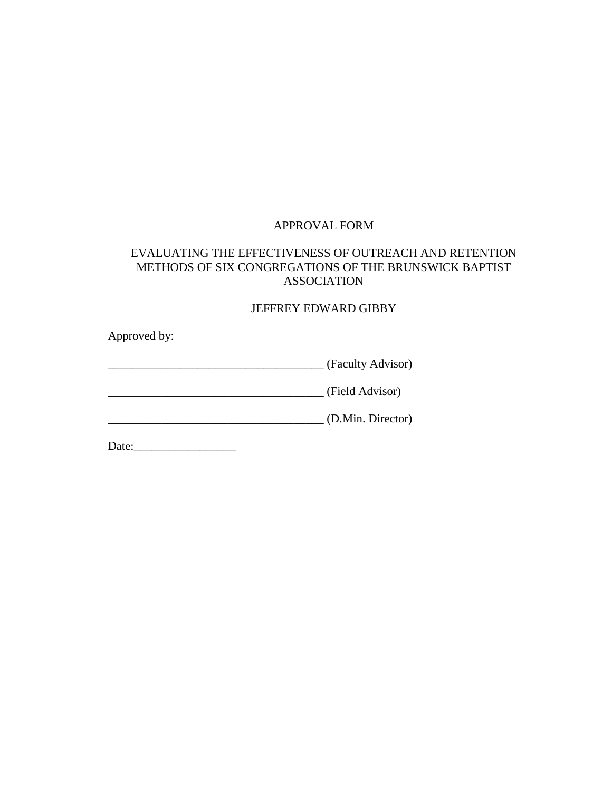# APPROVAL FORM

# EVALUATING THE EFFECTIVENESS OF OUTREACH AND RETENTION METHODS OF SIX CONGREGATIONS OF THE BRUNSWICK BAPTIST ASSOCIATION

# JEFFREY EDWARD GIBBY

Approved by:

\_\_\_\_\_\_\_\_\_\_\_\_\_\_\_\_\_\_\_\_\_\_\_\_\_\_\_\_\_\_\_\_\_\_\_\_ (Faculty Advisor)

\_\_\_\_\_\_\_\_\_\_\_\_\_\_\_\_\_\_\_\_\_\_\_\_\_\_\_\_\_\_\_\_\_\_\_\_ (Field Advisor)

\_\_\_\_\_\_\_\_\_\_\_\_\_\_\_\_\_\_\_\_\_\_\_\_\_\_\_\_\_\_\_\_\_\_\_\_ (D.Min. Director)

Date:\_\_\_\_\_\_\_\_\_\_\_\_\_\_\_\_\_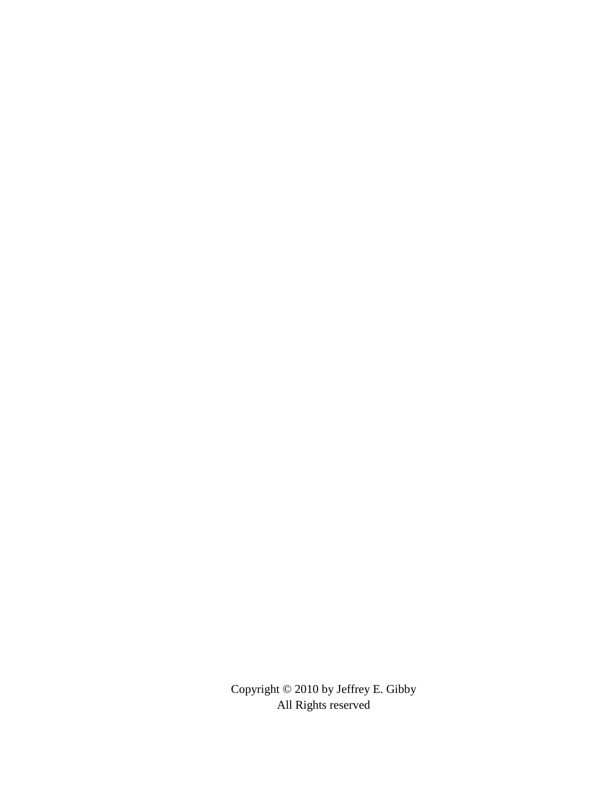Copyright © 2010 by Jeffrey E. Gibby All Rights reserved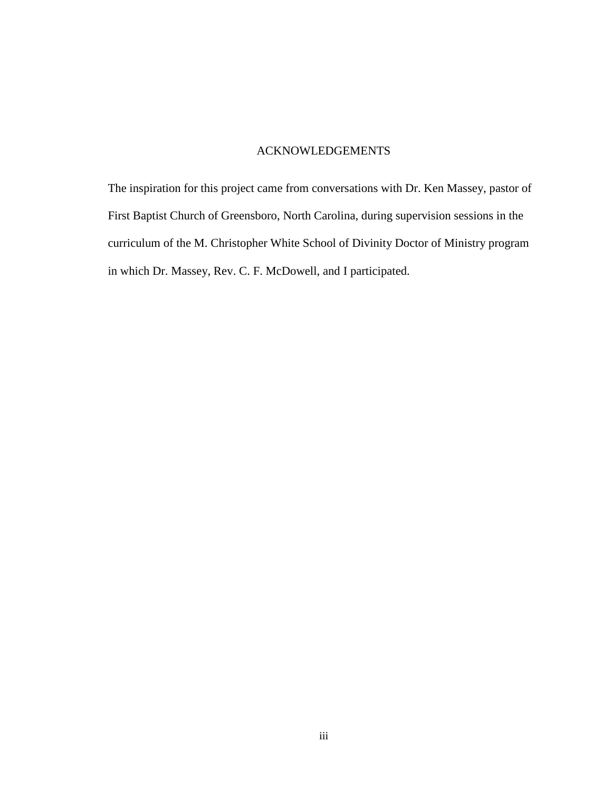# ACKNOWLEDGEMENTS

The inspiration for this project came from conversations with Dr. Ken Massey, pastor of First Baptist Church of Greensboro, North Carolina, during supervision sessions in the curriculum of the M. Christopher White School of Divinity Doctor of Ministry program in which Dr. Massey, Rev. C. F. McDowell, and I participated.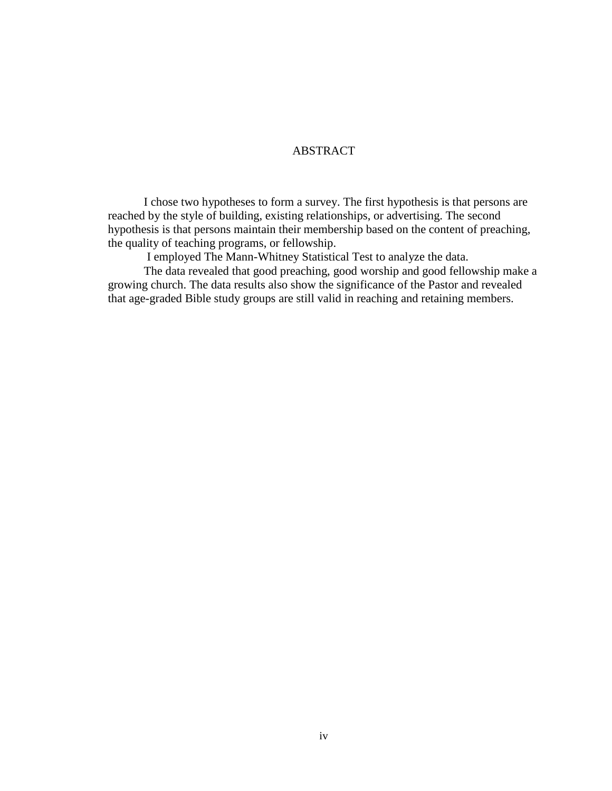# ABSTRACT

I chose two hypotheses to form a survey. The first hypothesis is that persons are reached by the style of building, existing relationships, or advertising. The second hypothesis is that persons maintain their membership based on the content of preaching, the quality of teaching programs, or fellowship.

I employed The Mann-Whitney Statistical Test to analyze the data.

The data revealed that good preaching, good worship and good fellowship make a growing church. The data results also show the significance of the Pastor and revealed that age-graded Bible study groups are still valid in reaching and retaining members.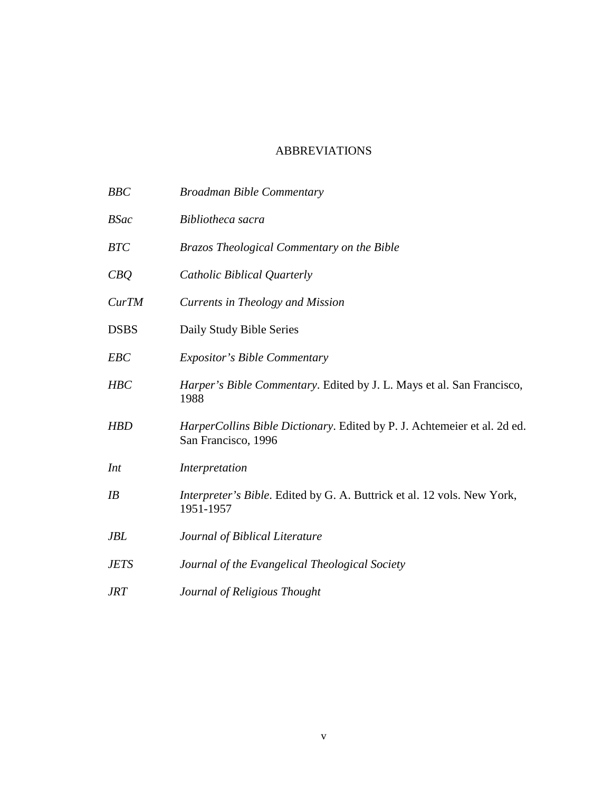# ABBREVIATIONS

| <b>BBC</b>  | <b>Broadman Bible Commentary</b>                                                                |
|-------------|-------------------------------------------------------------------------------------------------|
| <b>BSac</b> | Bibliotheca sacra                                                                               |
| <b>BTC</b>  | Brazos Theological Commentary on the Bible                                                      |
| CBQ         | Catholic Biblical Quarterly                                                                     |
| CurTM       | Currents in Theology and Mission                                                                |
| <b>DSBS</b> | Daily Study Bible Series                                                                        |
| <b>EBC</b>  | <b>Expositor's Bible Commentary</b>                                                             |
| <b>HBC</b>  | Harper's Bible Commentary. Edited by J. L. Mays et al. San Francisco,<br>1988                   |
| <b>HBD</b>  | HarperCollins Bible Dictionary. Edited by P. J. Achtemeier et al. 2d ed.<br>San Francisco, 1996 |
| Int         | Interpretation                                                                                  |
| IB          | Interpreter's Bible. Edited by G. A. Buttrick et al. 12 vols. New York,<br>1951-1957            |
| <b>JBL</b>  | Journal of Biblical Literature                                                                  |
| <b>JETS</b> | Journal of the Evangelical Theological Society                                                  |
| JRT         | Journal of Religious Thought                                                                    |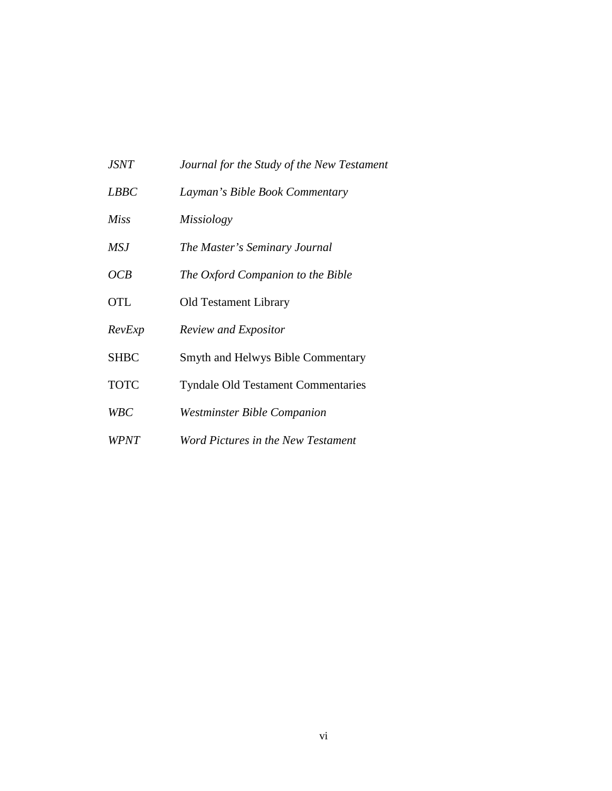| <i>JSNT</i> | Journal for the Study of the New Testament |
|-------------|--------------------------------------------|
| <i>LBBC</i> | Layman's Bible Book Commentary             |
| <b>Miss</b> | <i>Missiology</i>                          |
| <b>MSJ</b>  | The Master's Seminary Journal              |
| OCB         | The Oxford Companion to the Bible          |
| <b>OTL</b>  | <b>Old Testament Library</b>               |
| RevExp      | Review and Expositor                       |
| <b>SHBC</b> | <b>Smyth and Helwys Bible Commentary</b>   |
| <b>TOTC</b> | <b>Tyndale Old Testament Commentaries</b>  |
| <b>WBC</b>  | <b>Westminster Bible Companion</b>         |
| <b>WPNT</b> | Word Pictures in the New Testament         |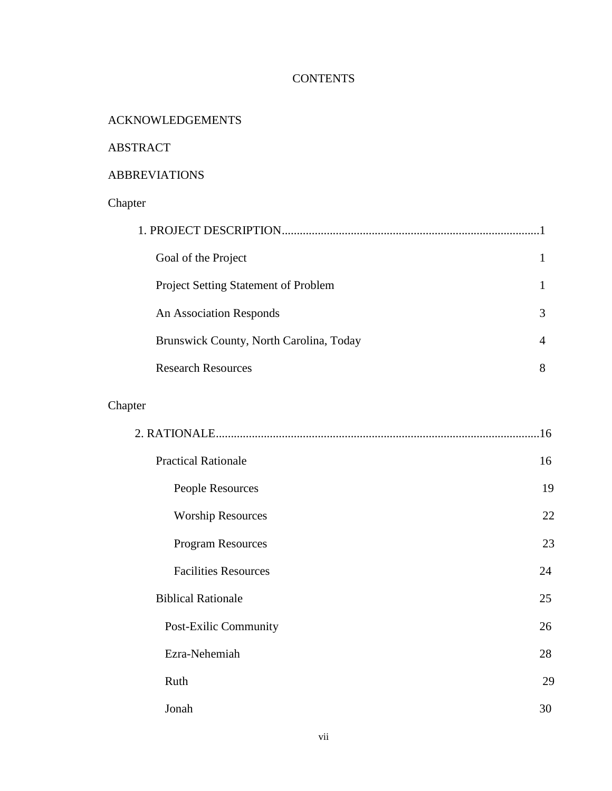# **CONTENTS**

# ACKNOWLEDGEMENTS

# ABSTRACT

# ABBREVIATIONS

# Chapter

| 1. PROJECT DESCRIPTION                      |   |
|---------------------------------------------|---|
| Goal of the Project                         |   |
| <b>Project Setting Statement of Problem</b> |   |
| An Association Responds                     | 3 |
| Brunswick County, North Carolina, Today     | 4 |
| <b>Research Resources</b>                   | 8 |

# Chapter

|                             | 16 |
|-----------------------------|----|
| <b>Practical Rationale</b>  | 16 |
| People Resources            | 19 |
| <b>Worship Resources</b>    | 22 |
| <b>Program Resources</b>    | 23 |
| <b>Facilities Resources</b> | 24 |
| <b>Biblical Rationale</b>   | 25 |
| Post-Exilic Community       | 26 |
| Ezra-Nehemiah               | 28 |
| Ruth                        | 29 |
| Jonah                       | 30 |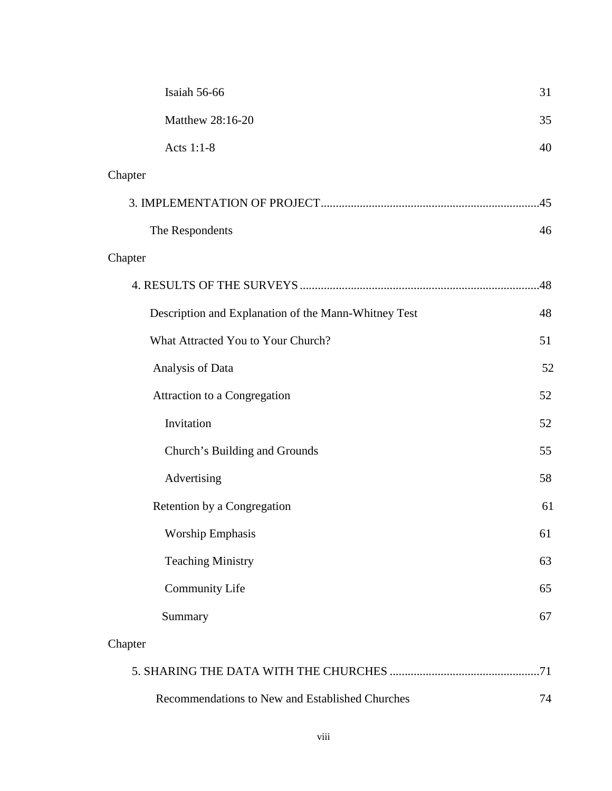| Isaiah 56-66                                         | 31  |
|------------------------------------------------------|-----|
| Matthew 28:16-20                                     | 35  |
| Acts 1:1-8                                           | 40  |
| Chapter                                              |     |
|                                                      |     |
| The Respondents                                      | 46  |
| Chapter                                              |     |
|                                                      | .48 |
| Description and Explanation of the Mann-Whitney Test | 48  |
| What Attracted You to Your Church?                   | 51  |
| Analysis of Data                                     | 52  |
| Attraction to a Congregation                         | 52  |
| Invitation                                           | 52  |
| Church's Building and Grounds                        | 55  |
| Advertising                                          | 58  |
| Retention by a Congregation                          | 61  |
| <b>Worship Emphasis</b>                              | 61  |
| <b>Teaching Ministry</b>                             | 63  |
| <b>Community Life</b>                                | 65  |
| Summary                                              | 67  |
| Chapter                                              |     |
|                                                      |     |
| Recommendations to New and Established Churches      | 74  |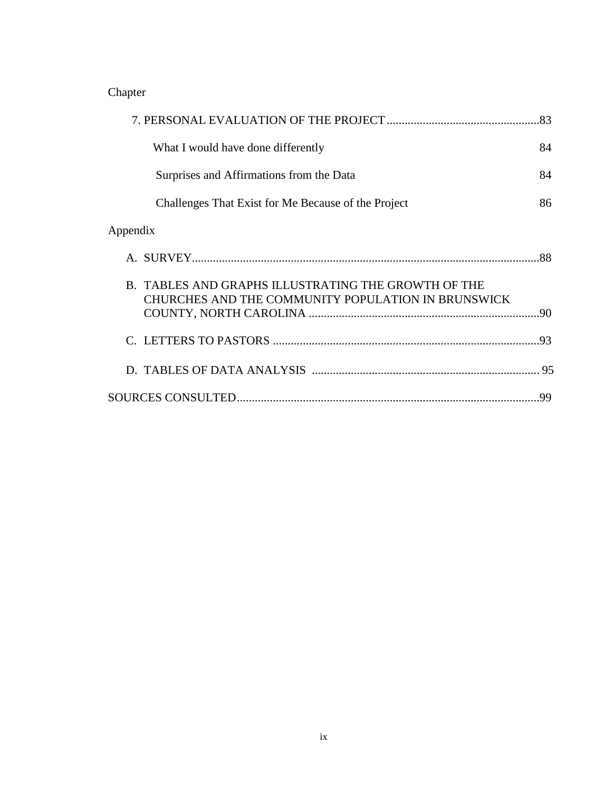Chapter

|                                                                                                           | .83 |
|-----------------------------------------------------------------------------------------------------------|-----|
| What I would have done differently                                                                        | 84  |
| Surprises and Affirmations from the Data                                                                  | 84  |
| Challenges That Exist for Me Because of the Project                                                       | 86  |
| Appendix                                                                                                  |     |
|                                                                                                           |     |
| B. TABLES AND GRAPHS ILLUSTRATING THE GROWTH OF THE<br>CHURCHES AND THE COMMUNITY POPULATION IN BRUNSWICK |     |
|                                                                                                           | .93 |
|                                                                                                           |     |
|                                                                                                           | 99  |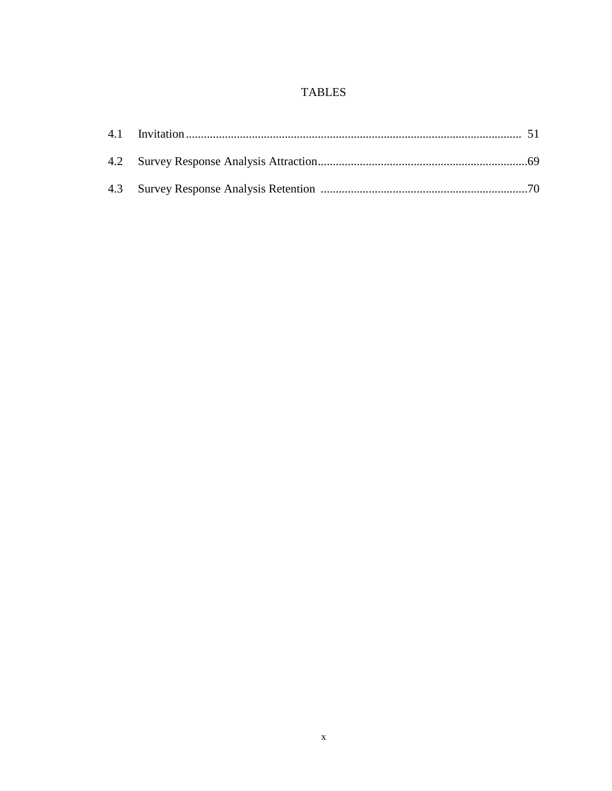# **TABLES**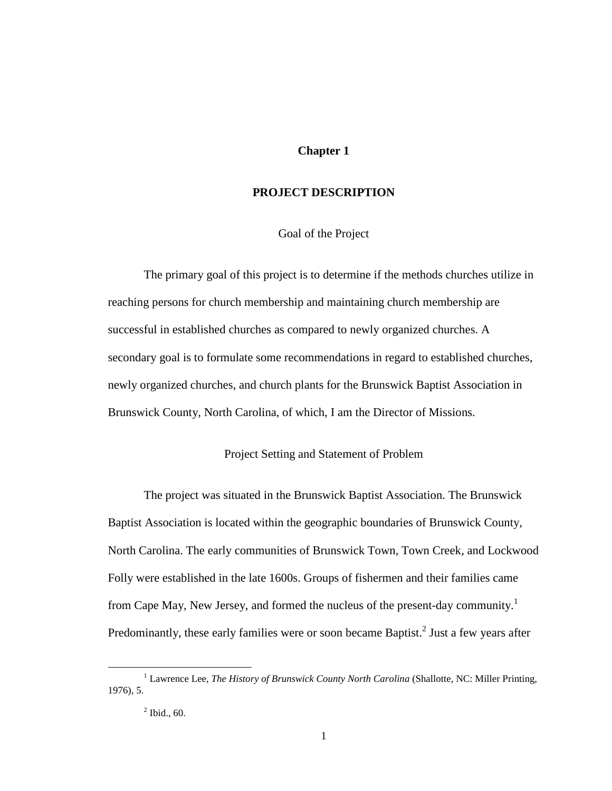### **Chapter 1**

### **PROJECT DESCRIPTION**

Goal of the Project

 The primary goal of this project is to determine if the methods churches utilize in reaching persons for church membership and maintaining church membership are successful in established churches as compared to newly organized churches. A secondary goal is to formulate some recommendations in regard to established churches, newly organized churches, and church plants for the Brunswick Baptist Association in Brunswick County, North Carolina, of which, I am the Director of Missions.

#### Project Setting and Statement of Problem

 The project was situated in the Brunswick Baptist Association. The Brunswick Baptist Association is located within the geographic boundaries of Brunswick County, North Carolina. The early communities of Brunswick Town, Town Creek, and Lockwood Folly were established in the late 1600s. Groups of fishermen and their families came from Cape May, New Jersey, and formed the nucleus of the present-day community.<sup>1</sup> Predominantly, these early families were or soon became Baptist.<sup>2</sup> Just a few years after

<sup>&</sup>lt;sup>1</sup> Lawrence Lee, *The History of Brunswick County North Carolina* (Shallotte, NC: Miller Printing, 1976), 5.

 $2$  Ibid., 60.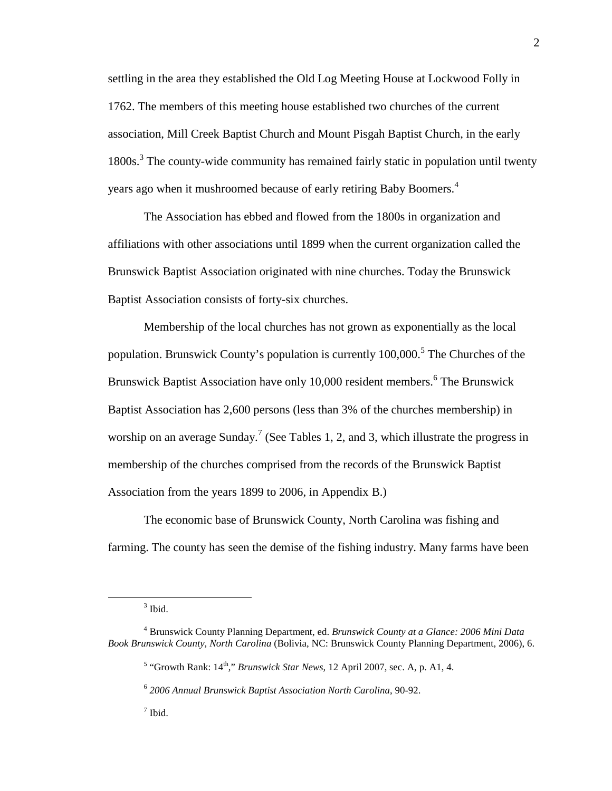settling in the area they established the Old Log Meeting House at Lockwood Folly in 1762. The members of this meeting house established two churches of the current association, Mill Creek Baptist Church and Mount Pisgah Baptist Church, in the early 1800s.<sup>3</sup> The county-wide community has remained fairly static in population until twenty years ago when it mushroomed because of early retiring Baby Boomers.<sup>4</sup>

 The Association has ebbed and flowed from the 1800s in organization and affiliations with other associations until 1899 when the current organization called the Brunswick Baptist Association originated with nine churches. Today the Brunswick Baptist Association consists of forty-six churches.

 Membership of the local churches has not grown as exponentially as the local population. Brunswick County's population is currently 100,000.<sup>5</sup> The Churches of the Brunswick Baptist Association have only 10,000 resident members.<sup>6</sup> The Brunswick Baptist Association has 2,600 persons (less than 3% of the churches membership) in worship on an average Sunday.<sup>7</sup> (See Tables 1, 2, and 3, which illustrate the progress in membership of the churches comprised from the records of the Brunswick Baptist Association from the years 1899 to 2006, in Appendix B.)

 The economic base of Brunswick County, North Carolina was fishing and farming. The county has seen the demise of the fishing industry. Many farms have been

 $3$  Ibid.

<sup>4</sup> Brunswick County Planning Department, ed. *Brunswick County at a Glance: 2006 Mini Data Book Brunswick County, North Carolina* (Bolivia, NC: Brunswick County Planning Department, 2006), 6.

 $<sup>5</sup>$  "Growth Rank:  $14<sup>th</sup>$ ," *Brunswick Star News*, 12 April 2007, sec. A, p. A1, 4.</sup>

<sup>6</sup> *2006 Annual Brunswick Baptist Association North Carolina*, 90-92.

<sup>7</sup> Ibid.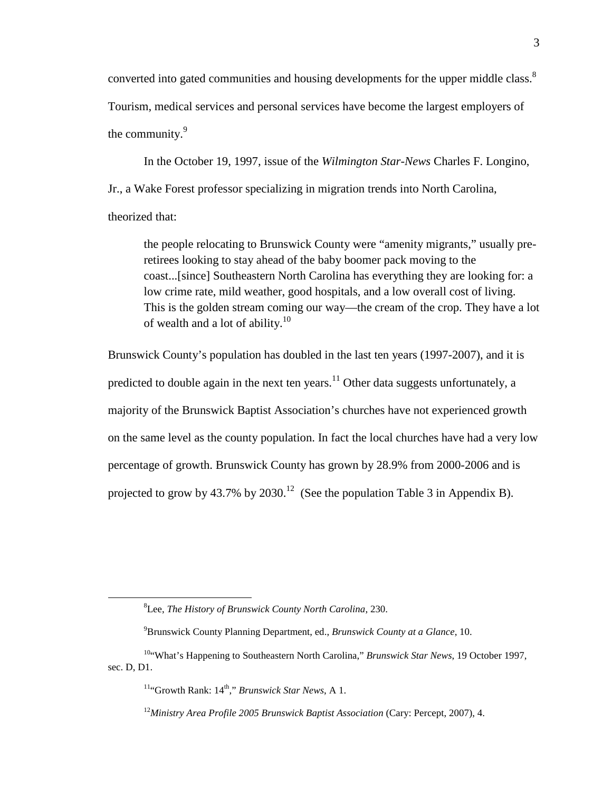converted into gated communities and housing developments for the upper middle class.<sup>8</sup> Tourism, medical services and personal services have become the largest employers of the community.<sup>9</sup>

 In the October 19, 1997, issue of the *Wilmington Star-News* Charles F. Longino, Jr., a Wake Forest professor specializing in migration trends into North Carolina, theorized that:

the people relocating to Brunswick County were "amenity migrants," usually preretirees looking to stay ahead of the baby boomer pack moving to the coast...[since] Southeastern North Carolina has everything they are looking for: a low crime rate, mild weather, good hospitals, and a low overall cost of living. This is the golden stream coming our way—the cream of the crop. They have a lot of wealth and a lot of ability.<sup>10</sup>

Brunswick County's population has doubled in the last ten years (1997-2007), and it is predicted to double again in the next ten years. $11$  Other data suggests unfortunately, a majority of the Brunswick Baptist Association's churches have not experienced growth on the same level as the county population. In fact the local churches have had a very low percentage of growth. Brunswick County has grown by 28.9% from 2000-2006 and is projected to grow by 43.7% by 2030.<sup>12</sup> (See the population Table 3 in Appendix B).

<sup>8</sup>Lee, *The History of Brunswick County North Carolina*, 230.

<sup>9</sup>Brunswick County Planning Department, ed., *Brunswick County at a Glance*, 10.

<sup>&</sup>lt;sup>10"</sup>What's Happening to Southeastern North Carolina," *Brunswick Star News*, 19 October 1997, sec. D, D1.

<sup>&</sup>lt;sup>11</sup>"Growth Rank: 14<sup>th</sup>," *Brunswick Star News*, A 1.

<sup>12</sup>*Ministry Area Profile 2005 Brunswick Baptist Association* (Cary: Percept, 2007), 4.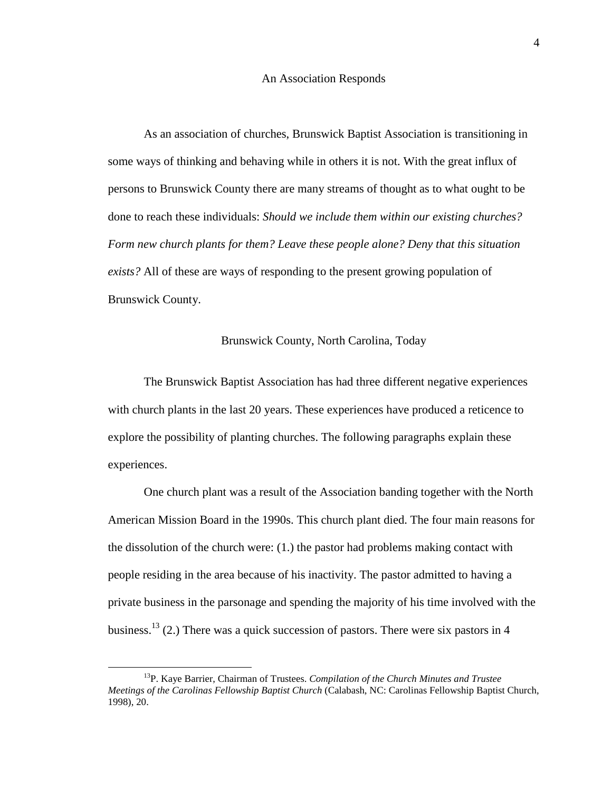#### An Association Responds

 As an association of churches, Brunswick Baptist Association is transitioning in some ways of thinking and behaving while in others it is not. With the great influx of persons to Brunswick County there are many streams of thought as to what ought to be done to reach these individuals: *Should we include them within our existing churches? Form new church plants for them? Leave these people alone? Deny that this situation exists?* All of these are ways of responding to the present growing population of Brunswick County.

#### Brunswick County, North Carolina, Today

The Brunswick Baptist Association has had three different negative experiences with church plants in the last 20 years. These experiences have produced a reticence to explore the possibility of planting churches. The following paragraphs explain these experiences.

One church plant was a result of the Association banding together with the North American Mission Board in the 1990s. This church plant died. The four main reasons for the dissolution of the church were: (1.) the pastor had problems making contact with people residing in the area because of his inactivity. The pastor admitted to having a private business in the parsonage and spending the majority of his time involved with the business.<sup>13</sup> (2.) There was a quick succession of pastors. There were six pastors in 4

<sup>13</sup>P. Kaye Barrier, Chairman of Trustees. *Compilation of the Church Minutes and Trustee Meetings of the Carolinas Fellowship Baptist Church* (Calabash, NC: Carolinas Fellowship Baptist Church, 1998), 20.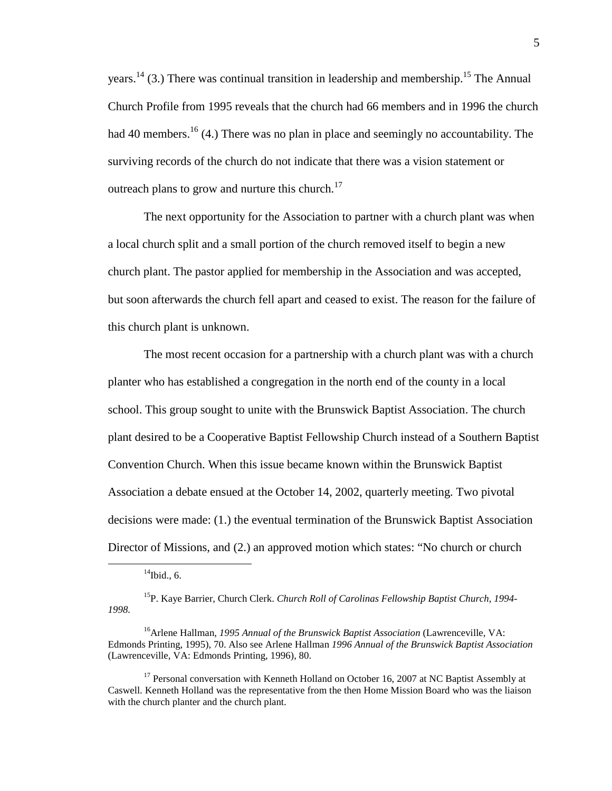years.<sup>14</sup> (3.) There was continual transition in leadership and membership.<sup>15</sup> The Annual Church Profile from 1995 reveals that the church had 66 members and in 1996 the church had 40 members.<sup>16</sup> (4.) There was no plan in place and seemingly no accountability. The surviving records of the church do not indicate that there was a vision statement or outreach plans to grow and nurture this church.<sup>17</sup>

The next opportunity for the Association to partner with a church plant was when a local church split and a small portion of the church removed itself to begin a new church plant. The pastor applied for membership in the Association and was accepted, but soon afterwards the church fell apart and ceased to exist. The reason for the failure of this church plant is unknown.

The most recent occasion for a partnership with a church plant was with a church planter who has established a congregation in the north end of the county in a local school. This group sought to unite with the Brunswick Baptist Association. The church plant desired to be a Cooperative Baptist Fellowship Church instead of a Southern Baptist Convention Church. When this issue became known within the Brunswick Baptist Association a debate ensued at the October 14, 2002, quarterly meeting. Two pivotal decisions were made: (1.) the eventual termination of the Brunswick Baptist Association Director of Missions, and (2.) an approved motion which states: "No church or church

 $14$ Ibid., 6.

<sup>15</sup>P. Kaye Barrier, Church Clerk. *Church Roll of Carolinas Fellowship Baptist Church, 1994- 1998.* 

<sup>&</sup>lt;sup>16</sup>Arlene Hallman, *1995 Annual of the Brunswick Baptist Association* (Lawrenceville, VA: Edmonds Printing, 1995), 70. Also see Arlene Hallman *1996 Annual of the Brunswick Baptist Association*  (Lawrenceville, VA: Edmonds Printing, 1996), 80.

<sup>&</sup>lt;sup>17</sup> Personal conversation with Kenneth Holland on October 16, 2007 at NC Baptist Assembly at Caswell. Kenneth Holland was the representative from the then Home Mission Board who was the liaison with the church planter and the church plant.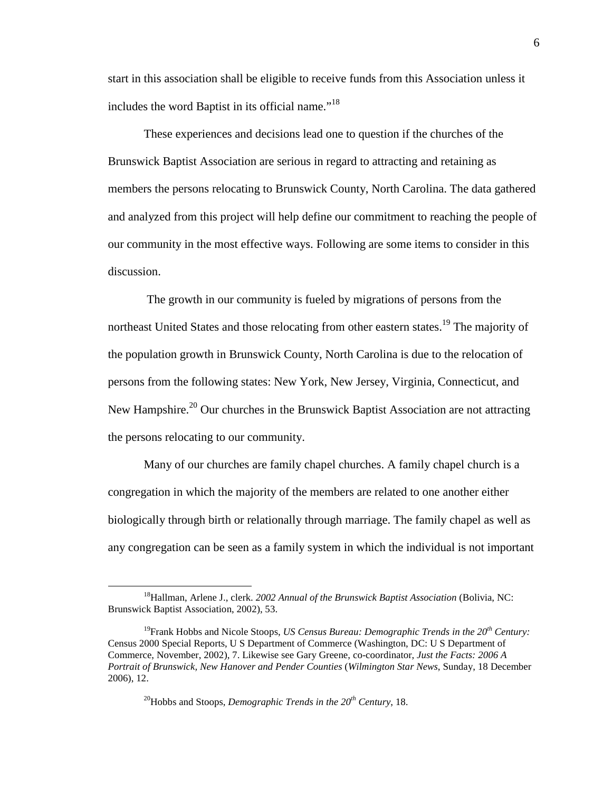start in this association shall be eligible to receive funds from this Association unless it includes the word Baptist in its official name."<sup>18</sup>

These experiences and decisions lead one to question if the churches of the Brunswick Baptist Association are serious in regard to attracting and retaining as members the persons relocating to Brunswick County, North Carolina. The data gathered and analyzed from this project will help define our commitment to reaching the people of our community in the most effective ways. Following are some items to consider in this discussion.

 The growth in our community is fueled by migrations of persons from the northeast United States and those relocating from other eastern states.<sup>19</sup> The majority of the population growth in Brunswick County, North Carolina is due to the relocation of persons from the following states: New York, New Jersey, Virginia, Connecticut, and New Hampshire.<sup>20</sup> Our churches in the Brunswick Baptist Association are not attracting the persons relocating to our community.

Many of our churches are family chapel churches. A family chapel church is a congregation in which the majority of the members are related to one another either biologically through birth or relationally through marriage. The family chapel as well as any congregation can be seen as a family system in which the individual is not important

<sup>20</sup>Hobbs and Stoops, *Demographic Trends in the 20th Century*, 18.

<sup>18</sup>Hallman, Arlene J., clerk. *2002 Annual of the Brunswick Baptist Association* (Bolivia, NC: Brunswick Baptist Association, 2002), 53.

<sup>19</sup>Frank Hobbs and Nicole Stoops, *US Census Bureau: Demographic Trends in the 20th Century:* Census 2000 Special Reports, U S Department of Commerce (Washington, DC: U S Department of Commerce, November, 2002), 7. Likewise see Gary Greene, co-coordinator, *Just the Facts: 2006 A Portrait of Brunswick, New Hanover and Pender Counties* (*Wilmington Star News*, Sunday, 18 December 2006), 12.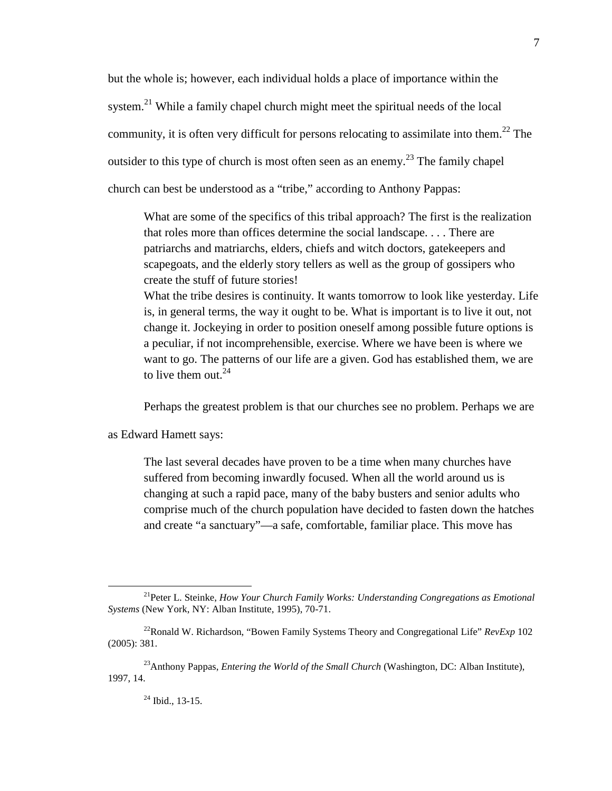but the whole is; however, each individual holds a place of importance within the system.<sup>21</sup> While a family chapel church might meet the spiritual needs of the local community, it is often very difficult for persons relocating to assimilate into them.<sup>22</sup> The outsider to this type of church is most often seen as an enemy.<sup>23</sup> The family chapel church can best be understood as a "tribe," according to Anthony Pappas:

What are some of the specifics of this tribal approach? The first is the realization that roles more than offices determine the social landscape. . . . There are patriarchs and matriarchs, elders, chiefs and witch doctors, gatekeepers and scapegoats, and the elderly story tellers as well as the group of gossipers who create the stuff of future stories!

What the tribe desires is continuity. It wants tomorrow to look like yesterday. Life is, in general terms, the way it ought to be. What is important is to live it out, not change it. Jockeying in order to position oneself among possible future options is a peculiar, if not incomprehensible, exercise. Where we have been is where we want to go. The patterns of our life are a given. God has established them, we are to live them out. $24$ 

Perhaps the greatest problem is that our churches see no problem. Perhaps we are

as Edward Hamett says:

The last several decades have proven to be a time when many churches have suffered from becoming inwardly focused. When all the world around us is changing at such a rapid pace, many of the baby busters and senior adults who comprise much of the church population have decided to fasten down the hatches and create "a sanctuary"—a safe, comfortable, familiar place. This move has

 $^{24}$  Ibid., 13-15.

<sup>21</sup>Peter L. Steinke, *How Your Church Family Works: Understanding Congregations as Emotional Systems* (New York, NY: Alban Institute, 1995), 70-71.

<sup>&</sup>lt;sup>22</sup>Ronald W. Richardson, "Bowen Family Systems Theory and Congregational Life" *RevExp* 102 (2005): 381.

<sup>&</sup>lt;sup>23</sup>Anthony Pappas, *Entering the World of the Small Church* (Washington, DC: Alban Institute), 1997, 14.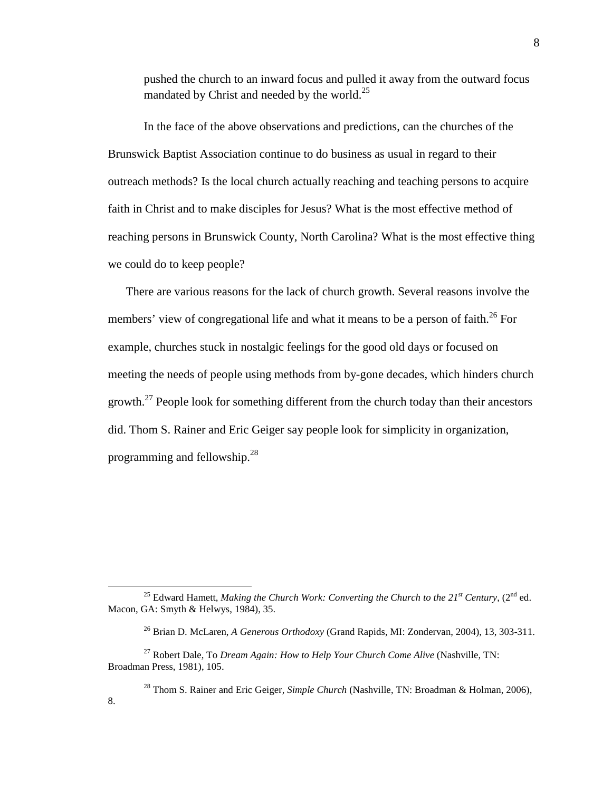pushed the church to an inward focus and pulled it away from the outward focus mandated by Christ and needed by the world.<sup>25</sup>

In the face of the above observations and predictions, can the churches of the Brunswick Baptist Association continue to do business as usual in regard to their outreach methods? Is the local church actually reaching and teaching persons to acquire faith in Christ and to make disciples for Jesus? What is the most effective method of reaching persons in Brunswick County, North Carolina? What is the most effective thing we could do to keep people?

There are various reasons for the lack of church growth. Several reasons involve the members' view of congregational life and what it means to be a person of faith.<sup>26</sup> For example, churches stuck in nostalgic feelings for the good old days or focused on meeting the needs of people using methods from by-gone decades, which hinders church growth.<sup>27</sup> People look for something different from the church today than their ancestors did. Thom S. Rainer and Eric Geiger say people look for simplicity in organization, programming and fellowship.<sup>28</sup>

<sup>&</sup>lt;sup>25</sup> Edward Hamett, *Making the Church Work: Converting the Church to the*  $21^{st}$  *Century, (* $2^{nd}$  *ed.* Macon, GA: Smyth & Helwys, 1984), 35.

<sup>26</sup> Brian D. McLaren, *A Generous Orthodoxy* (Grand Rapids, MI: Zondervan, 2004), 13, 303-311.

<sup>27</sup> Robert Dale, To *Dream Again: How to Help Your Church Come Alive* (Nashville, TN: Broadman Press, 1981), 105.

<sup>28</sup> Thom S. Rainer and Eric Geiger*, Simple Church* (Nashville, TN: Broadman & Holman, 2006), 8.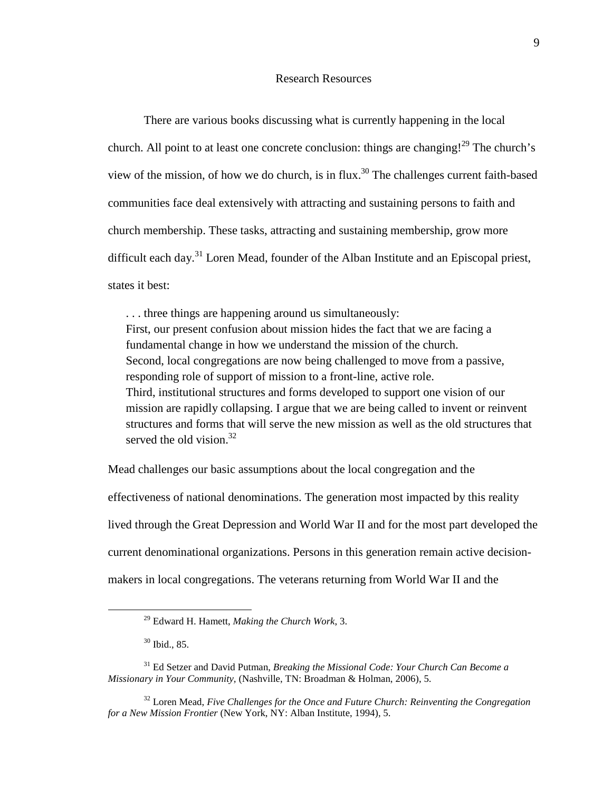#### Research Resources

 There are various books discussing what is currently happening in the local church. All point to at least one concrete conclusion: things are changing!<sup>29</sup> The church's view of the mission, of how we do church, is in flux.<sup>30</sup> The challenges current faith-based communities face deal extensively with attracting and sustaining persons to faith and church membership. These tasks, attracting and sustaining membership, grow more difficult each day.<sup>31</sup> Loren Mead, founder of the Alban Institute and an Episcopal priest, states it best:

. . . three things are happening around us simultaneously: First, our present confusion about mission hides the fact that we are facing a fundamental change in how we understand the mission of the church. Second, local congregations are now being challenged to move from a passive, responding role of support of mission to a front-line, active role. Third, institutional structures and forms developed to support one vision of our mission are rapidly collapsing. I argue that we are being called to invent or reinvent structures and forms that will serve the new mission as well as the old structures that served the old vision.<sup>32</sup>

Mead challenges our basic assumptions about the local congregation and the effectiveness of national denominations. The generation most impacted by this reality lived through the Great Depression and World War II and for the most part developed the current denominational organizations. Persons in this generation remain active decisionmakers in local congregations. The veterans returning from World War II and the

<sup>29</sup> Edward H. Hamett, *Making the Church Work*, 3.

<sup>30</sup> Ibid., 85.

<sup>31</sup> Ed Setzer and David Putman, *Breaking the Missional Code: Your Church Can Become a Missionary in Your Community,* (Nashville, TN: Broadman & Holman, 2006), 5.

<sup>32</sup> Loren Mead, *Five Challenges for the Once and Future Church: Reinventing the Congregation for a New Mission Frontier* (New York, NY: Alban Institute, 1994), 5.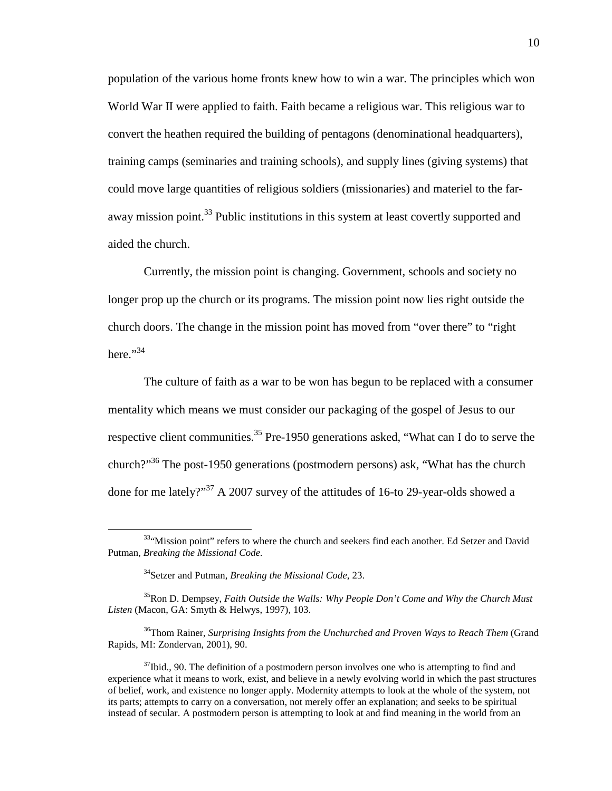population of the various home fronts knew how to win a war. The principles which won World War II were applied to faith. Faith became a religious war. This religious war to convert the heathen required the building of pentagons (denominational headquarters), training camps (seminaries and training schools), and supply lines (giving systems) that could move large quantities of religious soldiers (missionaries) and materiel to the faraway mission point.<sup>33</sup> Public institutions in this system at least covertly supported and aided the church.

Currently, the mission point is changing. Government, schools and society no longer prop up the church or its programs. The mission point now lies right outside the church doors. The change in the mission point has moved from "over there" to "right here."<sup>34</sup>

The culture of faith as a war to be won has begun to be replaced with a consumer mentality which means we must consider our packaging of the gospel of Jesus to our respective client communities.<sup>35</sup> Pre-1950 generations asked, "What can I do to serve the church?"<sup>36</sup> The post-1950 generations (postmodern persons) ask, "What has the church done for me lately?"<sup>37</sup> A 2007 survey of the attitudes of 16-to 29-year-olds showed a

 $\overline{a}$ 

<sup>35</sup>Ron D. Dempsey, *Faith Outside the Walls: Why People Don't Come and Why the Church Must Listen* (Macon, GA: Smyth & Helwys, 1997), 103.

<sup>36</sup>Thom Rainer, *Surprising Insights from the Unchurched and Proven Ways to Reach Them* (Grand Rapids, MI: Zondervan, 2001), 90.

 $37$ Ibid., 90. The definition of a postmodern person involves one who is attempting to find and experience what it means to work, exist, and believe in a newly evolving world in which the past structures of belief, work, and existence no longer apply. Modernity attempts to look at the whole of the system, not its parts; attempts to carry on a conversation, not merely offer an explanation; and seeks to be spiritual instead of secular. A postmodern person is attempting to look at and find meaning in the world from an

<sup>33&</sup>quot;Mission point" refers to where the church and seekers find each another. Ed Setzer and David Putman, *Breaking the Missional Code.* 

<sup>34</sup>Setzer and Putman, *Breaking the Missional Code*, 23.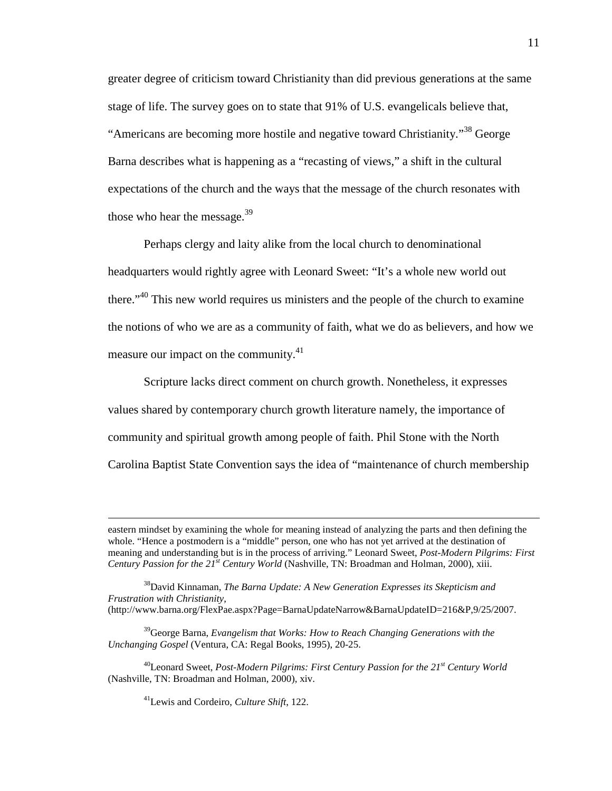greater degree of criticism toward Christianity than did previous generations at the same stage of life. The survey goes on to state that 91% of U.S. evangelicals believe that, "Americans are becoming more hostile and negative toward Christianity."<sup>38</sup> George Barna describes what is happening as a "recasting of views," a shift in the cultural expectations of the church and the ways that the message of the church resonates with those who hear the message. $39$ 

Perhaps clergy and laity alike from the local church to denominational headquarters would rightly agree with Leonard Sweet: "It's a whole new world out there."<sup>40</sup> This new world requires us ministers and the people of the church to examine the notions of who we are as a community of faith, what we do as believers, and how we measure our impact on the community. $41$ 

Scripture lacks direct comment on church growth. Nonetheless, it expresses values shared by contemporary church growth literature namely, the importance of community and spiritual growth among people of faith. Phil Stone with the North Carolina Baptist State Convention says the idea of "maintenance of church membership

<sup>41</sup>Lewis and Cordeiro, *Culture Shift*, 122.

eastern mindset by examining the whole for meaning instead of analyzing the parts and then defining the whole. "Hence a postmodern is a "middle" person, one who has not yet arrived at the destination of meaning and understanding but is in the process of arriving." Leonard Sweet, *Post-Modern Pilgrims: First Century Passion for the 21st Century World* (Nashville, TN: Broadman and Holman, 2000), xiii.

<sup>38</sup>David Kinnaman, *The Barna Update: A New Generation Expresses its Skepticism and Frustration with Christianity*, (http://www.barna.org/FlexPae.aspx?Page=BarnaUpdateNarrow&BarnaUpdateID=216&P,9/25/2007.

<sup>39</sup>George Barna, *Evangelism that Works: How to Reach Changing Generations with the Unchanging Gospel* (Ventura, CA: Regal Books, 1995), 20-25.

<sup>40</sup>Leonard Sweet, *Post-Modern Pilgrims: First Century Passion for the 21st Century World*  (Nashville, TN: Broadman and Holman, 2000), xiv.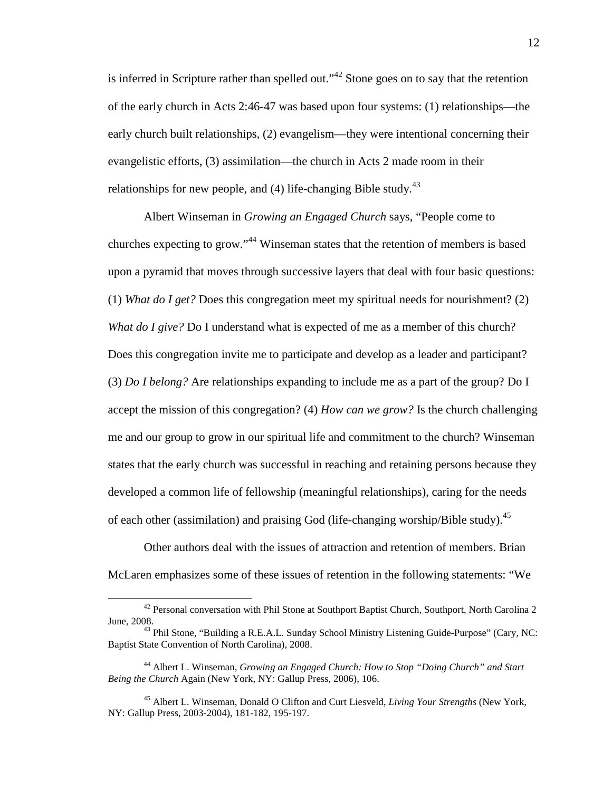is inferred in Scripture rather than spelled out."<sup>42</sup> Stone goes on to say that the retention of the early church in Acts 2:46-47 was based upon four systems: (1) relationships—the early church built relationships, (2) evangelism—they were intentional concerning their evangelistic efforts, (3) assimilation—the church in Acts 2 made room in their relationships for new people, and  $(4)$  life-changing Bible study.<sup>43</sup>

Albert Winseman in *Growing an Engaged Church* says, "People come to churches expecting to grow."<sup>44</sup> Winseman states that the retention of members is based upon a pyramid that moves through successive layers that deal with four basic questions: (1) *What do I get?* Does this congregation meet my spiritual needs for nourishment? (2) *What do I give?* Do I understand what is expected of me as a member of this church? Does this congregation invite me to participate and develop as a leader and participant? (3) *Do I belong?* Are relationships expanding to include me as a part of the group? Do I accept the mission of this congregation? (4) *How can we grow?* Is the church challenging me and our group to grow in our spiritual life and commitment to the church? Winseman states that the early church was successful in reaching and retaining persons because they developed a common life of fellowship (meaningful relationships), caring for the needs of each other (assimilation) and praising God (life-changing worship/Bible study).<sup>45</sup>

Other authors deal with the issues of attraction and retention of members. Brian McLaren emphasizes some of these issues of retention in the following statements: "We

<sup>&</sup>lt;sup>42</sup> Personal conversation with Phil Stone at Southport Baptist Church, Southport, North Carolina 2 June, 2008.

 $^{43}$  Phil Stone, "Building a R.E.A.L. Sunday School Ministry Listening Guide-Purpose" (Cary, NC: Baptist State Convention of North Carolina), 2008.

<sup>44</sup> Albert L. Winseman, *Growing an Engaged Church: How to Stop "Doing Church" and Start Being the Church* Again (New York, NY: Gallup Press, 2006), 106.

<sup>45</sup> Albert L. Winseman, Donald O Clifton and Curt Liesveld, *Living Your Strengths* (New York, NY: Gallup Press, 2003-2004), 181-182, 195-197.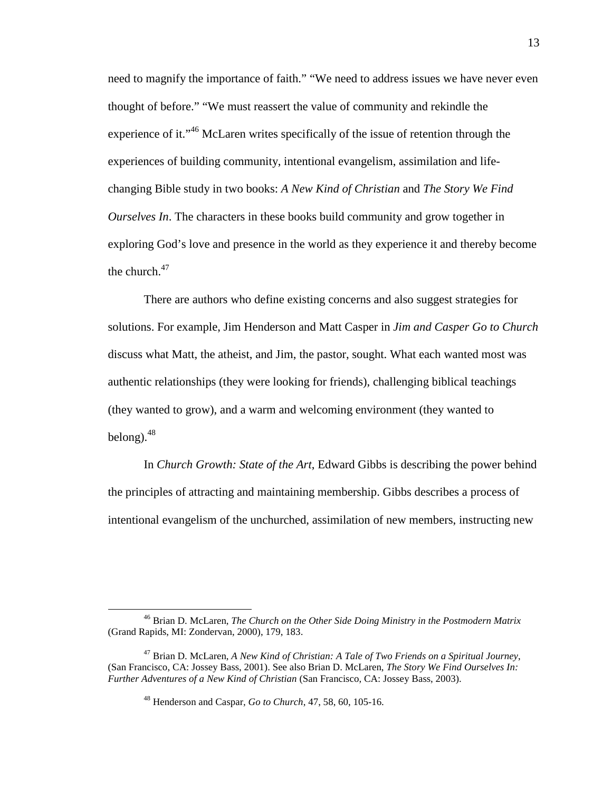need to magnify the importance of faith." "We need to address issues we have never even thought of before." "We must reassert the value of community and rekindle the experience of it."<sup>46</sup> McLaren writes specifically of the issue of retention through the experiences of building community, intentional evangelism, assimilation and lifechanging Bible study in two books: *A New Kind of Christian* and *The Story We Find Ourselves In*. The characters in these books build community and grow together in exploring God's love and presence in the world as they experience it and thereby become the church. $47$ 

There are authors who define existing concerns and also suggest strategies for solutions. For example, Jim Henderson and Matt Casper in *Jim and Casper Go to Church* discuss what Matt, the atheist, and Jim, the pastor, sought. What each wanted most was authentic relationships (they were looking for friends), challenging biblical teachings (they wanted to grow), and a warm and welcoming environment (they wanted to belong). $48$ 

In *Church Growth: State of the Art*, Edward Gibbs is describing the power behind the principles of attracting and maintaining membership. Gibbs describes a process of intentional evangelism of the unchurched, assimilation of new members, instructing new

<sup>46</sup> Brian D. McLaren, *The Church on the Other Side Doing Ministry in the Postmodern Matrix* (Grand Rapids, MI: Zondervan, 2000), 179, 183.

<sup>47</sup> Brian D. McLaren, *A New Kind of Christian: A Tale of Two Friends on a Spiritual Journey*, (San Francisco, CA: Jossey Bass, 2001). See also Brian D. McLaren, *The Story We Find Ourselves In: Further Adventures of a New Kind of Christian* (San Francisco, CA: Jossey Bass, 2003).

<sup>48</sup> Henderson and Caspar, *Go to Church*, 47, 58, 60, 105-16.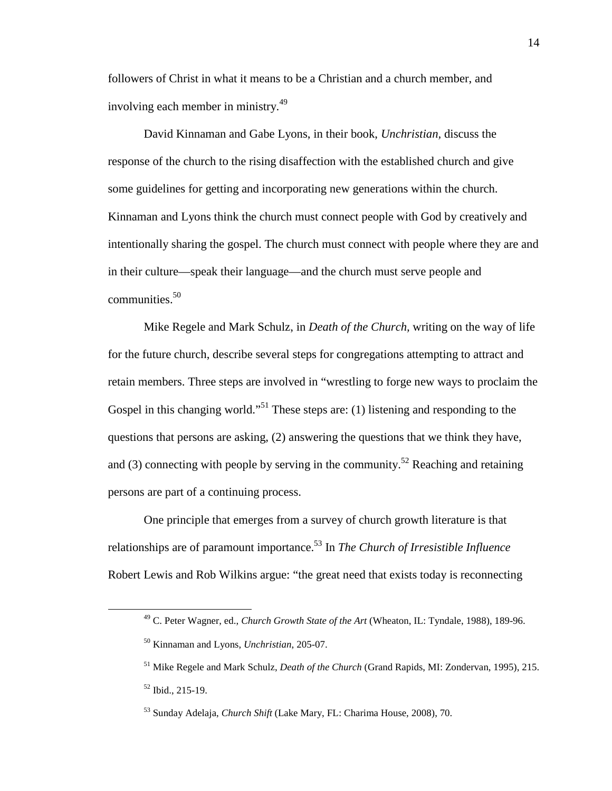followers of Christ in what it means to be a Christian and a church member, and involving each member in ministry.<sup>49</sup>

David Kinnaman and Gabe Lyons, in their book, *Unchristian,* discuss the response of the church to the rising disaffection with the established church and give some guidelines for getting and incorporating new generations within the church. Kinnaman and Lyons think the church must connect people with God by creatively and intentionally sharing the gospel. The church must connect with people where they are and in their culture—speak their language—and the church must serve people and communities.<sup>50</sup>

Mike Regele and Mark Schulz, in *Death of the Church,* writing on the way of life for the future church, describe several steps for congregations attempting to attract and retain members. Three steps are involved in "wrestling to forge new ways to proclaim the Gospel in this changing world."<sup>51</sup> These steps are: (1) listening and responding to the questions that persons are asking, (2) answering the questions that we think they have, and (3) connecting with people by serving in the community.<sup>52</sup> Reaching and retaining persons are part of a continuing process.

One principle that emerges from a survey of church growth literature is that relationships are of paramount importance.<sup>53</sup> In *The Church of Irresistible Influence* Robert Lewis and Rob Wilkins argue: "the great need that exists today is reconnecting

<sup>49</sup> C. Peter Wagner, ed., *Church Growth State of the Art* (Wheaton, IL: Tyndale, 1988), 189-96.

<sup>50</sup> Kinnaman and Lyons, *Unchristian*, 205-07.

<sup>51</sup> Mike Regele and Mark Schulz, *Death of the Church* (Grand Rapids, MI: Zondervan, 1995), 215. <sup>52</sup> Ibid., 215-19.

<sup>53</sup> Sunday Adelaja, *Church Shift* (Lake Mary, FL: Charima House, 2008), 70.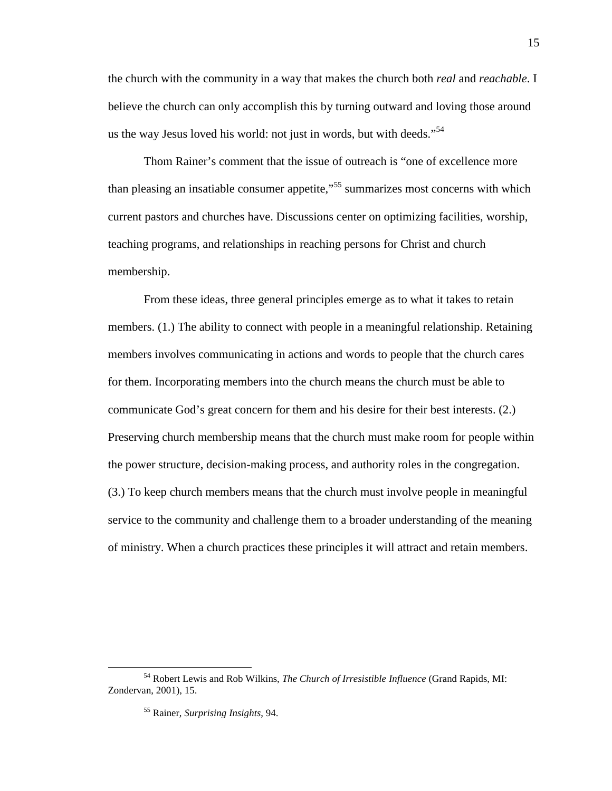the church with the community in a way that makes the church both *real* and *reachable*. I believe the church can only accomplish this by turning outward and loving those around us the way Jesus loved his world: not just in words, but with deeds."<sup>54</sup>

Thom Rainer's comment that the issue of outreach is "one of excellence more than pleasing an insatiable consumer appetite,<sup>55</sup> summarizes most concerns with which current pastors and churches have. Discussions center on optimizing facilities, worship, teaching programs, and relationships in reaching persons for Christ and church membership.

From these ideas, three general principles emerge as to what it takes to retain members. (1.) The ability to connect with people in a meaningful relationship. Retaining members involves communicating in actions and words to people that the church cares for them. Incorporating members into the church means the church must be able to communicate God's great concern for them and his desire for their best interests. (2.) Preserving church membership means that the church must make room for people within the power structure, decision-making process, and authority roles in the congregation. (3.) To keep church members means that the church must involve people in meaningful service to the community and challenge them to a broader understanding of the meaning of ministry. When a church practices these principles it will attract and retain members.

<sup>54</sup> Robert Lewis and Rob Wilkins, *The Church of Irresistible Influence* (Grand Rapids, MI: Zondervan, 2001), 15.

<sup>55</sup> Rainer, *Surprising Insights*, 94.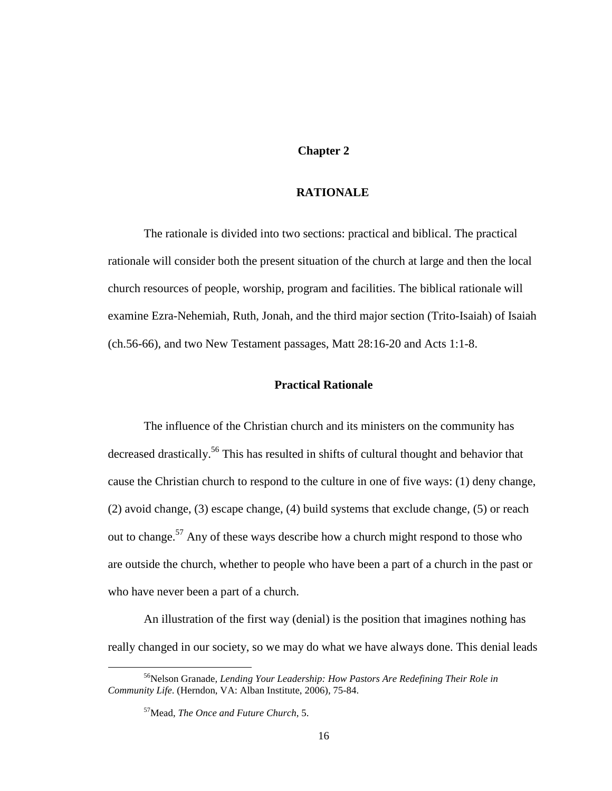#### **Chapter 2**

## **RATIONALE**

The rationale is divided into two sections: practical and biblical. The practical rationale will consider both the present situation of the church at large and then the local church resources of people, worship, program and facilities. The biblical rationale will examine Ezra-Nehemiah, Ruth, Jonah, and the third major section (Trito-Isaiah) of Isaiah (ch.56-66), and two New Testament passages, Matt 28:16-20 and Acts 1:1-8.

### **Practical Rationale**

The influence of the Christian church and its ministers on the community has decreased drastically.<sup>56</sup> This has resulted in shifts of cultural thought and behavior that cause the Christian church to respond to the culture in one of five ways: (1) deny change, (2) avoid change, (3) escape change, (4) build systems that exclude change, (5) or reach out to change.<sup>57</sup> Any of these ways describe how a church might respond to those who are outside the church, whether to people who have been a part of a church in the past or who have never been a part of a church.

An illustration of the first way (denial) is the position that imagines nothing has really changed in our society, so we may do what we have always done. This denial leads

<sup>56</sup>Nelson Granade*, Lending Your Leadership: How Pastors Are Redefining Their Role in Community Life*. (Herndon, VA: Alban Institute, 2006), 75-84.

<sup>57</sup>Mead, *The Once and Future Church*, 5.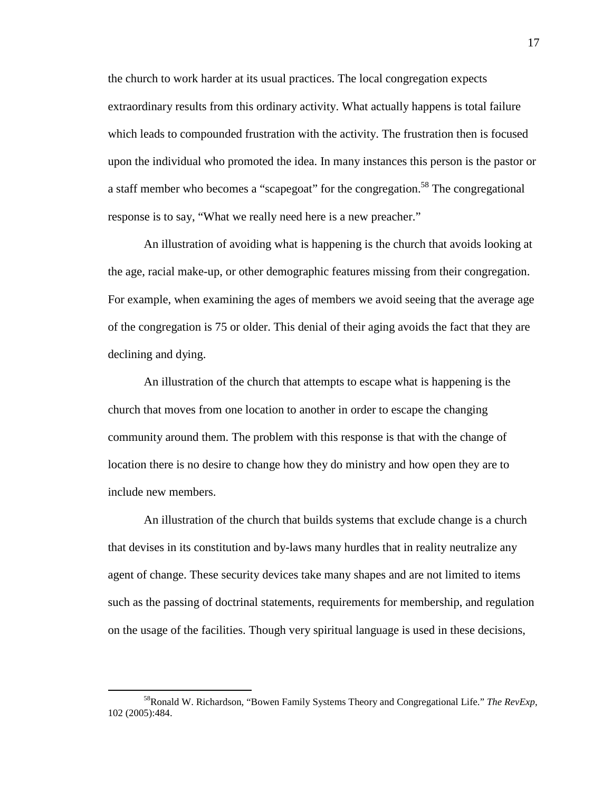the church to work harder at its usual practices. The local congregation expects extraordinary results from this ordinary activity. What actually happens is total failure which leads to compounded frustration with the activity. The frustration then is focused upon the individual who promoted the idea. In many instances this person is the pastor or a staff member who becomes a "scapegoat" for the congregation.<sup>58</sup> The congregational response is to say, "What we really need here is a new preacher."

An illustration of avoiding what is happening is the church that avoids looking at the age, racial make-up, or other demographic features missing from their congregation. For example, when examining the ages of members we avoid seeing that the average age of the congregation is 75 or older. This denial of their aging avoids the fact that they are declining and dying.

An illustration of the church that attempts to escape what is happening is the church that moves from one location to another in order to escape the changing community around them. The problem with this response is that with the change of location there is no desire to change how they do ministry and how open they are to include new members.

An illustration of the church that builds systems that exclude change is a church that devises in its constitution and by-laws many hurdles that in reality neutralize any agent of change. These security devices take many shapes and are not limited to items such as the passing of doctrinal statements, requirements for membership, and regulation on the usage of the facilities. Though very spiritual language is used in these decisions,

<sup>58</sup>Ronald W. Richardson, "Bowen Family Systems Theory and Congregational Life." *The RevExp*, 102 (2005):484.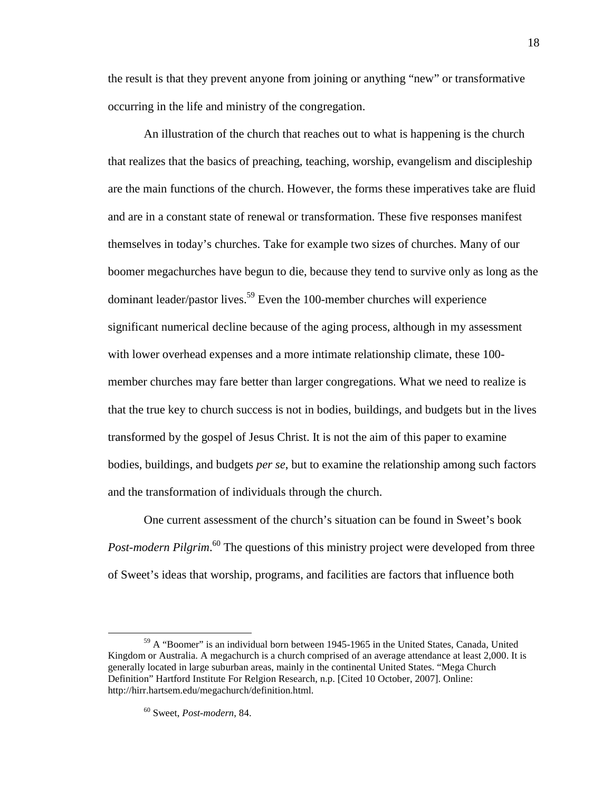the result is that they prevent anyone from joining or anything "new" or transformative occurring in the life and ministry of the congregation.

An illustration of the church that reaches out to what is happening is the church that realizes that the basics of preaching, teaching, worship, evangelism and discipleship are the main functions of the church. However, the forms these imperatives take are fluid and are in a constant state of renewal or transformation. These five responses manifest themselves in today's churches. Take for example two sizes of churches. Many of our boomer megachurches have begun to die, because they tend to survive only as long as the dominant leader/pastor lives.<sup>59</sup> Even the 100-member churches will experience significant numerical decline because of the aging process, although in my assessment with lower overhead expenses and a more intimate relationship climate, these 100 member churches may fare better than larger congregations. What we need to realize is that the true key to church success is not in bodies, buildings, and budgets but in the lives transformed by the gospel of Jesus Christ. It is not the aim of this paper to examine bodies, buildings, and budgets *per se*, but to examine the relationship among such factors and the transformation of individuals through the church.

One current assessment of the church's situation can be found in Sweet's book Post-modern Pilgrim.<sup>60</sup> The questions of this ministry project were developed from three of Sweet's ideas that worship, programs, and facilities are factors that influence both

<sup>59</sup> A "Boomer" is an individual born between 1945-1965 in the United States, Canada, United Kingdom or Australia. A megachurch is a church comprised of an average attendance at least 2,000. It is generally located in large suburban areas, mainly in the continental United States. "Mega Church Definition" Hartford Institute For Relgion Research, n.p. [Cited 10 October, 2007]. Online: http://hirr.hartsem.edu/megachurch/definition.html.

<sup>60</sup> Sweet, *Post-modern*, 84.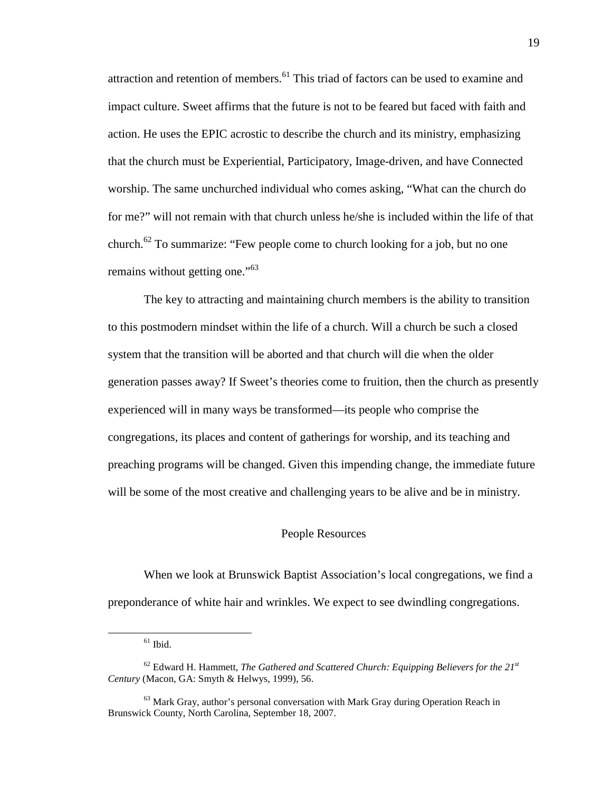attraction and retention of members.<sup>61</sup> This triad of factors can be used to examine and impact culture. Sweet affirms that the future is not to be feared but faced with faith and action. He uses the EPIC acrostic to describe the church and its ministry, emphasizing that the church must be Experiential, Participatory, Image-driven, and have Connected worship. The same unchurched individual who comes asking, "What can the church do for me?" will not remain with that church unless he/she is included within the life of that church.<sup>62</sup> To summarize: "Few people come to church looking for a job, but no one remains without getting one."<sup>63</sup>

The key to attracting and maintaining church members is the ability to transition to this postmodern mindset within the life of a church. Will a church be such a closed system that the transition will be aborted and that church will die when the older generation passes away? If Sweet's theories come to fruition, then the church as presently experienced will in many ways be transformed—its people who comprise the congregations, its places and content of gatherings for worship, and its teaching and preaching programs will be changed. Given this impending change, the immediate future will be some of the most creative and challenging years to be alive and be in ministry.

#### People Resources

When we look at Brunswick Baptist Association's local congregations, we find a preponderance of white hair and wrinkles. We expect to see dwindling congregations.

 $61$  Ibid.

<sup>62</sup> Edward H. Hammett, *The Gathered and Scattered Church: Equipping Believers for the 21st Century* (Macon, GA: Smyth & Helwys, 1999), 56.

 $63$  Mark Gray, author's personal conversation with Mark Gray during Operation Reach in Brunswick County, North Carolina, September 18, 2007.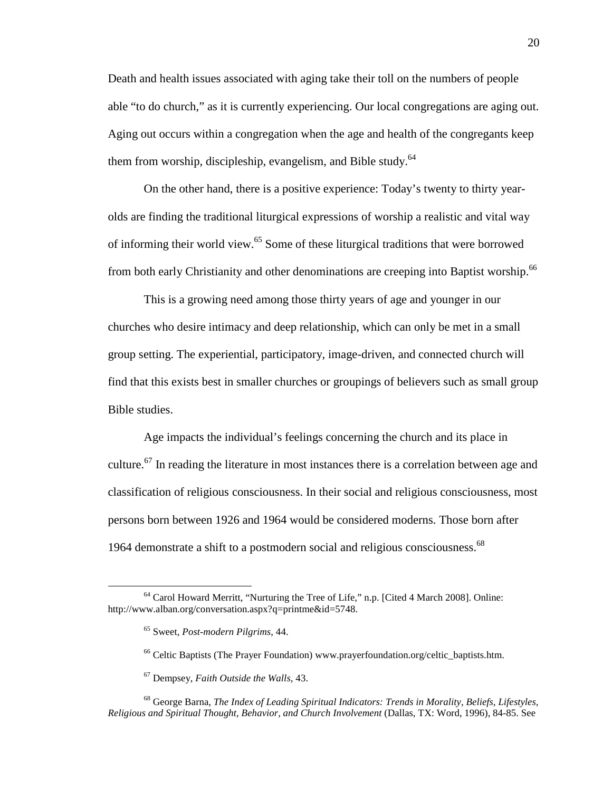Death and health issues associated with aging take their toll on the numbers of people able "to do church," as it is currently experiencing. Our local congregations are aging out. Aging out occurs within a congregation when the age and health of the congregants keep them from worship, discipleship, evangelism, and Bible study. $64$ 

On the other hand, there is a positive experience: Today's twenty to thirty yearolds are finding the traditional liturgical expressions of worship a realistic and vital way of informing their world view.<sup>65</sup> Some of these liturgical traditions that were borrowed from both early Christianity and other denominations are creeping into Baptist worship.<sup>66</sup>

This is a growing need among those thirty years of age and younger in our churches who desire intimacy and deep relationship, which can only be met in a small group setting. The experiential, participatory, image-driven, and connected church will find that this exists best in smaller churches or groupings of believers such as small group Bible studies.

Age impacts the individual's feelings concerning the church and its place in culture.<sup>67</sup> In reading the literature in most instances there is a correlation between age and classification of religious consciousness. In their social and religious consciousness, most persons born between 1926 and 1964 would be considered moderns. Those born after 1964 demonstrate a shift to a postmodern social and religious consciousness.<sup>68</sup>

<sup>64</sup> Carol Howard Merritt, "Nurturing the Tree of Life," n.p. [Cited 4 March 2008]. Online: http://www.alban.org/conversation.aspx?q=printme&id=5748.

<sup>65</sup> Sweet, *Post-modern Pilgrims*, 44.

<sup>&</sup>lt;sup>66</sup> Celtic Baptists (The Prayer Foundation) www.prayerfoundation.org/celtic\_baptists.htm.

<sup>67</sup> Dempsey, *Faith Outside the Walls*, 43.

<sup>68</sup> George Barna, *The Index of Leading Spiritual Indicators: Trends in Morality, Beliefs, Lifestyles, Religious and Spiritual Thought, Behavior, and Church Involvement* (Dallas, TX: Word, 1996), 84-85. See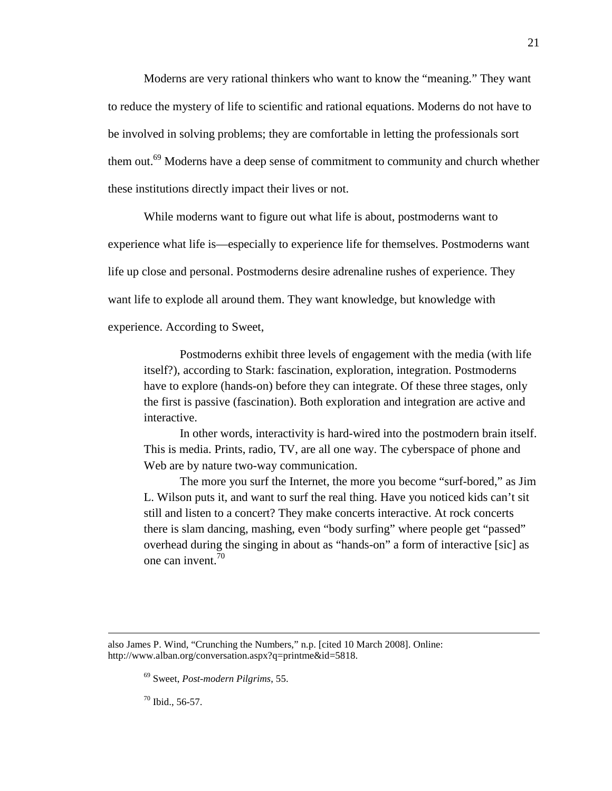Moderns are very rational thinkers who want to know the "meaning." They want to reduce the mystery of life to scientific and rational equations. Moderns do not have to be involved in solving problems; they are comfortable in letting the professionals sort them out.<sup>69</sup> Moderns have a deep sense of commitment to community and church whether these institutions directly impact their lives or not.

While moderns want to figure out what life is about, postmoderns want to experience what life is—especially to experience life for themselves. Postmoderns want life up close and personal. Postmoderns desire adrenaline rushes of experience. They want life to explode all around them. They want knowledge, but knowledge with

experience. According to Sweet,

Postmoderns exhibit three levels of engagement with the media (with life itself?), according to Stark: fascination, exploration, integration. Postmoderns have to explore (hands-on) before they can integrate. Of these three stages, only the first is passive (fascination). Both exploration and integration are active and interactive.

In other words, interactivity is hard-wired into the postmodern brain itself. This is media. Prints, radio, TV, are all one way. The cyberspace of phone and Web are by nature two-way communication.

The more you surf the Internet, the more you become "surf-bored," as Jim L. Wilson puts it, and want to surf the real thing. Have you noticed kids can't sit still and listen to a concert? They make concerts interactive. At rock concerts there is slam dancing, mashing, even "body surfing" where people get "passed" overhead during the singing in about as "hands-on" a form of interactive [sic] as one can invent.<sup>70</sup>

also James P. Wind, "Crunching the Numbers," n.p. [cited 10 March 2008]. Online: http://www.alban.org/conversation.aspx?q=printme&id=5818.

<sup>69</sup> Sweet, *Post-modern Pilgrims*, 55.

 $70$  Ibid., 56-57.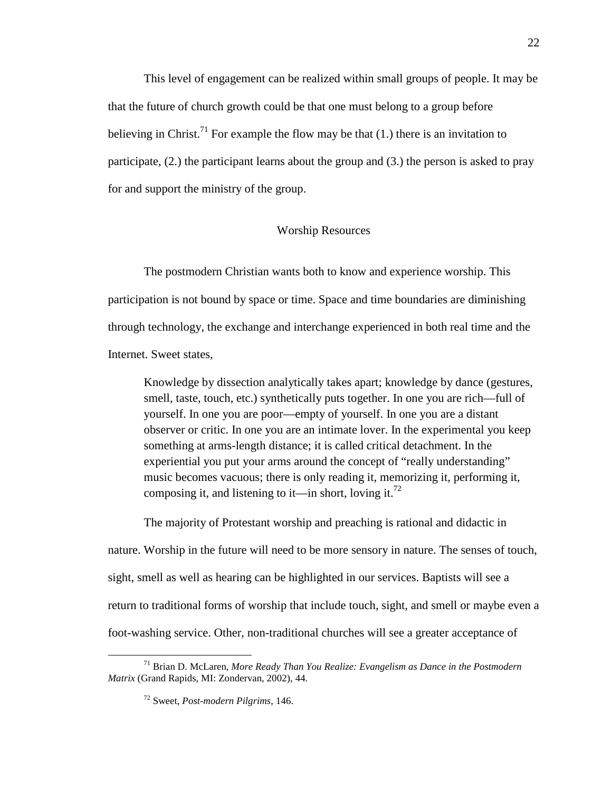This level of engagement can be realized within small groups of people. It may be that the future of church growth could be that one must belong to a group before believing in Christ.<sup>71</sup> For example the flow may be that (1.) there is an invitation to participate, (2.) the participant learns about the group and (3.) the person is asked to pray for and support the ministry of the group.

#### Worship Resources

The postmodern Christian wants both to know and experience worship. This participation is not bound by space or time. Space and time boundaries are diminishing through technology, the exchange and interchange experienced in both real time and the Internet. Sweet states,

Knowledge by dissection analytically takes apart; knowledge by dance (gestures, smell, taste, touch, etc.) synthetically puts together. In one you are rich—full of yourself. In one you are poor—empty of yourself. In one you are a distant observer or critic. In one you are an intimate lover. In the experimental you keep something at arms-length distance; it is called critical detachment. In the experiential you put your arms around the concept of "really understanding" music becomes vacuous; there is only reading it, memorizing it, performing it, composing it, and listening to it—in short, loving it.<sup>72</sup>

The majority of Protestant worship and preaching is rational and didactic in nature. Worship in the future will need to be more sensory in nature. The senses of touch, sight, smell as well as hearing can be highlighted in our services. Baptists will see a return to traditional forms of worship that include touch, sight, and smell or maybe even a foot-washing service. Other, non-traditional churches will see a greater acceptance of

<sup>71</sup> Brian D. McLaren, *More Ready Than You Realize: Evangelism as Dance in the Postmodern Matrix* (Grand Rapids, MI: Zondervan, 2002), 44.

<sup>72</sup> Sweet, *Post-modern Pilgrims*, 146.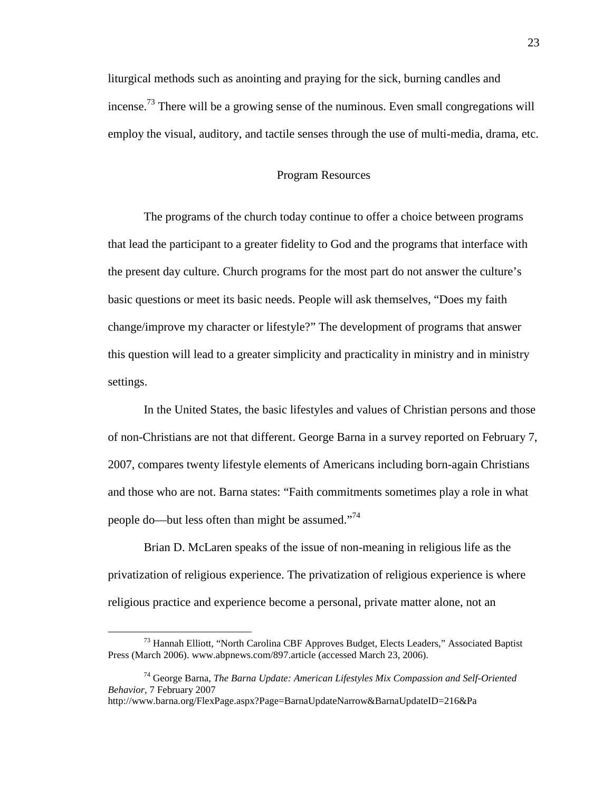liturgical methods such as anointing and praying for the sick, burning candles and incense.<sup>73</sup> There will be a growing sense of the numinous. Even small congregations will employ the visual, auditory, and tactile senses through the use of multi-media, drama, etc.

#### Program Resources

The programs of the church today continue to offer a choice between programs that lead the participant to a greater fidelity to God and the programs that interface with the present day culture. Church programs for the most part do not answer the culture's basic questions or meet its basic needs. People will ask themselves, "Does my faith change/improve my character or lifestyle?" The development of programs that answer this question will lead to a greater simplicity and practicality in ministry and in ministry settings.

In the United States, the basic lifestyles and values of Christian persons and those of non-Christians are not that different. George Barna in a survey reported on February 7, 2007, compares twenty lifestyle elements of Americans including born-again Christians and those who are not. Barna states: "Faith commitments sometimes play a role in what people do—but less often than might be assumed."<sup>74</sup>

Brian D. McLaren speaks of the issue of non-meaning in religious life as the privatization of religious experience. The privatization of religious experience is where religious practice and experience become a personal, private matter alone, not an

<sup>&</sup>lt;sup>73</sup> Hannah Elliott, "North Carolina CBF Approves Budget, Elects Leaders," Associated Baptist Press (March 2006). www.abpnews.com/897.article (accessed March 23, 2006).

<sup>74</sup> George Barna, *The Barna Update: American Lifestyles Mix Compassion and Self-Oriented Behavior*, 7 February 2007

http://www.barna.org/FlexPage.aspx?Page=BarnaUpdateNarrow&BarnaUpdateID=216&Pa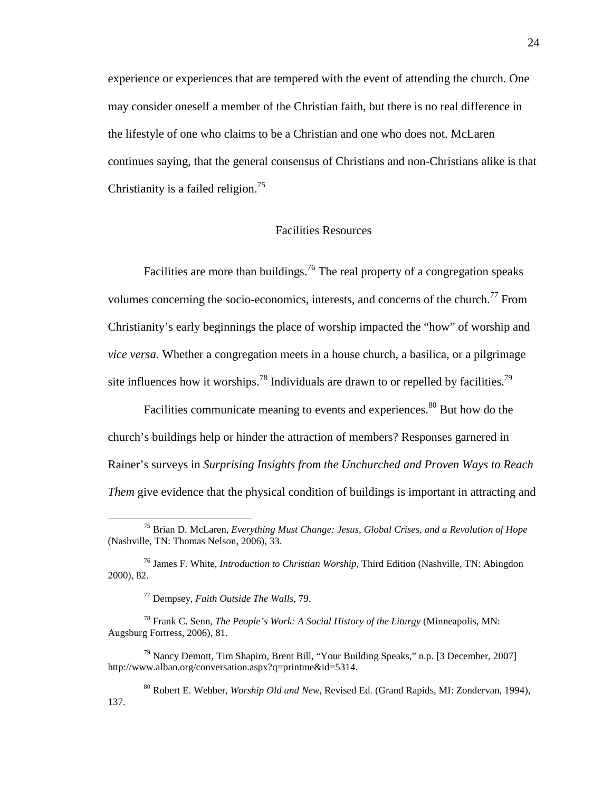experience or experiences that are tempered with the event of attending the church. One may consider oneself a member of the Christian faith, but there is no real difference in the lifestyle of one who claims to be a Christian and one who does not. McLaren continues saying, that the general consensus of Christians and non-Christians alike is that Christianity is a failed religion.<sup>75</sup>

### Facilities Resources

Facilities are more than buildings.<sup>76</sup> The real property of a congregation speaks volumes concerning the socio-economics, interests, and concerns of the church.<sup>77</sup> From Christianity's early beginnings the place of worship impacted the "how" of worship and *vice versa*. Whether a congregation meets in a house church, a basilica, or a pilgrimage site influences how it worships.<sup>78</sup> Individuals are drawn to or repelled by facilities.<sup>79</sup>

Facilities communicate meaning to events and experiences.<sup>80</sup> But how do the church's buildings help or hinder the attraction of members? Responses garnered in Rainer's surveys in *Surprising Insights from the Unchurched and Proven Ways to Reach Them* give evidence that the physical condition of buildings is important in attracting and

<sup>75</sup> Brian D. McLaren, *Everything Must Change: Jesus, Global Crises, and a Revolution of Hope* (Nashville, TN: Thomas Nelson, 2006), 33.

<sup>76</sup> James F. White, *Introduction to Christian Worship*, Third Edition (Nashville, TN: Abingdon 2000), 82.

<sup>77</sup> Dempsey, *Faith Outside The Walls*, 79.

<sup>78</sup> Frank C. Senn, *The People's Work: A Social History of the Liturgy* (Minneapolis, MN: Augsburg Fortress, 2006), 81.

 $79$  Nancy Demott, Tim Shapiro, Brent Bill, "Your Building Speaks," n.p. [3 December, 2007] http://www.alban.org/conversation.aspx?q=printme&id=5314.

<sup>80</sup> Robert E. Webber, *Worship Old and New*, Revised Ed. (Grand Rapids, MI: Zondervan, 1994), 137.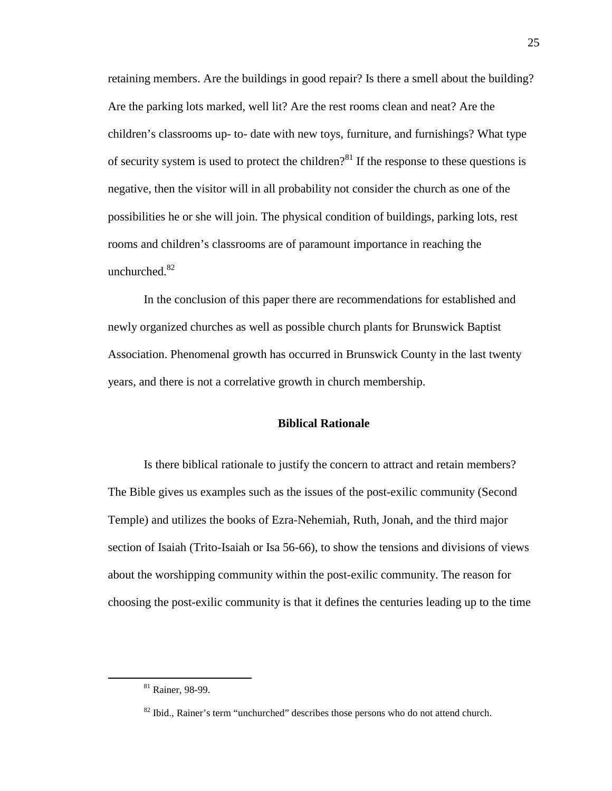retaining members. Are the buildings in good repair? Is there a smell about the building? Are the parking lots marked, well lit? Are the rest rooms clean and neat? Are the children's classrooms up- to- date with new toys, furniture, and furnishings? What type of security system is used to protect the children?<sup>81</sup> If the response to these questions is negative, then the visitor will in all probability not consider the church as one of the possibilities he or she will join. The physical condition of buildings, parking lots, rest rooms and children's classrooms are of paramount importance in reaching the unchurched.<sup>82</sup>

In the conclusion of this paper there are recommendations for established and newly organized churches as well as possible church plants for Brunswick Baptist Association. Phenomenal growth has occurred in Brunswick County in the last twenty years, and there is not a correlative growth in church membership.

# **Biblical Rationale**

Is there biblical rationale to justify the concern to attract and retain members? The Bible gives us examples such as the issues of the post-exilic community (Second Temple) and utilizes the books of Ezra-Nehemiah, Ruth, Jonah, and the third major section of Isaiah (Trito-Isaiah or Isa 56-66), to show the tensions and divisions of views about the worshipping community within the post-exilic community. The reason for choosing the post-exilic community is that it defines the centuries leading up to the time

<u>.</u>

<sup>&</sup>lt;sup>81</sup> Rainer, 98-99.

<sup>&</sup>lt;sup>82</sup> Ibid., Rainer's term "unchurched" describes those persons who do not attend church.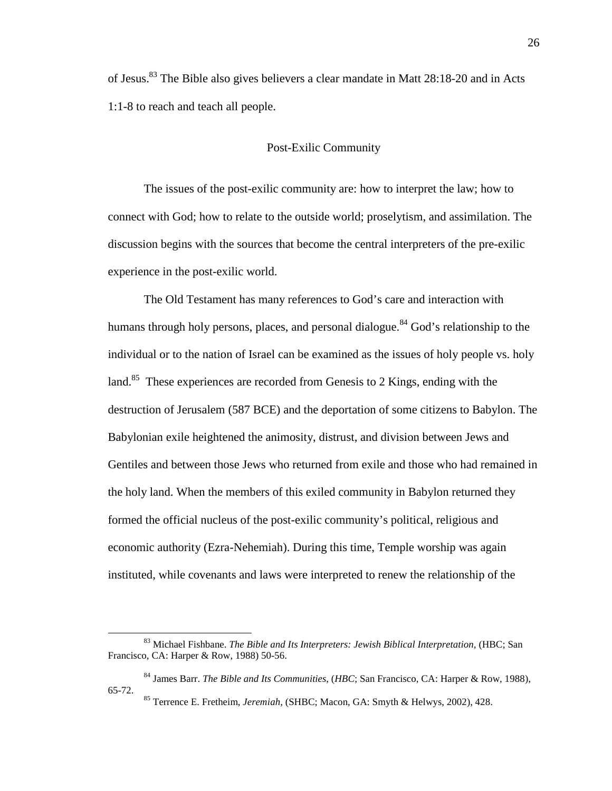of Jesus.<sup>83</sup> The Bible also gives believers a clear mandate in Matt 28:18-20 and in Acts 1:1-8 to reach and teach all people.

### Post-Exilic Community

The issues of the post-exilic community are: how to interpret the law; how to connect with God; how to relate to the outside world; proselytism, and assimilation. The discussion begins with the sources that become the central interpreters of the pre-exilic experience in the post-exilic world.

The Old Testament has many references to God's care and interaction with humans through holy persons, places, and personal dialogue.<sup>84</sup> God's relationship to the individual or to the nation of Israel can be examined as the issues of holy people vs. holy land.<sup>85</sup> These experiences are recorded from Genesis to 2 Kings, ending with the destruction of Jerusalem (587 BCE) and the deportation of some citizens to Babylon. The Babylonian exile heightened the animosity, distrust, and division between Jews and Gentiles and between those Jews who returned from exile and those who had remained in the holy land. When the members of this exiled community in Babylon returned they formed the official nucleus of the post-exilic community's political, religious and economic authority (Ezra-Nehemiah). During this time, Temple worship was again instituted, while covenants and laws were interpreted to renew the relationship of the

<u>.</u>

<sup>83</sup> Michael Fishbane. *The Bible and Its Interpreters: Jewish Biblical Interpretation*, (HBC; San Francisco, CA: Harper & Row, 1988) 50-56.

<sup>84</sup> James Barr. *The Bible and Its Communities*, (*HBC*; San Francisco, CA: Harper & Row, 1988), 65-72.

<sup>85</sup> Terrence E. Fretheim, *Jeremiah,* (SHBC; Macon, GA: Smyth & Helwys, 2002), 428.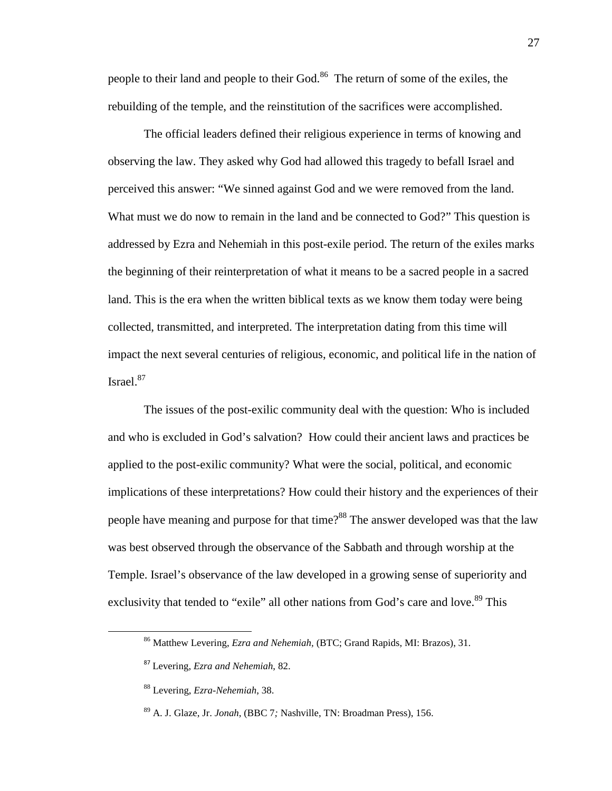people to their land and people to their God.<sup>86</sup> The return of some of the exiles, the rebuilding of the temple, and the reinstitution of the sacrifices were accomplished.

The official leaders defined their religious experience in terms of knowing and observing the law. They asked why God had allowed this tragedy to befall Israel and perceived this answer: "We sinned against God and we were removed from the land. What must we do now to remain in the land and be connected to God?" This question is addressed by Ezra and Nehemiah in this post-exile period. The return of the exiles marks the beginning of their reinterpretation of what it means to be a sacred people in a sacred land. This is the era when the written biblical texts as we know them today were being collected, transmitted, and interpreted. The interpretation dating from this time will impact the next several centuries of religious, economic, and political life in the nation of Israel.<sup>87</sup>

The issues of the post-exilic community deal with the question: Who is included and who is excluded in God's salvation? How could their ancient laws and practices be applied to the post-exilic community? What were the social, political, and economic implications of these interpretations? How could their history and the experiences of their people have meaning and purpose for that time?<sup>88</sup> The answer developed was that the law was best observed through the observance of the Sabbath and through worship at the Temple. Israel's observance of the law developed in a growing sense of superiority and exclusivity that tended to "exile" all other nations from God's care and love.<sup>89</sup> This

<sup>86</sup> Matthew Levering, *Ezra and Nehemiah,* (BTC; Grand Rapids, MI: Brazos), 31.

<sup>87</sup> Levering, *Ezra and Nehemiah*, 82.

<sup>88</sup> Levering, *Ezra-Nehemiah*, 38.

<sup>89</sup> A. J. Glaze, Jr. *Jonah*, (BBC 7*;* Nashville, TN: Broadman Press), 156.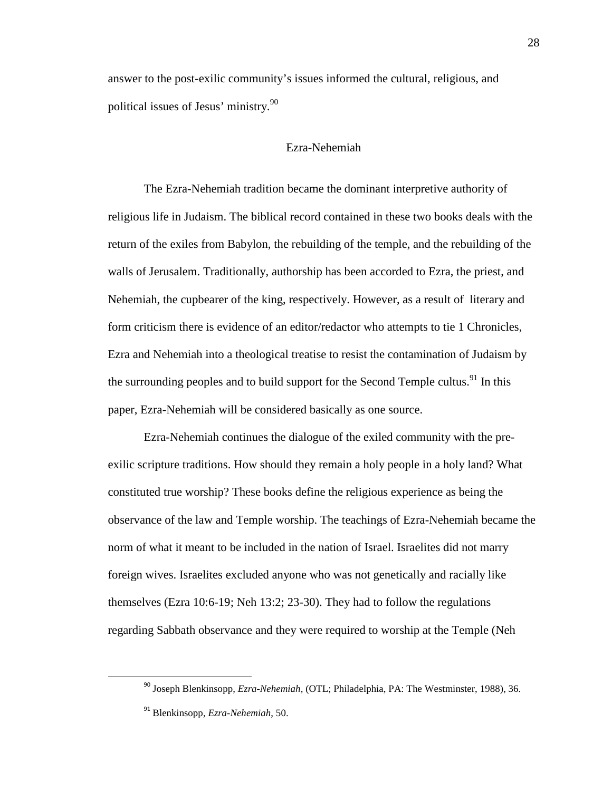answer to the post-exilic community's issues informed the cultural, religious, and political issues of Jesus' ministry.<sup>90</sup>

### Ezra-Nehemiah

The Ezra-Nehemiah tradition became the dominant interpretive authority of religious life in Judaism. The biblical record contained in these two books deals with the return of the exiles from Babylon, the rebuilding of the temple, and the rebuilding of the walls of Jerusalem. Traditionally, authorship has been accorded to Ezra, the priest, and Nehemiah, the cupbearer of the king, respectively. However, as a result of literary and form criticism there is evidence of an editor/redactor who attempts to tie 1 Chronicles, Ezra and Nehemiah into a theological treatise to resist the contamination of Judaism by the surrounding peoples and to build support for the Second Temple cultus.<sup>91</sup> In this paper, Ezra-Nehemiah will be considered basically as one source.

Ezra-Nehemiah continues the dialogue of the exiled community with the preexilic scripture traditions. How should they remain a holy people in a holy land? What constituted true worship? These books define the religious experience as being the observance of the law and Temple worship. The teachings of Ezra-Nehemiah became the norm of what it meant to be included in the nation of Israel. Israelites did not marry foreign wives. Israelites excluded anyone who was not genetically and racially like themselves (Ezra 10:6-19; Neh 13:2; 23-30). They had to follow the regulations regarding Sabbath observance and they were required to worship at the Temple (Neh

<sup>90</sup> Joseph Blenkinsopp, *Ezra-Nehemiah,* (OTL; Philadelphia, PA: The Westminster, 1988), 36.

<sup>91</sup> Blenkinsopp, *Ezra-Nehemiah*, 50.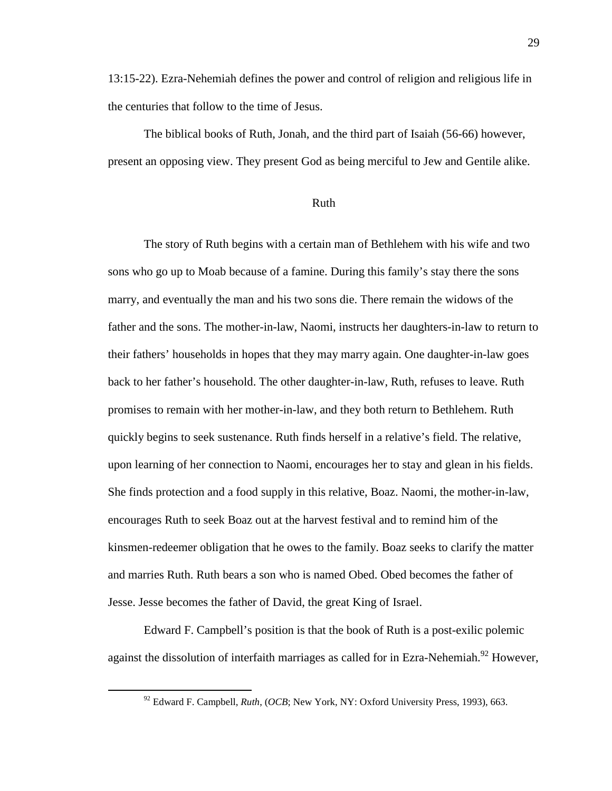13:15-22). Ezra-Nehemiah defines the power and control of religion and religious life in the centuries that follow to the time of Jesus.

The biblical books of Ruth, Jonah, and the third part of Isaiah (56-66) however, present an opposing view. They present God as being merciful to Jew and Gentile alike.

### Ruth

The story of Ruth begins with a certain man of Bethlehem with his wife and two sons who go up to Moab because of a famine. During this family's stay there the sons marry, and eventually the man and his two sons die. There remain the widows of the father and the sons. The mother-in-law, Naomi, instructs her daughters-in-law to return to their fathers' households in hopes that they may marry again. One daughter-in-law goes back to her father's household. The other daughter-in-law, Ruth, refuses to leave. Ruth promises to remain with her mother-in-law, and they both return to Bethlehem. Ruth quickly begins to seek sustenance. Ruth finds herself in a relative's field. The relative, upon learning of her connection to Naomi, encourages her to stay and glean in his fields. She finds protection and a food supply in this relative, Boaz. Naomi, the mother-in-law, encourages Ruth to seek Boaz out at the harvest festival and to remind him of the kinsmen-redeemer obligation that he owes to the family. Boaz seeks to clarify the matter and marries Ruth. Ruth bears a son who is named Obed. Obed becomes the father of Jesse. Jesse becomes the father of David, the great King of Israel.

Edward F. Campbell's position is that the book of Ruth is a post-exilic polemic against the dissolution of interfaith marriages as called for in Ezra-Nehemiah.<sup>92</sup> However,

<sup>92</sup> Edward F. Campbell, *Ruth*, (*OCB*; New York, NY: Oxford University Press, 1993), 663.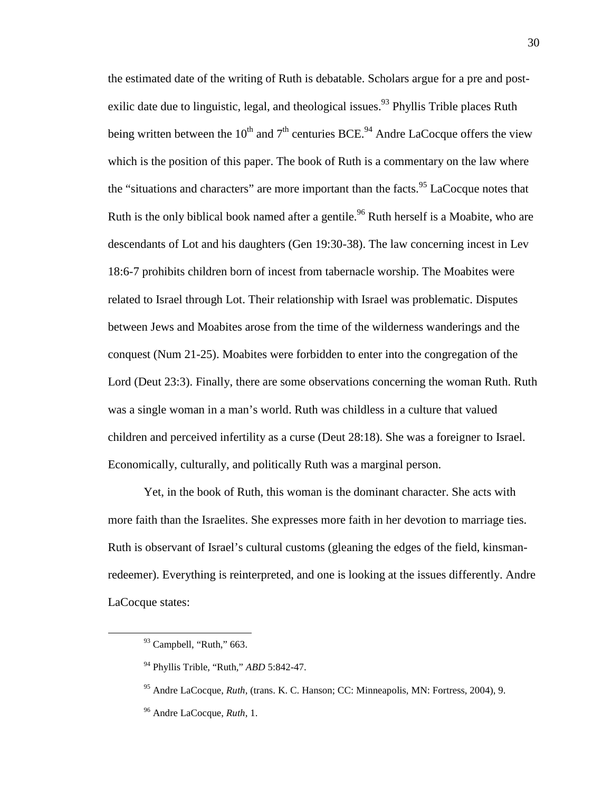the estimated date of the writing of Ruth is debatable. Scholars argue for a pre and postexilic date due to linguistic, legal, and theological issues.<sup>93</sup> Phyllis Trible places Ruth being written between the 10<sup>th</sup> and  $7<sup>th</sup>$  centuries BCE.<sup>94</sup> Andre LaCocque offers the view which is the position of this paper. The book of Ruth is a commentary on the law where the "situations and characters" are more important than the facts.<sup>95</sup> LaCocque notes that Ruth is the only biblical book named after a gentile.<sup>96</sup> Ruth herself is a Moabite, who are descendants of Lot and his daughters (Gen 19:30-38). The law concerning incest in Lev 18:6-7 prohibits children born of incest from tabernacle worship. The Moabites were related to Israel through Lot. Their relationship with Israel was problematic. Disputes between Jews and Moabites arose from the time of the wilderness wanderings and the conquest (Num 21-25). Moabites were forbidden to enter into the congregation of the Lord (Deut 23:3). Finally, there are some observations concerning the woman Ruth. Ruth was a single woman in a man's world. Ruth was childless in a culture that valued children and perceived infertility as a curse (Deut 28:18). She was a foreigner to Israel. Economically, culturally, and politically Ruth was a marginal person.

Yet, in the book of Ruth, this woman is the dominant character. She acts with more faith than the Israelites. She expresses more faith in her devotion to marriage ties. Ruth is observant of Israel's cultural customs (gleaning the edges of the field, kinsmanredeemer). Everything is reinterpreted, and one is looking at the issues differently. Andre LaCocque states:

<sup>&</sup>lt;sup>93</sup> Campbell, "Ruth," 663.

<sup>94</sup> Phyllis Trible, "Ruth*,*" *ABD* 5:842-47.

<sup>95</sup> Andre LaCocque, *Ruth*, (trans. K. C. Hanson; CC: Minneapolis, MN: Fortress, 2004), 9.

<sup>96</sup> Andre LaCocque, *Ruth*, 1.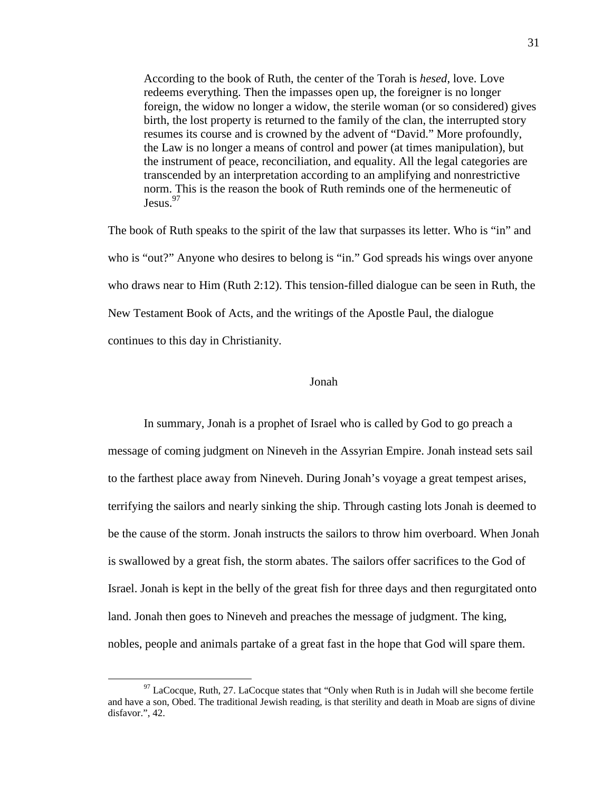According to the book of Ruth, the center of the Torah is *hesed*, love. Love redeems everything. Then the impasses open up, the foreigner is no longer foreign, the widow no longer a widow, the sterile woman (or so considered) gives birth, the lost property is returned to the family of the clan, the interrupted story resumes its course and is crowned by the advent of "David." More profoundly, the Law is no longer a means of control and power (at times manipulation), but the instrument of peace, reconciliation, and equality. All the legal categories are transcended by an interpretation according to an amplifying and nonrestrictive norm. This is the reason the book of Ruth reminds one of the hermeneutic of Jesus.<sup>97</sup>

The book of Ruth speaks to the spirit of the law that surpasses its letter. Who is "in" and who is "out?" Anyone who desires to belong is "in." God spreads his wings over anyone who draws near to Him (Ruth 2:12). This tension-filled dialogue can be seen in Ruth, the New Testament Book of Acts, and the writings of the Apostle Paul, the dialogue continues to this day in Christianity.

#### Jonah

In summary, Jonah is a prophet of Israel who is called by God to go preach a message of coming judgment on Nineveh in the Assyrian Empire. Jonah instead sets sail to the farthest place away from Nineveh. During Jonah's voyage a great tempest arises, terrifying the sailors and nearly sinking the ship. Through casting lots Jonah is deemed to be the cause of the storm. Jonah instructs the sailors to throw him overboard. When Jonah is swallowed by a great fish, the storm abates. The sailors offer sacrifices to the God of Israel. Jonah is kept in the belly of the great fish for three days and then regurgitated onto land. Jonah then goes to Nineveh and preaches the message of judgment. The king, nobles, people and animals partake of a great fast in the hope that God will spare them.

 $97$  LaCocque, Ruth, 27. LaCocque states that "Only when Ruth is in Judah will she become fertile and have a son, Obed. The traditional Jewish reading, is that sterility and death in Moab are signs of divine disfavor.", 42.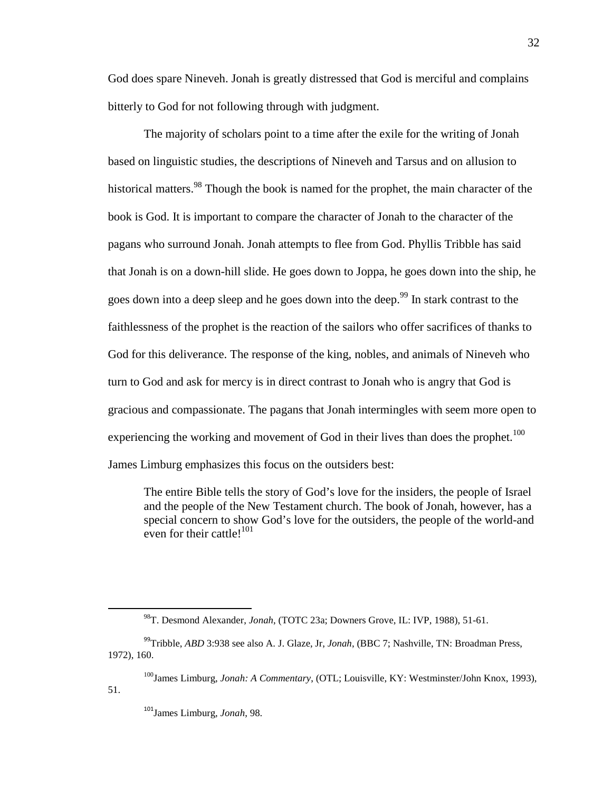God does spare Nineveh. Jonah is greatly distressed that God is merciful and complains bitterly to God for not following through with judgment.

The majority of scholars point to a time after the exile for the writing of Jonah based on linguistic studies, the descriptions of Nineveh and Tarsus and on allusion to historical matters.<sup>98</sup> Though the book is named for the prophet, the main character of the book is God. It is important to compare the character of Jonah to the character of the pagans who surround Jonah. Jonah attempts to flee from God. Phyllis Tribble has said that Jonah is on a down-hill slide. He goes down to Joppa, he goes down into the ship, he goes down into a deep sleep and he goes down into the deep.<sup>99</sup> In stark contrast to the faithlessness of the prophet is the reaction of the sailors who offer sacrifices of thanks to God for this deliverance. The response of the king, nobles, and animals of Nineveh who turn to God and ask for mercy is in direct contrast to Jonah who is angry that God is gracious and compassionate. The pagans that Jonah intermingles with seem more open to experiencing the working and movement of God in their lives than does the prophet.<sup>100</sup> James Limburg emphasizes this focus on the outsiders best:

The entire Bible tells the story of God's love for the insiders, the people of Israel and the people of the New Testament church. The book of Jonah, however, has a special concern to show God's love for the outsiders, the people of the world-and even for their cattle! $101$ 

<sup>101</sup>James Limburg, *Jonah*, 98.

<sup>98</sup>T. Desmond Alexander, *Jonah*, (TOTC 23a; Downers Grove, IL: IVP, 1988), 51-61.

<sup>99</sup>Tribble, *ABD* 3:938 see also A. J. Glaze, Jr, *Jonah*, (BBC 7; Nashville, TN: Broadman Press, 1972), 160.

<sup>100</sup>James Limburg, *Jonah: A Commentary*, (OTL; Louisville, KY: Westminster/John Knox, 1993), 51.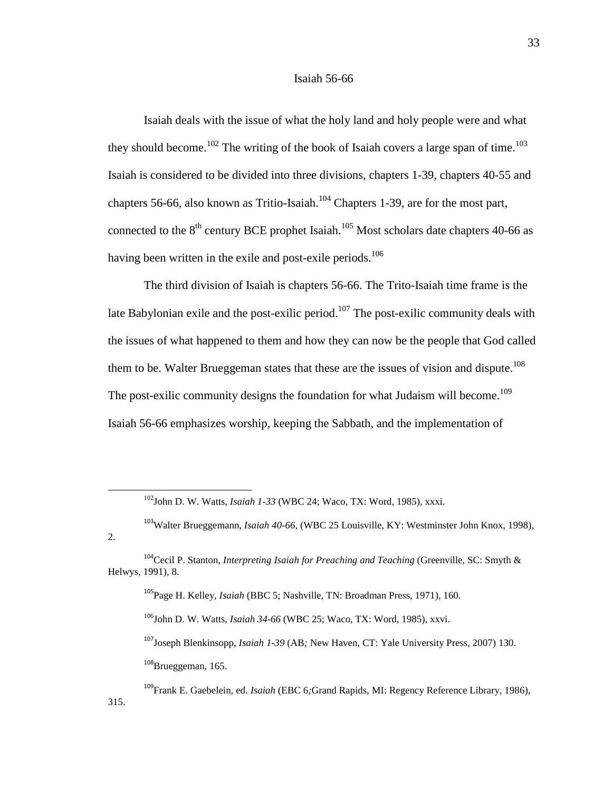#### Isaiah 56-66

Isaiah deals with the issue of what the holy land and holy people were and what they should become.<sup>102</sup> The writing of the book of Isaiah covers a large span of time.<sup>103</sup> Isaiah is considered to be divided into three divisions, chapters 1-39, chapters 40-55 and chapters 56-66, also known as Tritio-Isaiah. $104$  Chapters 1-39, are for the most part, connected to the  $8<sup>th</sup>$  century BCE prophet Isaiah.<sup>105</sup> Most scholars date chapters 40-66 as having been written in the exile and post-exile periods.<sup>106</sup>

The third division of Isaiah is chapters 56-66. The Trito-Isaiah time frame is the late Babylonian exile and the post-exilic period.<sup>107</sup> The post-exilic community deals with the issues of what happened to them and how they can now be the people that God called them to be. Walter Brueggeman states that these are the issues of vision and dispute.<sup>108</sup> The post-exilic community designs the foundation for what Judaism will become.<sup>109</sup> Isaiah 56-66 emphasizes worship, keeping the Sabbath, and the implementation of

<u>.</u>

315.

<sup>106</sup>John D. W. Watts, *Isaiah 34-66* (WBC 25; Waco, TX: Word, 1985), xxvi.

<sup>107</sup>Joseph Blenkinsopp, *Isaiah 1-39* (AB*;* New Haven, CT: Yale University Press, 2007) 130. <sup>108</sup>Brueggeman, 165.

<sup>102</sup>John D. W. Watts, *Isaiah 1-33* (WBC 24; Waco, TX: Word, 1985), xxxi.

<sup>103</sup>Walter Brueggemann, *Isaiah 40-66*, (WBC 25 Louisville, KY: Westminster John Knox, 1998), 2.

<sup>&</sup>lt;sup>104</sup>Cecil P. Stanton, *Interpreting Isaiah for Preaching and Teaching* (Greenville, SC: Smyth & Helwys, 1991), 8.

<sup>105</sup>Page H. Kelley, *Isaiah* (BBC 5; Nashville, TN: Broadman Press, 1971), 160.

<sup>109</sup>Frank E. Gaebelein, ed. *Isaiah* (EBC 6*;*Grand Rapids, MI: Regency Reference Library, 1986),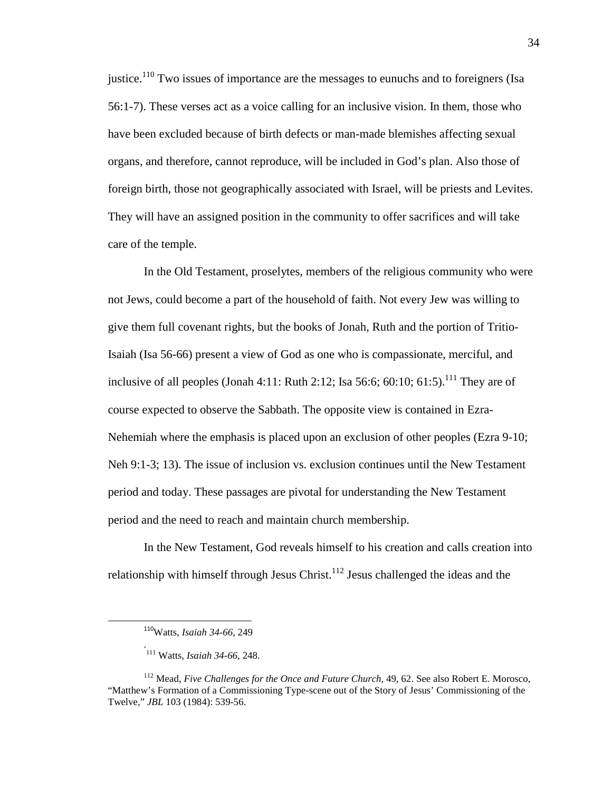justice.<sup>110</sup> Two issues of importance are the messages to eunuchs and to foreigners (Isa 56:1-7). These verses act as a voice calling for an inclusive vision. In them, those who have been excluded because of birth defects or man-made blemishes affecting sexual organs, and therefore, cannot reproduce, will be included in God's plan. Also those of foreign birth, those not geographically associated with Israel, will be priests and Levites. They will have an assigned position in the community to offer sacrifices and will take care of the temple.

In the Old Testament, proselytes, members of the religious community who were not Jews, could become a part of the household of faith. Not every Jew was willing to give them full covenant rights, but the books of Jonah, Ruth and the portion of Tritio-Isaiah (Isa 56-66) present a view of God as one who is compassionate, merciful, and inclusive of all peoples (Jonah 4:11: Ruth 2:12; Isa 56:6; 60:10; 61:5).<sup>111</sup> They are of course expected to observe the Sabbath. The opposite view is contained in Ezra-Nehemiah where the emphasis is placed upon an exclusion of other peoples (Ezra 9-10; Neh 9:1-3; 13). The issue of inclusion vs. exclusion continues until the New Testament period and today. These passages are pivotal for understanding the New Testament period and the need to reach and maintain church membership.

In the New Testament, God reveals himself to his creation and calls creation into relationship with himself through Jesus Christ.<sup>112</sup> Jesus challenged the ideas and the

-

.

<sup>110</sup>Watts, *Isaiah 34-66*, 249

<sup>111</sup> Watts, *Isaiah 34-66*, 248.

<sup>112</sup> Mead, *Five Challenges for the Once and Future Church,* 49, 62. See also Robert E. Morosco, "Matthew's Formation of a Commissioning Type-scene out of the Story of Jesus' Commissioning of the Twelve," *JBL* 103 (1984): 539-56.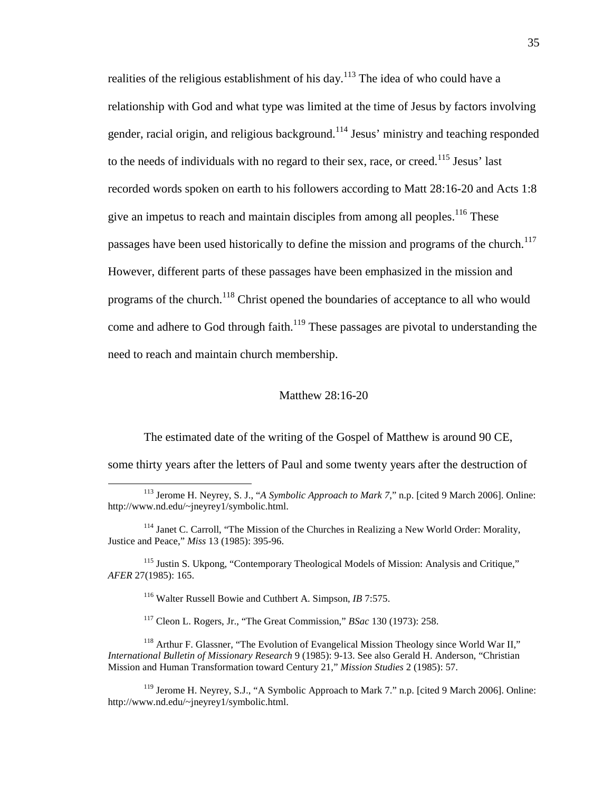realities of the religious establishment of his day.<sup>113</sup> The idea of who could have a relationship with God and what type was limited at the time of Jesus by factors involving gender, racial origin, and religious background.<sup>114</sup> Jesus' ministry and teaching responded to the needs of individuals with no regard to their sex, race, or creed.<sup>115</sup> Jesus' last recorded words spoken on earth to his followers according to Matt 28:16-20 and Acts 1:8 give an impetus to reach and maintain disciples from among all peoples.<sup>116</sup> These passages have been used historically to define the mission and programs of the church.<sup>117</sup> However, different parts of these passages have been emphasized in the mission and programs of the church.<sup>118</sup> Christ opened the boundaries of acceptance to all who would come and adhere to God through faith.<sup>119</sup> These passages are pivotal to understanding the need to reach and maintain church membership.

# Matthew 28:16-20

The estimated date of the writing of the Gospel of Matthew is around 90 CE, some thirty years after the letters of Paul and some twenty years after the destruction of

<sup>115</sup> Justin S. Ukpong, "Contemporary Theological Models of Mission: Analysis and Critique," *AFER* 27(1985): 165.

<sup>116</sup> Walter Russell Bowie and Cuthbert A. Simpson, *IB* 7:575.

 $\overline{a}$ 

<sup>117</sup> Cleon L. Rogers, Jr., "The Great Commission," *BSac* 130 (1973): 258.

<sup>118</sup> Arthur F. Glassner, "The Evolution of Evangelical Mission Theology since World War II," *International Bulletin of Missionary Research* 9 (1985): 9-13. See also Gerald H. Anderson, "Christian Mission and Human Transformation toward Century 21," *Mission Studies* 2 (1985): 57.

<sup>119</sup> Jerome H. Neyrey, S.J., "A Symbolic Approach to Mark 7." n.p. [cited 9 March 2006]. Online: http://www.nd.edu/~jneyrey1/symbolic.html.

<sup>113</sup> Jerome H. Neyrey, S. J., "*A Symbolic Approach to Mark 7*," n.p. [cited 9 March 2006]. Online: http://www.nd.edu/~jneyrey1/symbolic.html.

<sup>&</sup>lt;sup>114</sup> Janet C. Carroll, "The Mission of the Churches in Realizing a New World Order: Morality, Justice and Peace," *Miss* 13 (1985): 395-96.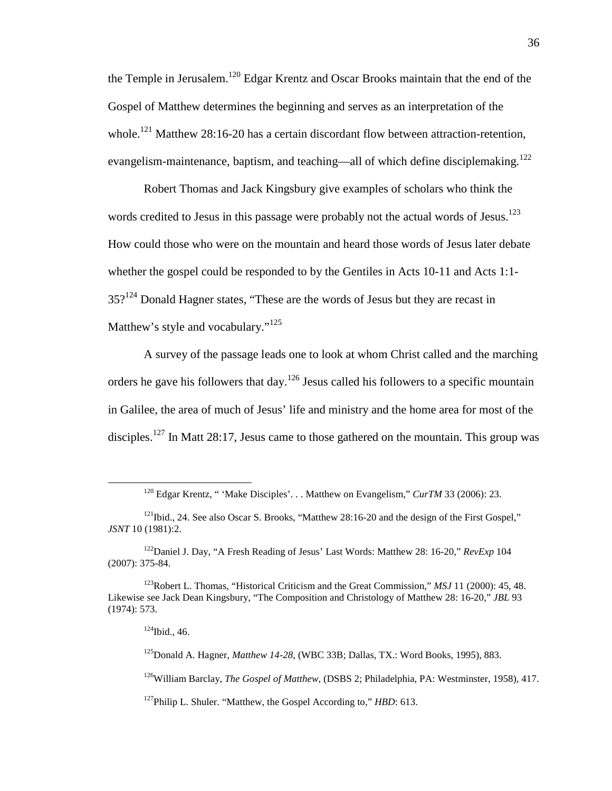the Temple in Jerusalem.<sup>120</sup> Edgar Krentz and Oscar Brooks maintain that the end of the Gospel of Matthew determines the beginning and serves as an interpretation of the whole.<sup>121</sup> Matthew 28:16-20 has a certain discordant flow between attraction-retention, evangelism-maintenance, baptism, and teaching—all of which define disciplemaking.<sup>122</sup>

Robert Thomas and Jack Kingsbury give examples of scholars who think the words credited to Jesus in this passage were probably not the actual words of Jesus.<sup>123</sup> How could those who were on the mountain and heard those words of Jesus later debate whether the gospel could be responded to by the Gentiles in Acts 10-11 and Acts 1:1- $35$ ?<sup>124</sup> Donald Hagner states, "These are the words of Jesus but they are recast in Matthew's style and vocabulary."<sup>125</sup>

A survey of the passage leads one to look at whom Christ called and the marching orders he gave his followers that day.<sup>126</sup> Jesus called his followers to a specific mountain in Galilee, the area of much of Jesus' life and ministry and the home area for most of the disciples.<sup>127</sup> In Matt 28:17, Jesus came to those gathered on the mountain. This group was

 $\overline{a}$ 

<sup>125</sup>Donald A. Hagner, *Matthew 14-28*, (WBC 33B; Dallas, TX.: Word Books, 1995), 883.

<sup>126</sup>William Barclay, *The Gospel of Matthew*, (DSBS 2; Philadelphia, PA: Westminster, 1958), 417.

<sup>127</sup>Philip L. Shuler. "Matthew, the Gospel According to," *HBD*: 613.

<sup>120</sup> Edgar Krentz, " 'Make Disciples'. . . Matthew on Evangelism," *CurTM* 33 (2006): 23.

<sup>&</sup>lt;sup>121</sup>Ibid., 24. See also Oscar S. Brooks, "Matthew 28:16-20 and the design of the First Gospel," *JSNT* 10 (1981):2.

<sup>122</sup>Daniel J. Day, "A Fresh Reading of Jesus' Last Words: Matthew 28: 16-20," *RevExp* 104 (2007): 375-84.

<sup>123</sup>Robert L. Thomas, "Historical Criticism and the Great Commission," *MSJ* 11 (2000): 45, 48. Likewise see Jack Dean Kingsbury, "The Composition and Christology of Matthew 28: 16-20," *JBL* 93 (1974): 573.

 $124$ Ibid., 46.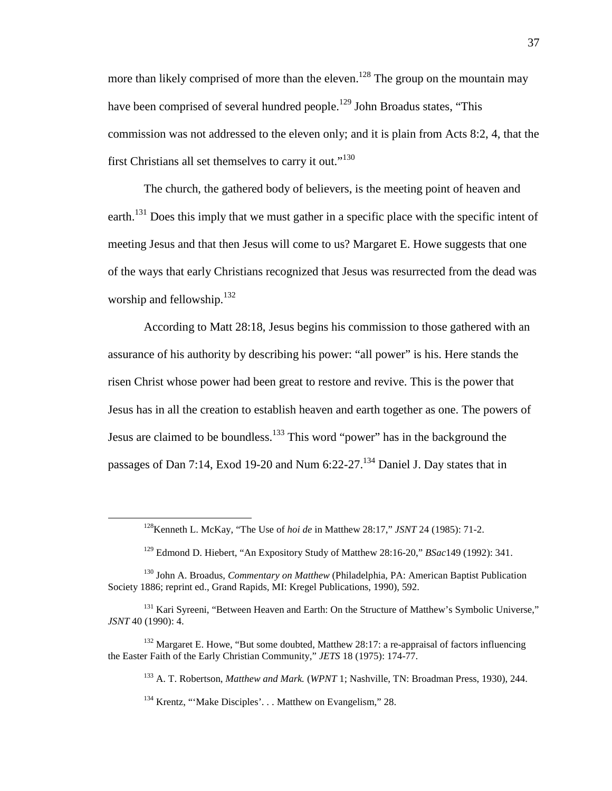more than likely comprised of more than the eleven.<sup>128</sup> The group on the mountain may have been comprised of several hundred people.<sup>129</sup> John Broadus states, "This commission was not addressed to the eleven only; and it is plain from Acts 8:2, 4, that the first Christians all set themselves to carry it out."<sup>130</sup>

The church, the gathered body of believers, is the meeting point of heaven and earth.<sup>131</sup> Does this imply that we must gather in a specific place with the specific intent of meeting Jesus and that then Jesus will come to us? Margaret E. Howe suggests that one of the ways that early Christians recognized that Jesus was resurrected from the dead was worship and fellowship. $132$ 

According to Matt 28:18, Jesus begins his commission to those gathered with an assurance of his authority by describing his power: "all power" is his. Here stands the risen Christ whose power had been great to restore and revive. This is the power that Jesus has in all the creation to establish heaven and earth together as one. The powers of Jesus are claimed to be boundless.<sup>133</sup> This word "power" has in the background the passages of Dan 7:14, Exod 19-20 and Num 6:22-27.<sup>134</sup> Daniel J. Day states that in

<sup>128</sup>Kenneth L. McKay, "The Use of *hoi de* in Matthew 28:17," *JSNT* 24 (1985): 71-2.

<sup>129</sup> Edmond D. Hiebert, "An Expository Study of Matthew 28:16-20," *BSac*149 (1992): 341.

<sup>130</sup> John A. Broadus, *Commentary on Matthew* (Philadelphia, PA: American Baptist Publication Society 1886; reprint ed., Grand Rapids, MI: Kregel Publications, 1990), 592.

<sup>&</sup>lt;sup>131</sup> Kari Syreeni, "Between Heaven and Earth: On the Structure of Matthew's Symbolic Universe," *JSNT* 40 (1990): 4.

 $132$  Margaret E. Howe, "But some doubted, Matthew 28:17: a re-appraisal of factors influencing the Easter Faith of the Early Christian Community," *JETS* 18 (1975): 174-77.

<sup>133</sup> A. T. Robertson, *Matthew and Mark.* (*WPNT* 1; Nashville, TN: Broadman Press, 1930), 244.

<sup>&</sup>lt;sup>134</sup> Krentz, "'Make Disciples'... Matthew on Evangelism." 28.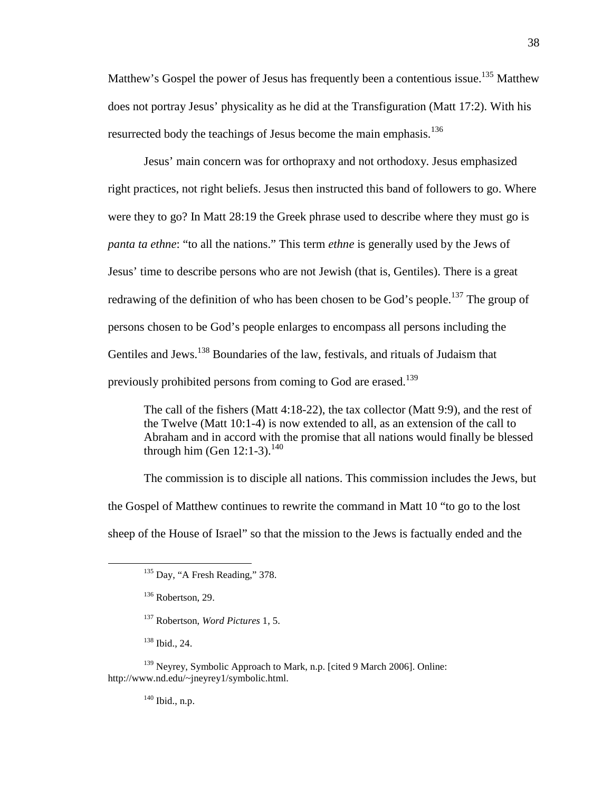Matthew's Gospel the power of Jesus has frequently been a contentious issue.<sup>135</sup> Matthew does not portray Jesus' physicality as he did at the Transfiguration (Matt 17:2). With his resurrected body the teachings of Jesus become the main emphasis.<sup>136</sup>

Jesus' main concern was for orthopraxy and not orthodoxy. Jesus emphasized right practices, not right beliefs. Jesus then instructed this band of followers to go. Where were they to go? In Matt 28:19 the Greek phrase used to describe where they must go is *panta ta ethne*: "to all the nations." This term *ethne* is generally used by the Jews of Jesus' time to describe persons who are not Jewish (that is, Gentiles). There is a great redrawing of the definition of who has been chosen to be God's people.<sup>137</sup> The group of persons chosen to be God's people enlarges to encompass all persons including the Gentiles and Jews.<sup>138</sup> Boundaries of the law, festivals, and rituals of Judaism that previously prohibited persons from coming to God are erased.<sup>139</sup>

The call of the fishers (Matt 4:18-22), the tax collector (Matt 9:9), and the rest of the Twelve (Matt 10:1-4) is now extended to all, as an extension of the call to Abraham and in accord with the promise that all nations would finally be blessed through him (Gen  $12:1-3$ ).<sup>140</sup>

The commission is to disciple all nations. This commission includes the Jews, but the Gospel of Matthew continues to rewrite the command in Matt 10 "to go to the lost sheep of the House of Israel" so that the mission to the Jews is factually ended and the

<sup>138</sup> Ibid., 24.

<u>.</u>

 $140$  Ibid., n.p.

 $135$  Day, "A Fresh Reading," 378.

<sup>&</sup>lt;sup>136</sup> Robertson, 29.

<sup>137</sup> Robertson, *Word Pictures* 1, 5.

<sup>&</sup>lt;sup>139</sup> Neyrey, Symbolic Approach to Mark, n.p. [cited 9 March 2006]. Online: http://www.nd.edu/~jneyrey1/symbolic.html.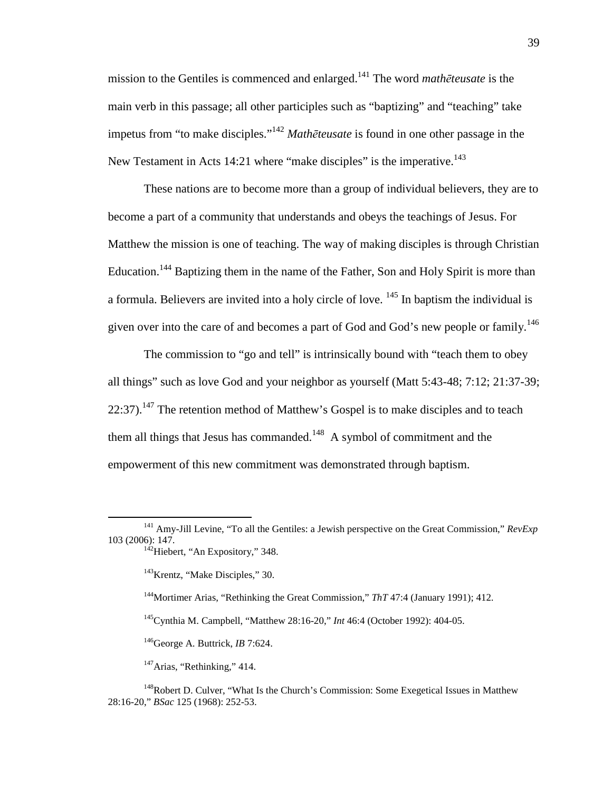mission to the Gentiles is commenced and enlarged.<sup>141</sup> The word *math*ē*teusate* is the main verb in this passage; all other participles such as "baptizing" and "teaching" take impetus from "to make disciples."<sup>142</sup> *Math*ē*teusate* is found in one other passage in the New Testament in Acts 14:21 where "make disciples" is the imperative.<sup>143</sup>

These nations are to become more than a group of individual believers, they are to become a part of a community that understands and obeys the teachings of Jesus. For Matthew the mission is one of teaching. The way of making disciples is through Christian Education.<sup>144</sup> Baptizing them in the name of the Father, Son and Holy Spirit is more than a formula. Believers are invited into a holy circle of love.  $145$  In baptism the individual is given over into the care of and becomes a part of God and God's new people or family.<sup>146</sup>

The commission to "go and tell" is intrinsically bound with "teach them to obey all things" such as love God and your neighbor as yourself (Matt 5:43-48; 7:12; 21:37-39;  $22:37$ ).<sup>147</sup> The retention method of Matthew's Gospel is to make disciples and to teach them all things that Jesus has commanded.<sup>148</sup> A symbol of commitment and the empowerment of this new commitment was demonstrated through baptism.

<u>.</u>

<sup>&</sup>lt;sup>141</sup> Amy-Jill Levine, "To all the Gentiles: a Jewish perspective on the Great Commission,"  $RevExp$ 103 (2006): 147. <sup>142</sup>Hiebert, "An Expository," 348.

<sup>&</sup>lt;sup>143</sup>Krentz, "Make Disciples," 30.

<sup>&</sup>lt;sup>144</sup>Mortimer Arias, "Rethinking the Great Commission," *ThT* 47:4 (January 1991); 412.

<sup>145</sup>Cynthia M. Campbell, "Matthew 28:16-20," *Int* 46:4 (October 1992): 404-05.

<sup>146</sup>George A. Buttrick, *IB* 7:624.

 $147$ Arias, "Rethinking," 414.

<sup>&</sup>lt;sup>148</sup>Robert D. Culver, "What Is the Church's Commission: Some Exegetical Issues in Matthew 28:16-20," *BSac* 125 (1968): 252-53.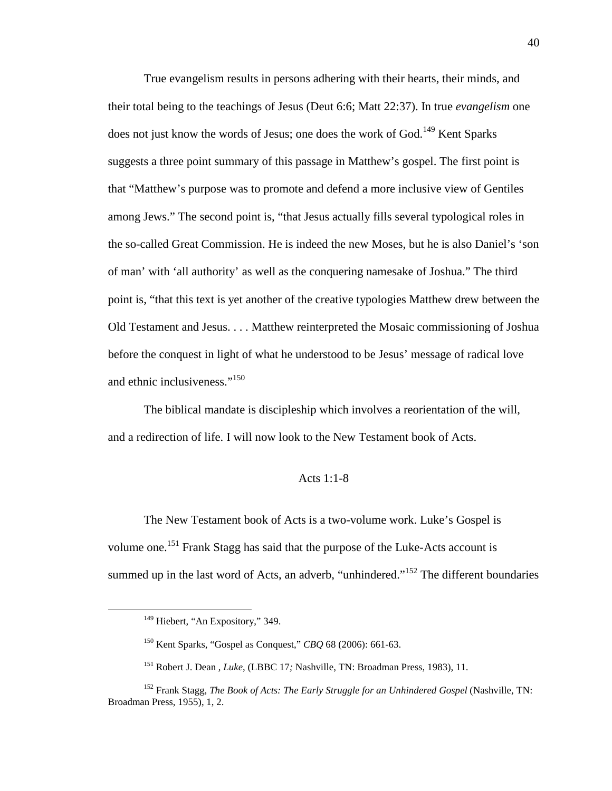True evangelism results in persons adhering with their hearts, their minds, and their total being to the teachings of Jesus (Deut 6:6; Matt 22:37). In true *evangelism* one does not just know the words of Jesus; one does the work of God.<sup>149</sup> Kent Sparks suggests a three point summary of this passage in Matthew's gospel. The first point is that "Matthew's purpose was to promote and defend a more inclusive view of Gentiles among Jews." The second point is, "that Jesus actually fills several typological roles in the so-called Great Commission. He is indeed the new Moses, but he is also Daniel's 'son of man' with 'all authority' as well as the conquering namesake of Joshua." The third point is, "that this text is yet another of the creative typologies Matthew drew between the Old Testament and Jesus. . . . Matthew reinterpreted the Mosaic commissioning of Joshua before the conquest in light of what he understood to be Jesus' message of radical love and ethnic inclusiveness."<sup>150</sup>

The biblical mandate is discipleship which involves a reorientation of the will, and a redirection of life. I will now look to the New Testament book of Acts.

### Acts 1:1-8

The New Testament book of Acts is a two-volume work. Luke's Gospel is volume one.<sup>151</sup> Frank Stagg has said that the purpose of the Luke-Acts account is summed up in the last word of Acts, an adverb, "unhindered."<sup>152</sup> The different boundaries

<sup>&</sup>lt;sup>149</sup> Hiebert, "An Expository," 349.

<sup>150</sup> Kent Sparks, "Gospel as Conquest," *CBQ* 68 (2006): 661-63.

<sup>151</sup> Robert J. Dean , *Luke*, (LBBC 17*;* Nashville, TN: Broadman Press, 1983), 11.

<sup>152</sup> Frank Stagg, *The Book of Acts: The Early Struggle for an Unhindered Gospel* (Nashville, TN: Broadman Press, 1955), 1, 2.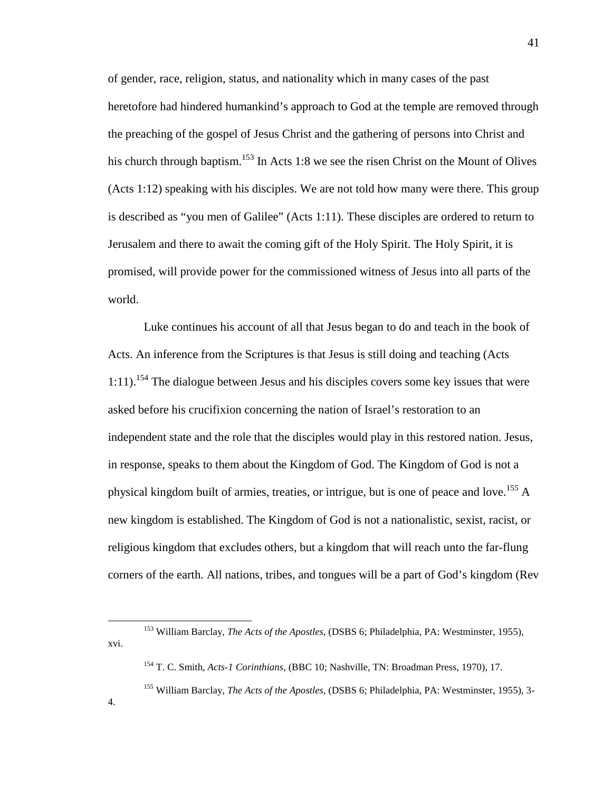of gender, race, religion, status, and nationality which in many cases of the past heretofore had hindered humankind's approach to God at the temple are removed through the preaching of the gospel of Jesus Christ and the gathering of persons into Christ and his church through baptism.<sup>153</sup> In Acts 1:8 we see the risen Christ on the Mount of Olives (Acts 1:12) speaking with his disciples. We are not told how many were there. This group is described as "you men of Galilee" (Acts 1:11). These disciples are ordered to return to Jerusalem and there to await the coming gift of the Holy Spirit. The Holy Spirit, it is promised, will provide power for the commissioned witness of Jesus into all parts of the world.

Luke continues his account of all that Jesus began to do and teach in the book of Acts. An inference from the Scriptures is that Jesus is still doing and teaching (Acts  $1:11$ ).<sup>154</sup> The dialogue between Jesus and his disciples covers some key issues that were asked before his crucifixion concerning the nation of Israel's restoration to an independent state and the role that the disciples would play in this restored nation. Jesus, in response, speaks to them about the Kingdom of God. The Kingdom of God is not a physical kingdom built of armies, treaties, or intrigue, but is one of peace and love.<sup>155</sup> A new kingdom is established. The Kingdom of God is not a nationalistic, sexist, racist, or religious kingdom that excludes others, but a kingdom that will reach unto the far-flung corners of the earth. All nations, tribes, and tongues will be a part of God's kingdom (Rev

 $\overline{a}$ 

4.

<sup>153</sup> William Barclay, *The Acts of the Apostles*, (DSBS 6; Philadelphia, PA: Westminster, 1955), xvi.

<sup>154</sup> T. C. Smith, *Acts-1 Corinthians*, (BBC 10; Nashville, TN: Broadman Press, 1970), 17.

<sup>155</sup> William Barclay, *The Acts of the Apostles*, (DSBS 6; Philadelphia, PA: Westminster, 1955), 3-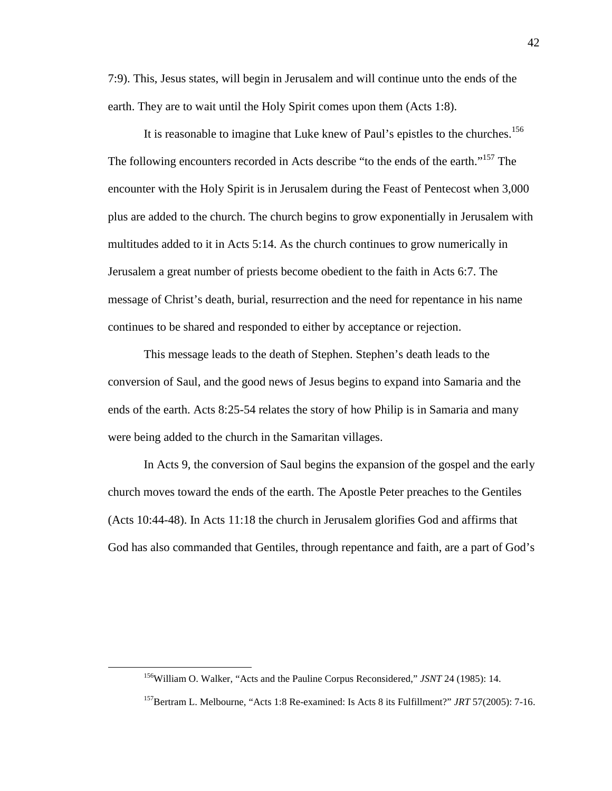7:9). This, Jesus states, will begin in Jerusalem and will continue unto the ends of the earth. They are to wait until the Holy Spirit comes upon them (Acts 1:8).

It is reasonable to imagine that Luke knew of Paul's epistles to the churches.<sup>156</sup> The following encounters recorded in Acts describe "to the ends of the earth."<sup>157</sup> The encounter with the Holy Spirit is in Jerusalem during the Feast of Pentecost when 3,000 plus are added to the church. The church begins to grow exponentially in Jerusalem with multitudes added to it in Acts 5:14. As the church continues to grow numerically in Jerusalem a great number of priests become obedient to the faith in Acts 6:7. The message of Christ's death, burial, resurrection and the need for repentance in his name continues to be shared and responded to either by acceptance or rejection.

This message leads to the death of Stephen. Stephen's death leads to the conversion of Saul, and the good news of Jesus begins to expand into Samaria and the ends of the earth. Acts 8:25-54 relates the story of how Philip is in Samaria and many were being added to the church in the Samaritan villages.

In Acts 9, the conversion of Saul begins the expansion of the gospel and the early church moves toward the ends of the earth. The Apostle Peter preaches to the Gentiles (Acts 10:44-48). In Acts 11:18 the church in Jerusalem glorifies God and affirms that God has also commanded that Gentiles, through repentance and faith, are a part of God's

<sup>156</sup>William O. Walker, "Acts and the Pauline Corpus Reconsidered," *JSNT* 24 (1985): 14.

<sup>157</sup>Bertram L. Melbourne, "Acts 1:8 Re-examined: Is Acts 8 its Fulfillment?" *JRT* 57(2005): 7-16.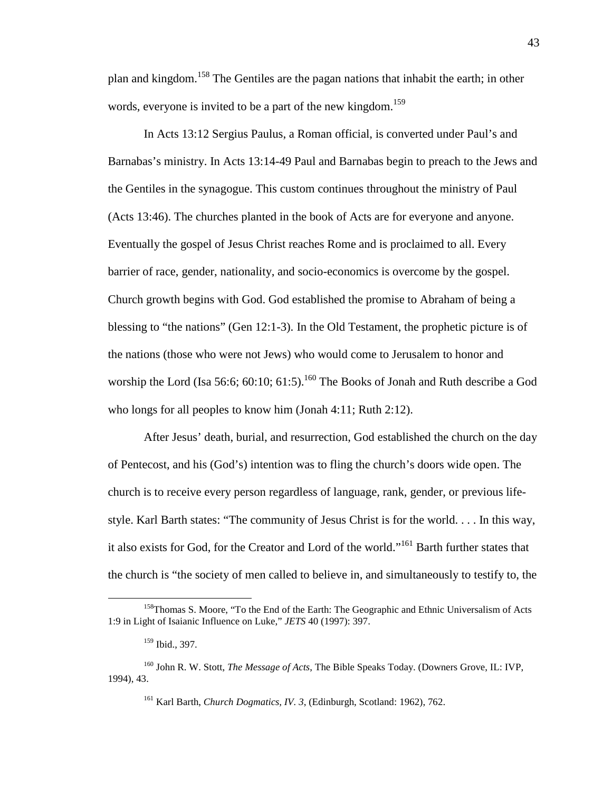plan and kingdom.<sup>158</sup> The Gentiles are the pagan nations that inhabit the earth; in other words, everyone is invited to be a part of the new kingdom.<sup>159</sup>

In Acts 13:12 Sergius Paulus, a Roman official, is converted under Paul's and Barnabas's ministry. In Acts 13:14-49 Paul and Barnabas begin to preach to the Jews and the Gentiles in the synagogue. This custom continues throughout the ministry of Paul (Acts 13:46). The churches planted in the book of Acts are for everyone and anyone. Eventually the gospel of Jesus Christ reaches Rome and is proclaimed to all. Every barrier of race, gender, nationality, and socio-economics is overcome by the gospel. Church growth begins with God. God established the promise to Abraham of being a blessing to "the nations" (Gen 12:1-3). In the Old Testament, the prophetic picture is of the nations (those who were not Jews) who would come to Jerusalem to honor and worship the Lord (Isa 56:6; 60:10; 61:5).<sup>160</sup> The Books of Jonah and Ruth describe a God who longs for all peoples to know him (Jonah 4:11; Ruth 2:12).

After Jesus' death, burial, and resurrection, God established the church on the day of Pentecost, and his (God's) intention was to fling the church's doors wide open. The church is to receive every person regardless of language, rank, gender, or previous lifestyle. Karl Barth states: "The community of Jesus Christ is for the world. . . . In this way, it also exists for God, for the Creator and Lord of the world."<sup>161</sup> Barth further states that the church is "the society of men called to believe in, and simultaneously to testify to, the

<u>.</u>

<sup>&</sup>lt;sup>158</sup>Thomas S. Moore, "To the End of the Earth: The Geographic and Ethnic Universalism of Acts 1:9 in Light of Isaianic Influence on Luke," *JETS* 40 (1997): 397.

<sup>159</sup> Ibid., 397.

<sup>160</sup> John R. W. Stott, *The Message of Acts*, The Bible Speaks Today. (Downers Grove, IL: IVP, 1994), 43.

<sup>161</sup> Karl Barth, *Church Dogmatics, IV. 3*, (Edinburgh, Scotland: 1962), 762.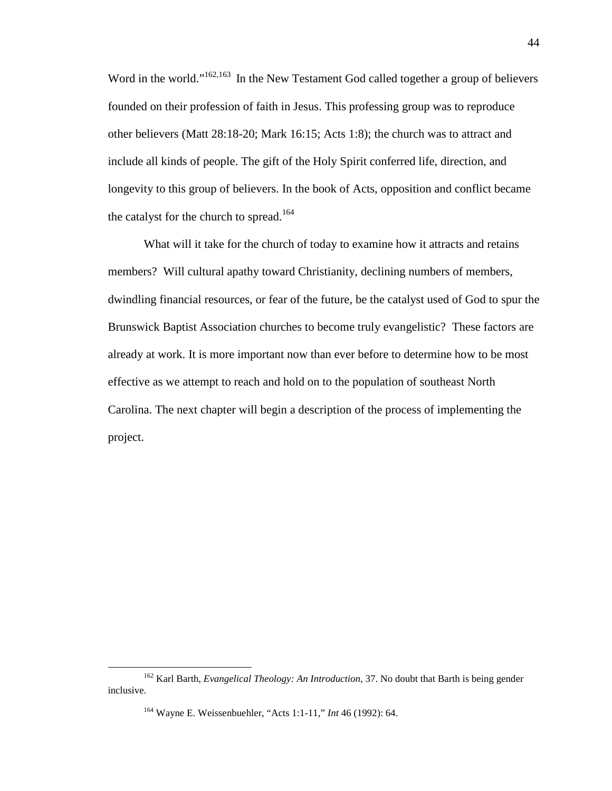Word in the world."<sup>162,163</sup> In the New Testament God called together a group of believers founded on their profession of faith in Jesus. This professing group was to reproduce other believers (Matt 28:18-20; Mark 16:15; Acts 1:8); the church was to attract and include all kinds of people. The gift of the Holy Spirit conferred life, direction, and longevity to this group of believers. In the book of Acts, opposition and conflict became the catalyst for the church to spread.<sup>164</sup>

What will it take for the church of today to examine how it attracts and retains members? Will cultural apathy toward Christianity, declining numbers of members, dwindling financial resources, or fear of the future, be the catalyst used of God to spur the Brunswick Baptist Association churches to become truly evangelistic? These factors are already at work. It is more important now than ever before to determine how to be most effective as we attempt to reach and hold on to the population of southeast North Carolina. The next chapter will begin a description of the process of implementing the project.

<u>.</u>

<sup>162</sup> Karl Barth, *Evangelical Theology: An Introduction*, 37. No doubt that Barth is being gender inclusive.

<sup>164</sup> Wayne E. Weissenbuehler, "Acts 1:1-11," *Int* 46 (1992): 64.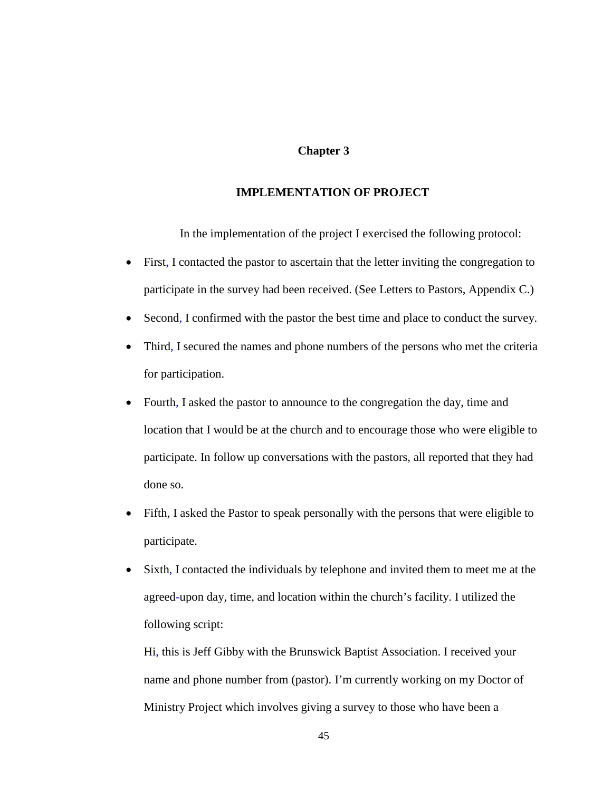# **Chapter 3**

# **IMPLEMENTATION OF PROJECT**

In the implementation of the project I exercised the following protocol:

- First, I contacted the pastor to ascertain that the letter inviting the congregation to participate in the survey had been received. (See Letters to Pastors, Appendix C.)
- Second, I confirmed with the pastor the best time and place to conduct the survey.
- Third, I secured the names and phone numbers of the persons who met the criteria for participation.
- Fourth, I asked the pastor to announce to the congregation the day, time and location that I would be at the church and to encourage those who were eligible to participate. In follow up conversations with the pastors, all reported that they had done so.
- Fifth, I asked the Pastor to speak personally with the persons that were eligible to participate.
- Sixth, I contacted the individuals by telephone and invited them to meet me at the agreed-upon day, time, and location within the church's facility. I utilized the following script:

Hi, this is Jeff Gibby with the Brunswick Baptist Association. I received your name and phone number from (pastor). I'm currently working on my Doctor of Ministry Project which involves giving a survey to those who have been a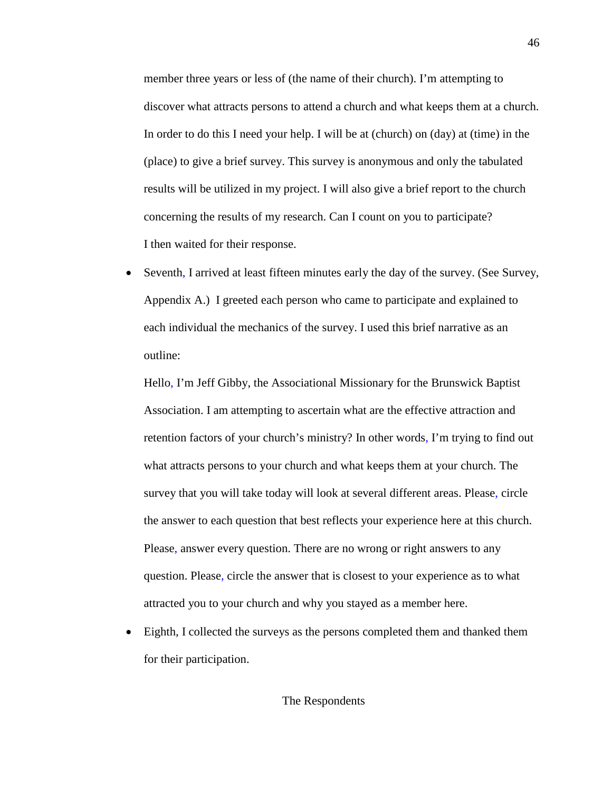member three years or less of (the name of their church). I'm attempting to discover what attracts persons to attend a church and what keeps them at a church. In order to do this I need your help. I will be at (church) on (day) at (time) in the (place) to give a brief survey. This survey is anonymous and only the tabulated results will be utilized in my project. I will also give a brief report to the church concerning the results of my research. Can I count on you to participate? I then waited for their response.

• Seventh, I arrived at least fifteen minutes early the day of the survey. (See Survey, Appendix A.) I greeted each person who came to participate and explained to each individual the mechanics of the survey. I used this brief narrative as an outline:

Hello, I'm Jeff Gibby, the Associational Missionary for the Brunswick Baptist Association. I am attempting to ascertain what are the effective attraction and retention factors of your church's ministry? In other words, I'm trying to find out what attracts persons to your church and what keeps them at your church. The survey that you will take today will look at several different areas. Please, circle the answer to each question that best reflects your experience here at this church. Please, answer every question. There are no wrong or right answers to any question. Please, circle the answer that is closest to your experience as to what attracted you to your church and why you stayed as a member here.

• Eighth, I collected the surveys as the persons completed them and thanked them for their participation.

# The Respondents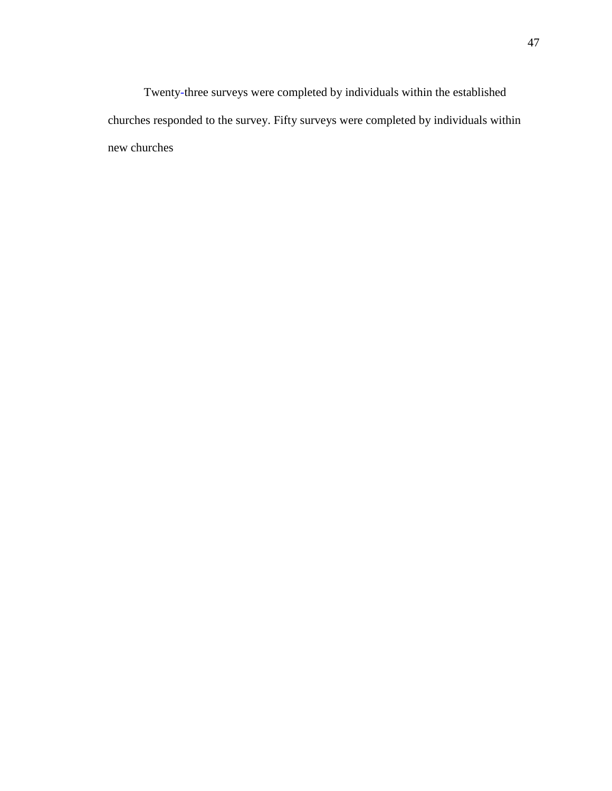Twenty-three surveys were completed by individuals within the established churches responded to the survey. Fifty surveys were completed by individuals within new churches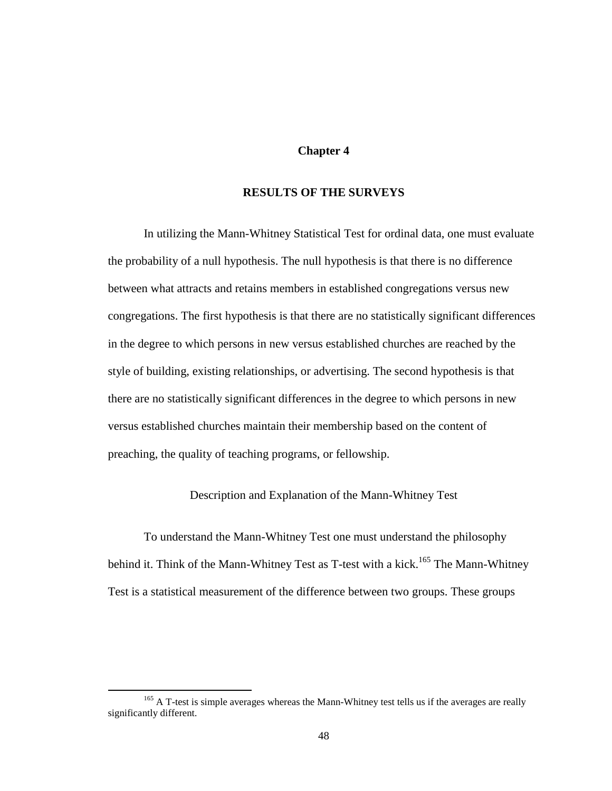# **Chapter 4**

# **RESULTS OF THE SURVEYS**

In utilizing the Mann-Whitney Statistical Test for ordinal data, one must evaluate the probability of a null hypothesis. The null hypothesis is that there is no difference between what attracts and retains members in established congregations versus new congregations. The first hypothesis is that there are no statistically significant differences in the degree to which persons in new versus established churches are reached by the style of building, existing relationships, or advertising. The second hypothesis is that there are no statistically significant differences in the degree to which persons in new versus established churches maintain their membership based on the content of preaching, the quality of teaching programs, or fellowship.

Description and Explanation of the Mann-Whitney Test

To understand the Mann-Whitney Test one must understand the philosophy behind it. Think of the Mann-Whitney Test as T-test with a kick.<sup>165</sup> The Mann-Whitney Test is a statistical measurement of the difference between two groups. These groups

<sup>&</sup>lt;sup>165</sup> A T-test is simple averages whereas the Mann-Whitney test tells us if the averages are really significantly different.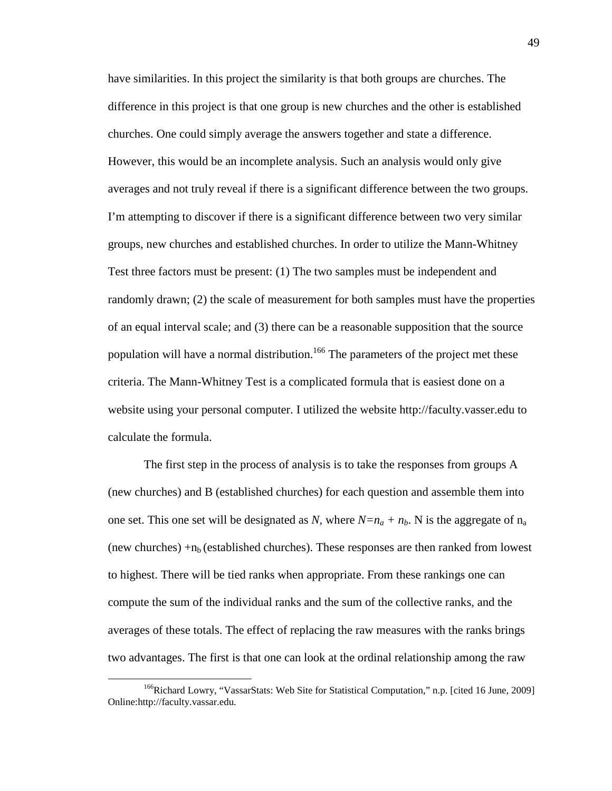have similarities. In this project the similarity is that both groups are churches. The difference in this project is that one group is new churches and the other is established churches. One could simply average the answers together and state a difference. However, this would be an incomplete analysis. Such an analysis would only give averages and not truly reveal if there is a significant difference between the two groups. I'm attempting to discover if there is a significant difference between two very similar groups, new churches and established churches. In order to utilize the Mann-Whitney Test three factors must be present: (1) The two samples must be independent and randomly drawn; (2) the scale of measurement for both samples must have the properties of an equal interval scale; and (3) there can be a reasonable supposition that the source population will have a normal distribution.<sup>166</sup> The parameters of the project met these criteria. The Mann-Whitney Test is a complicated formula that is easiest done on a website using your personal computer. I utilized the website http://faculty.vasser.edu to calculate the formula.

The first step in the process of analysis is to take the responses from groups A (new churches) and B (established churches) for each question and assemble them into one set. This one set will be designated as *N*, where  $N=n_a + n_b$ . N is the aggregate of  $n_a$ (new churches)  $+n_b$  (established churches). These responses are then ranked from lowest to highest. There will be tied ranks when appropriate. From these rankings one can compute the sum of the individual ranks and the sum of the collective ranks, and the averages of these totals. The effect of replacing the raw measures with the ranks brings two advantages. The first is that one can look at the ordinal relationship among the raw

<u>.</u>

<sup>&</sup>lt;sup>166</sup>Richard Lowry, "VassarStats: Web Site for Statistical Computation," n.p. [cited 16 June, 2009] Online:http://faculty.vassar.edu.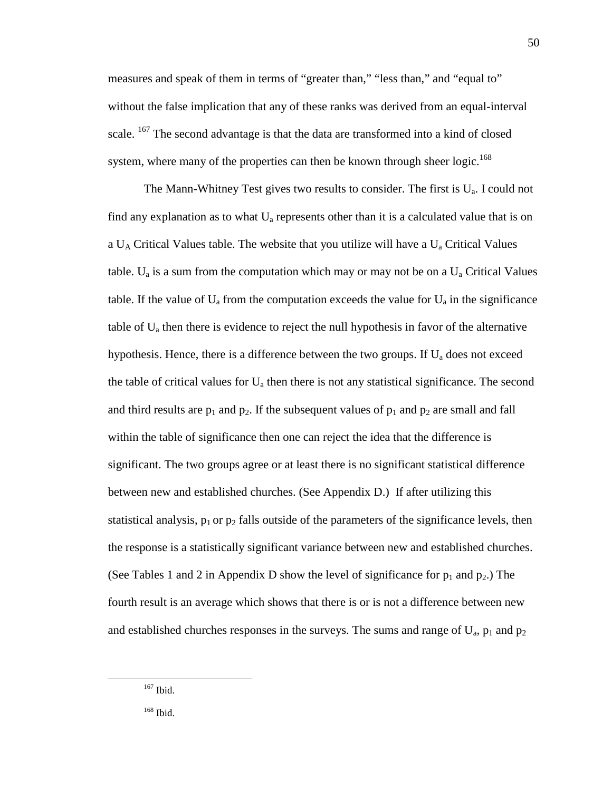measures and speak of them in terms of "greater than," "less than," and "equal to" without the false implication that any of these ranks was derived from an equal-interval scale. <sup>167</sup> The second advantage is that the data are transformed into a kind of closed system, where many of the properties can then be known through sheer logic.<sup>168</sup>

The Mann-Whitney Test gives two results to consider. The first is  $U_a$ . I could not find any explanation as to what  $U_a$  represents other than it is a calculated value that is on a  $U_A$  Critical Values table. The website that you utilize will have a  $U_a$  Critical Values table.  $U_a$  is a sum from the computation which may or may not be on a  $U_a$  Critical Values table. If the value of  $U_a$  from the computation exceeds the value for  $U_a$  in the significance table of  $U_a$  then there is evidence to reject the null hypothesis in favor of the alternative hypothesis. Hence, there is a difference between the two groups. If  $U_a$  does not exceed the table of critical values for  $U_a$  then there is not any statistical significance. The second and third results are  $p_1$  and  $p_2$ . If the subsequent values of  $p_1$  and  $p_2$  are small and fall within the table of significance then one can reject the idea that the difference is significant. The two groups agree or at least there is no significant statistical difference between new and established churches. (See Appendix D.) If after utilizing this statistical analysis,  $p_1$  or  $p_2$  falls outside of the parameters of the significance levels, then the response is a statistically significant variance between new and established churches. (See Tables 1 and 2 in Appendix D show the level of significance for  $p_1$  and  $p_2$ .) The fourth result is an average which shows that there is or is not a difference between new and established churches responses in the surveys. The sums and range of  $U_a$ ,  $p_1$  and  $p_2$ 

<sup>167</sup> Ibid.

<sup>168</sup> Ibid.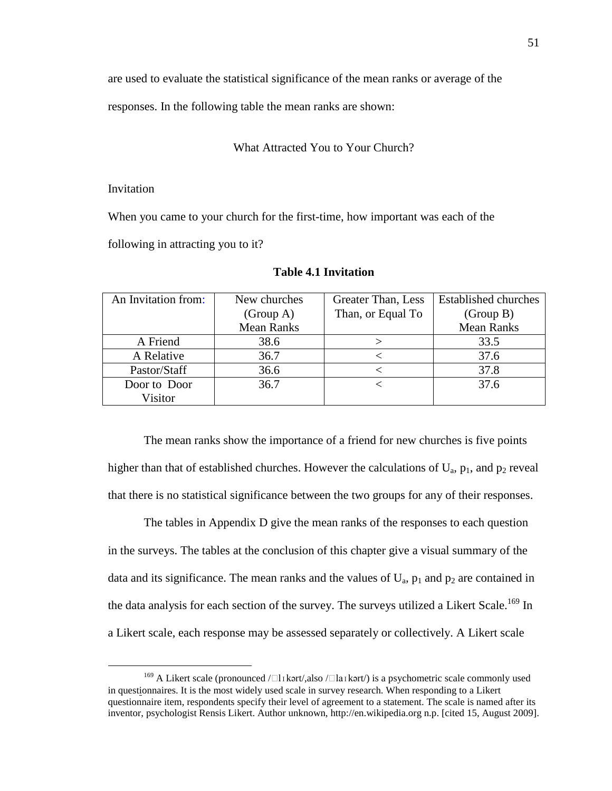are used to evaluate the statistical significance of the mean ranks or average of the

responses. In the following table the mean ranks are shown:

#### What Attracted You to Your Church?

#### Invitation

<u>.</u>

When you came to your church for the first-time, how important was each of the

following in attracting you to it?

| An Invitation from: | New churches      | Greater Than, Less | <b>Established churches</b> |
|---------------------|-------------------|--------------------|-----------------------------|
|                     | (Group A)         | Than, or Equal To  | (Group B)                   |
|                     | <b>Mean Ranks</b> |                    | <b>Mean Ranks</b>           |
| A Friend            | 38.6              |                    | 33.5                        |
| A Relative          | 36.7              |                    | 37.6                        |
| Pastor/Staff        | 36.6              |                    | 37.8                        |
| Door to Door        | 36.7              |                    | 37.6                        |
| Visitor             |                   |                    |                             |

#### **Table 4.1 Invitation**

The mean ranks show the importance of a friend for new churches is five points higher than that of established churches. However the calculations of  $U_a$ ,  $p_1$ , and  $p_2$  reveal that there is no statistical significance between the two groups for any of their responses.

The tables in Appendix D give the mean ranks of the responses to each question in the surveys. The tables at the conclusion of this chapter give a visual summary of the data and its significance. The mean ranks and the values of  $U_a$ ,  $p_1$  and  $p_2$  are contained in the data analysis for each section of the survey. The surveys utilized a Likert Scale.<sup>169</sup> In a Likert scale, each response may be assessed separately or collectively. A Likert scale

<sup>&</sup>lt;sup>169</sup> A Likert scale (pronounced / l1kərt/,also / la1kərt/) is a psychometric scale commonly used in questionnaires. It is the most widely used scale in survey research. When responding to a Likert questionnaire item, respondents specify their level of agreement to a statement. The scale is named after its inventor, psychologist Rensis Likert. Author unknown, http://en.wikipedia.org n.p. [cited 15, August 2009].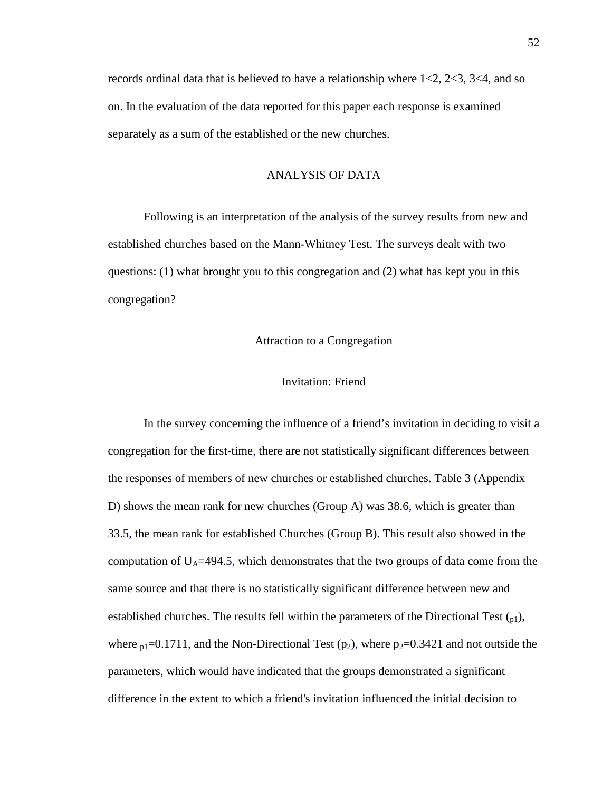records ordinal data that is believed to have a relationship where  $1 < 2$ ,  $2 < 3$ ,  $3 < 4$ , and so on. In the evaluation of the data reported for this paper each response is examined separately as a sum of the established or the new churches.

# ANALYSIS OF DATA

Following is an interpretation of the analysis of the survey results from new and established churches based on the Mann-Whitney Test. The surveys dealt with two questions: (1) what brought you to this congregation and (2) what has kept you in this congregation?

## Attraction to a Congregation

### Invitation: Friend

In the survey concerning the influence of a friend's invitation in deciding to visit a congregation for the first-time, there are not statistically significant differences between the responses of members of new churches or established churches. Table 3 (Appendix D) shows the mean rank for new churches (Group A) was 38.6, which is greater than 33.5, the mean rank for established Churches (Group B). This result also showed in the computation of  $U_A$ =494.5, which demonstrates that the two groups of data come from the same source and that there is no statistically significant difference between new and established churches. The results fell within the parameters of the Directional Test  $_{01}$ ), where  $p_1$ =0.1711, and the Non-Directional Test ( $p_2$ ), where  $p_2$ =0.3421 and not outside the parameters, which would have indicated that the groups demonstrated a significant difference in the extent to which a friend's invitation influenced the initial decision to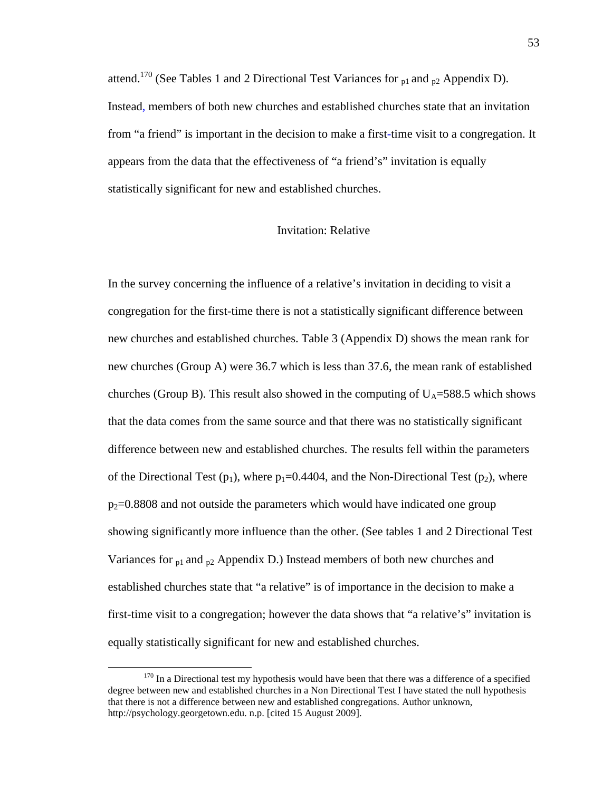attend.<sup>170</sup> (See Tables 1 and 2 Directional Test Variances for  $_{p1}$  and  $_{p2}$  Appendix D). Instead, members of both new churches and established churches state that an invitation from "a friend" is important in the decision to make a first-time visit to a congregation. It appears from the data that the effectiveness of "a friend's" invitation is equally statistically significant for new and established churches.

# Invitation: Relative

In the survey concerning the influence of a relative's invitation in deciding to visit a congregation for the first-time there is not a statistically significant difference between new churches and established churches. Table 3 (Appendix D) shows the mean rank for new churches (Group A) were 36.7 which is less than 37.6, the mean rank of established churches (Group B). This result also showed in the computing of  $U_A$ =588.5 which shows that the data comes from the same source and that there was no statistically significant difference between new and established churches. The results fell within the parameters of the Directional Test  $(p_1)$ , where  $p_1=0.4404$ , and the Non-Directional Test  $(p_2)$ , where  $p_2$ =0.8808 and not outside the parameters which would have indicated one group showing significantly more influence than the other. (See tables 1 and 2 Directional Test Variances for  $p_1$  and  $p_2$  Appendix D.) Instead members of both new churches and established churches state that "a relative" is of importance in the decision to make a first-time visit to a congregation; however the data shows that "a relative's" invitation is equally statistically significant for new and established churches.

<u>.</u>

 $170$  In a Directional test my hypothesis would have been that there was a difference of a specified degree between new and established churches in a Non Directional Test I have stated the null hypothesis that there is not a difference between new and established congregations. Author unknown, http://psychology.georgetown.edu. n.p. [cited 15 August 2009].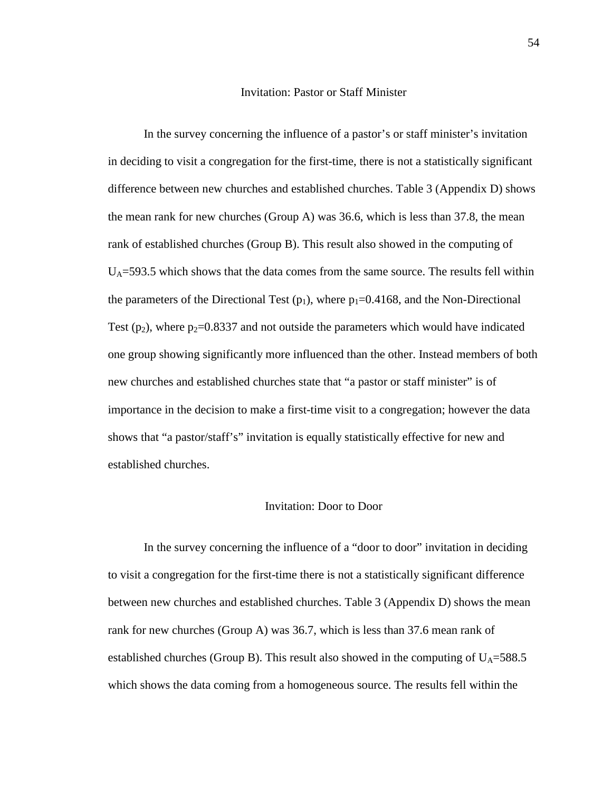#### Invitation: Pastor or Staff Minister

In the survey concerning the influence of a pastor's or staff minister's invitation in deciding to visit a congregation for the first-time, there is not a statistically significant difference between new churches and established churches. Table 3 (Appendix D) shows the mean rank for new churches (Group A) was 36.6, which is less than 37.8, the mean rank of established churches (Group B). This result also showed in the computing of  $U_A$ =593.5 which shows that the data comes from the same source. The results fell within the parameters of the Directional Test  $(p_1)$ , where  $p_1=0.4168$ , and the Non-Directional Test  $(p_2)$ , where  $p_2$ =0.8337 and not outside the parameters which would have indicated one group showing significantly more influenced than the other. Instead members of both new churches and established churches state that "a pastor or staff minister" is of importance in the decision to make a first-time visit to a congregation; however the data shows that "a pastor/staff's" invitation is equally statistically effective for new and established churches.

### Invitation: Door to Door

In the survey concerning the influence of a "door to door" invitation in deciding to visit a congregation for the first-time there is not a statistically significant difference between new churches and established churches. Table 3 (Appendix D) shows the mean rank for new churches (Group A) was 36.7, which is less than 37.6 mean rank of established churches (Group B). This result also showed in the computing of  $U_A$ =588.5 which shows the data coming from a homogeneous source. The results fell within the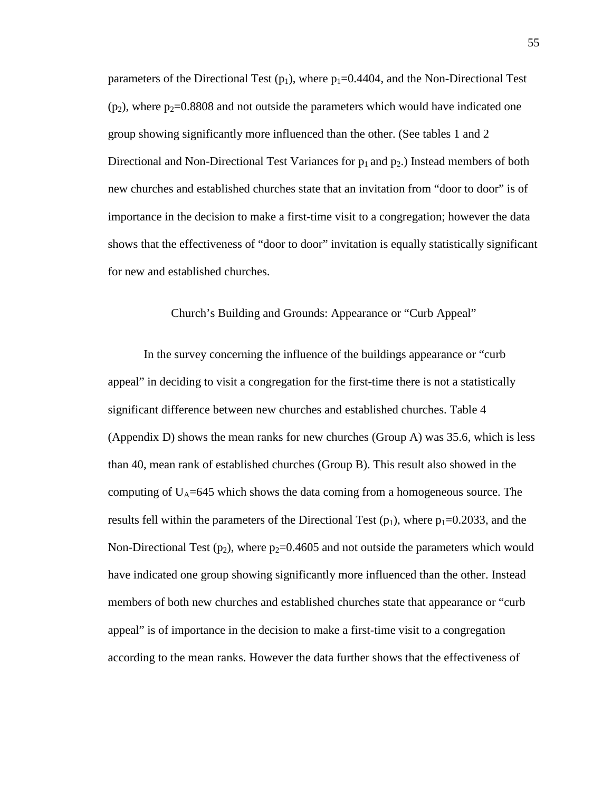parameters of the Directional Test ( $p_1$ ), where  $p_1$ =0.4404, and the Non-Directional Test  $(p_2)$ , where  $p_2$ =0.8808 and not outside the parameters which would have indicated one group showing significantly more influenced than the other. (See tables 1 and 2 Directional and Non-Directional Test Variances for  $p_1$  and  $p_2$ .) Instead members of both new churches and established churches state that an invitation from "door to door" is of importance in the decision to make a first-time visit to a congregation; however the data shows that the effectiveness of "door to door" invitation is equally statistically significant for new and established churches.

## Church's Building and Grounds: Appearance or "Curb Appeal"

In the survey concerning the influence of the buildings appearance or "curb appeal" in deciding to visit a congregation for the first-time there is not a statistically significant difference between new churches and established churches. Table 4 (Appendix D) shows the mean ranks for new churches (Group A) was 35.6, which is less than 40, mean rank of established churches (Group B). This result also showed in the computing of  $U_A$ =645 which shows the data coming from a homogeneous source. The results fell within the parameters of the Directional Test  $(p_1)$ , where  $p_1=0.2033$ , and the Non-Directional Test ( $p_2$ ), where  $p_2$ =0.4605 and not outside the parameters which would have indicated one group showing significantly more influenced than the other. Instead members of both new churches and established churches state that appearance or "curb appeal" is of importance in the decision to make a first-time visit to a congregation according to the mean ranks. However the data further shows that the effectiveness of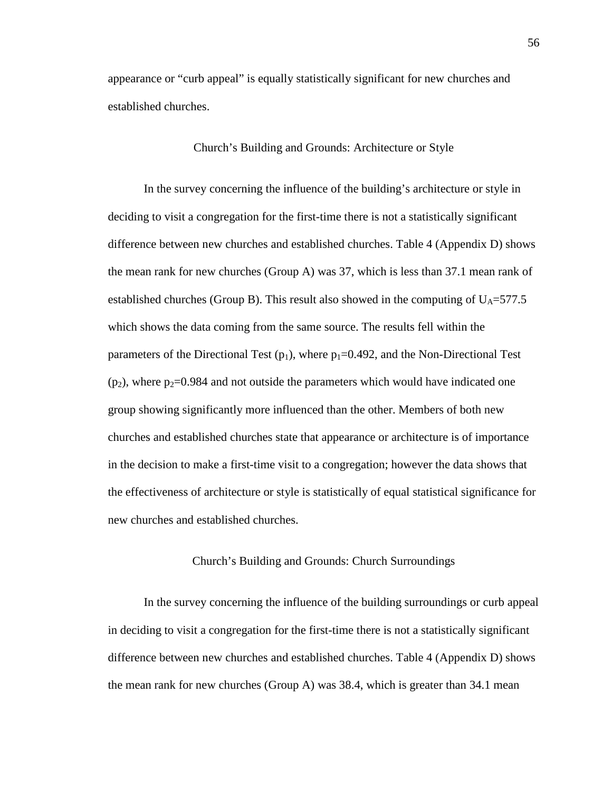appearance or "curb appeal" is equally statistically significant for new churches and established churches.

### Church's Building and Grounds: Architecture or Style

In the survey concerning the influence of the building's architecture or style in deciding to visit a congregation for the first-time there is not a statistically significant difference between new churches and established churches. Table 4 (Appendix D) shows the mean rank for new churches (Group A) was 37, which is less than 37.1 mean rank of established churches (Group B). This result also showed in the computing of  $U_A$ =577.5 which shows the data coming from the same source. The results fell within the parameters of the Directional Test  $(p_1)$ , where  $p_1=0.492$ , and the Non-Directional Test  $(p_2)$ , where  $p_2$ =0.984 and not outside the parameters which would have indicated one group showing significantly more influenced than the other. Members of both new churches and established churches state that appearance or architecture is of importance in the decision to make a first-time visit to a congregation; however the data shows that the effectiveness of architecture or style is statistically of equal statistical significance for new churches and established churches.

### Church's Building and Grounds: Church Surroundings

In the survey concerning the influence of the building surroundings or curb appeal in deciding to visit a congregation for the first-time there is not a statistically significant difference between new churches and established churches. Table 4 (Appendix D) shows the mean rank for new churches (Group A) was 38.4, which is greater than 34.1 mean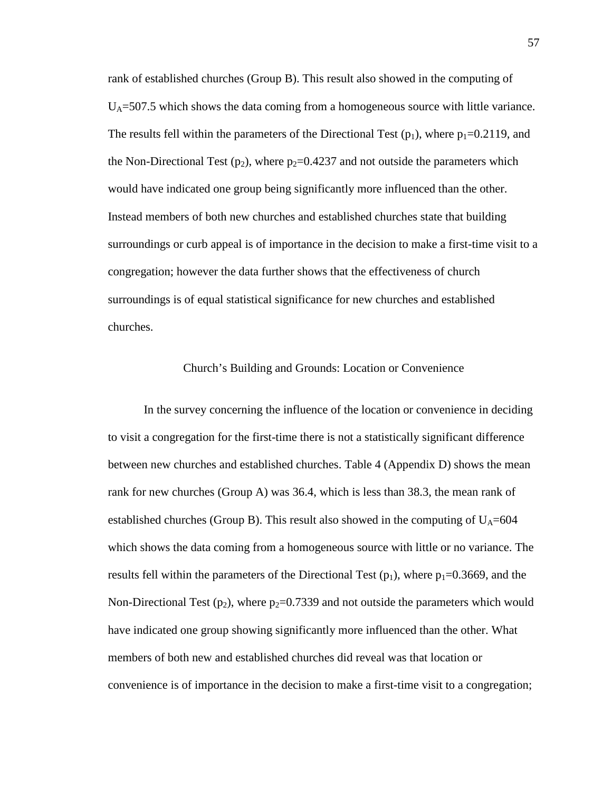rank of established churches (Group B). This result also showed in the computing of  $U_A$ =507.5 which shows the data coming from a homogeneous source with little variance. The results fell within the parameters of the Directional Test  $(p_1)$ , where  $p_1=0.2119$ , and the Non-Directional Test (p<sub>2</sub>), where p<sub>2</sub>=0.4237 and not outside the parameters which would have indicated one group being significantly more influenced than the other. Instead members of both new churches and established churches state that building surroundings or curb appeal is of importance in the decision to make a first-time visit to a congregation; however the data further shows that the effectiveness of church surroundings is of equal statistical significance for new churches and established churches.

## Church's Building and Grounds: Location or Convenience

In the survey concerning the influence of the location or convenience in deciding to visit a congregation for the first-time there is not a statistically significant difference between new churches and established churches. Table 4 (Appendix D) shows the mean rank for new churches (Group A) was 36.4, which is less than 38.3, the mean rank of established churches (Group B). This result also showed in the computing of  $U_A=604$ which shows the data coming from a homogeneous source with little or no variance. The results fell within the parameters of the Directional Test  $(p_1)$ , where  $p_1$ =0.3669, and the Non-Directional Test ( $p_2$ ), where  $p_2$ =0.7339 and not outside the parameters which would have indicated one group showing significantly more influenced than the other. What members of both new and established churches did reveal was that location or convenience is of importance in the decision to make a first-time visit to a congregation;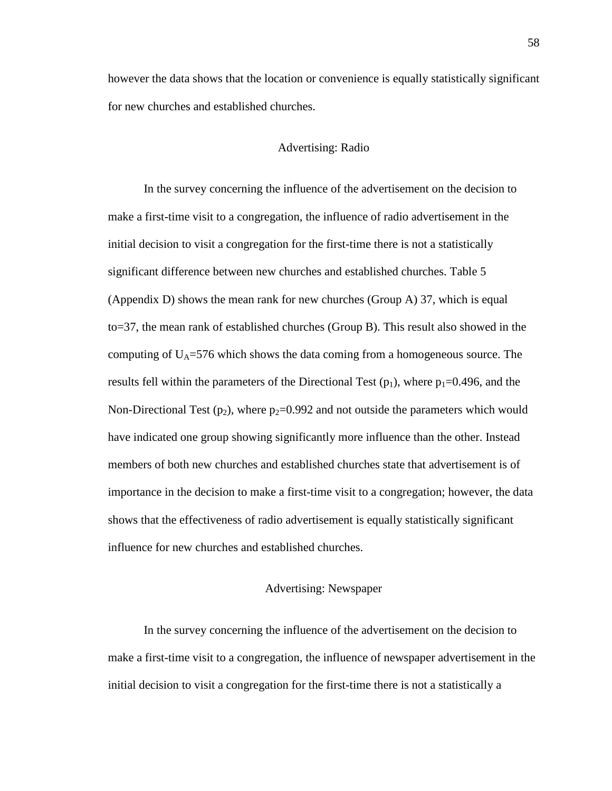however the data shows that the location or convenience is equally statistically significant for new churches and established churches.

### Advertising: Radio

In the survey concerning the influence of the advertisement on the decision to make a first-time visit to a congregation, the influence of radio advertisement in the initial decision to visit a congregation for the first-time there is not a statistically significant difference between new churches and established churches. Table 5 (Appendix D) shows the mean rank for new churches (Group A) 37, which is equal to=37, the mean rank of established churches (Group B). This result also showed in the computing of  $U_A$ =576 which shows the data coming from a homogeneous source. The results fell within the parameters of the Directional Test ( $p_1$ ), where  $p_1=0.496$ , and the Non-Directional Test  $(p_2)$ , where  $p_2=0.992$  and not outside the parameters which would have indicated one group showing significantly more influence than the other. Instead members of both new churches and established churches state that advertisement is of importance in the decision to make a first-time visit to a congregation; however, the data shows that the effectiveness of radio advertisement is equally statistically significant influence for new churches and established churches.

## Advertising: Newspaper

In the survey concerning the influence of the advertisement on the decision to make a first-time visit to a congregation, the influence of newspaper advertisement in the initial decision to visit a congregation for the first-time there is not a statistically a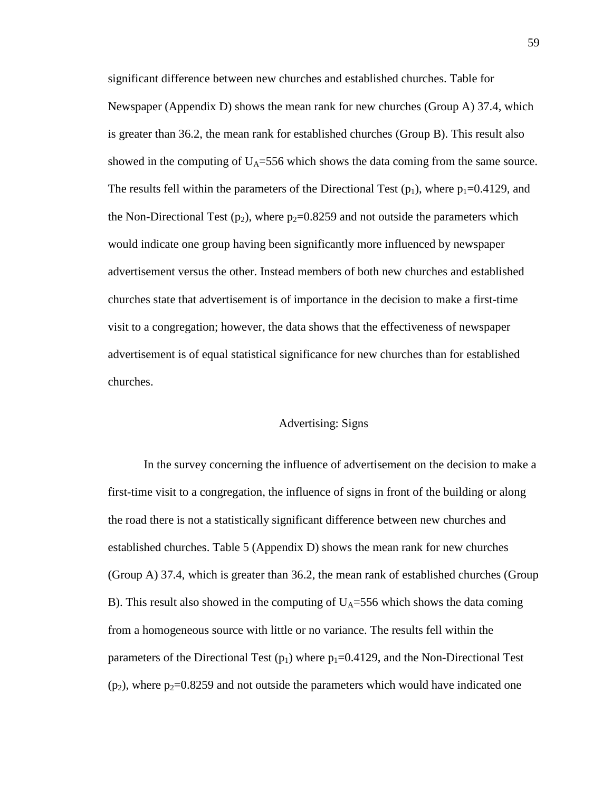significant difference between new churches and established churches. Table for Newspaper (Appendix D) shows the mean rank for new churches (Group A) 37.4, which is greater than 36.2, the mean rank for established churches (Group B). This result also showed in the computing of  $U_A = 556$  which shows the data coming from the same source. The results fell within the parameters of the Directional Test ( $p_1$ ), where  $p_1$ =0.4129, and the Non-Directional Test ( $p_2$ ), where  $p_2$ =0.8259 and not outside the parameters which would indicate one group having been significantly more influenced by newspaper advertisement versus the other. Instead members of both new churches and established churches state that advertisement is of importance in the decision to make a first-time visit to a congregation; however, the data shows that the effectiveness of newspaper advertisement is of equal statistical significance for new churches than for established churches.

## Advertising: Signs

In the survey concerning the influence of advertisement on the decision to make a first-time visit to a congregation, the influence of signs in front of the building or along the road there is not a statistically significant difference between new churches and established churches. Table 5 (Appendix D) shows the mean rank for new churches (Group A) 37.4, which is greater than 36.2, the mean rank of established churches (Group B). This result also showed in the computing of  $U_A = 556$  which shows the data coming from a homogeneous source with little or no variance. The results fell within the parameters of the Directional Test ( $p_1$ ) where  $p_1$ =0.4129, and the Non-Directional Test  $(p_2)$ , where  $p_2$ =0.8259 and not outside the parameters which would have indicated one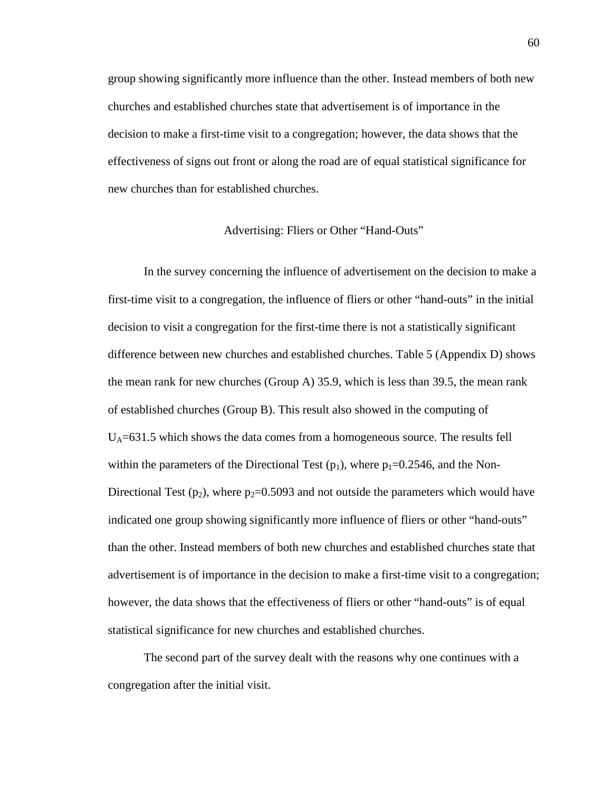group showing significantly more influence than the other. Instead members of both new churches and established churches state that advertisement is of importance in the decision to make a first-time visit to a congregation; however, the data shows that the effectiveness of signs out front or along the road are of equal statistical significance for new churches than for established churches.

## Advertising: Fliers or Other "Hand-Outs"

In the survey concerning the influence of advertisement on the decision to make a first-time visit to a congregation, the influence of fliers or other "hand-outs" in the initial decision to visit a congregation for the first-time there is not a statistically significant difference between new churches and established churches. Table 5 (Appendix D) shows the mean rank for new churches (Group A) 35.9, which is less than 39.5, the mean rank of established churches (Group B). This result also showed in the computing of  $U_A$ =631.5 which shows the data comes from a homogeneous source. The results fell within the parameters of the Directional Test  $(p_1)$ , where  $p_1=0.2546$ , and the Non-Directional Test (p<sub>2</sub>), where p<sub>2</sub>=0.5093 and not outside the parameters which would have indicated one group showing significantly more influence of fliers or other "hand-outs" than the other. Instead members of both new churches and established churches state that advertisement is of importance in the decision to make a first-time visit to a congregation; however, the data shows that the effectiveness of fliers or other "hand-outs" is of equal statistical significance for new churches and established churches.

The second part of the survey dealt with the reasons why one continues with a congregation after the initial visit.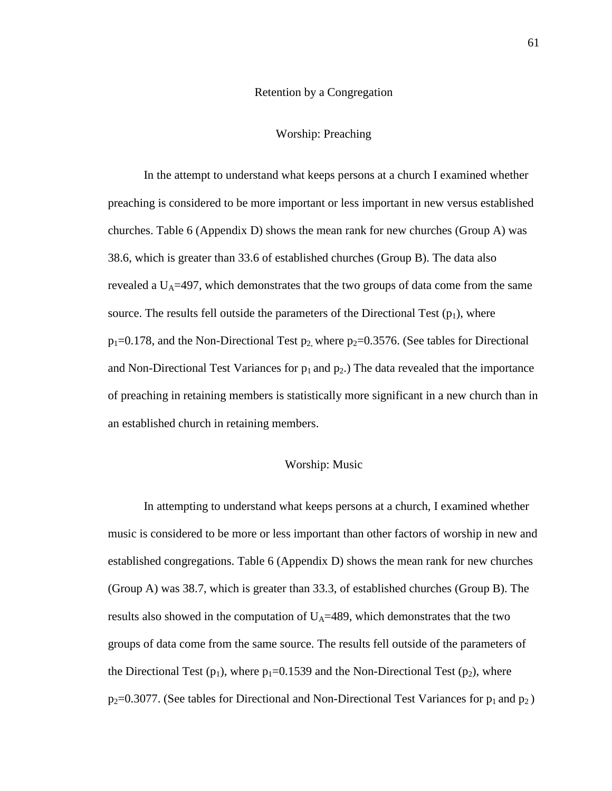### Retention by a Congregation

### Worship: Preaching

In the attempt to understand what keeps persons at a church I examined whether preaching is considered to be more important or less important in new versus established churches. Table 6 (Appendix D) shows the mean rank for new churches (Group A) was 38.6, which is greater than 33.6 of established churches (Group B). The data also revealed a  $U_A$ =497, which demonstrates that the two groups of data come from the same source. The results fell outside the parameters of the Directional Test  $(p_1)$ , where  $p_1=0.178$ , and the Non-Directional Test  $p_2$ , where  $p_2=0.3576$ . (See tables for Directional and Non-Directional Test Variances for  $p_1$  and  $p_2$ .) The data revealed that the importance of preaching in retaining members is statistically more significant in a new church than in an established church in retaining members.

### Worship: Music

In attempting to understand what keeps persons at a church, I examined whether music is considered to be more or less important than other factors of worship in new and established congregations. Table 6 (Appendix D) shows the mean rank for new churches (Group A) was 38.7, which is greater than 33.3, of established churches (Group B). The results also showed in the computation of  $U_A=489$ , which demonstrates that the two groups of data come from the same source. The results fell outside of the parameters of the Directional Test  $(p_1)$ , where  $p_1=0.1539$  and the Non-Directional Test  $(p_2)$ , where  $p_2=0.3077$ . (See tables for Directional and Non-Directional Test Variances for  $p_1$  and  $p_2$ )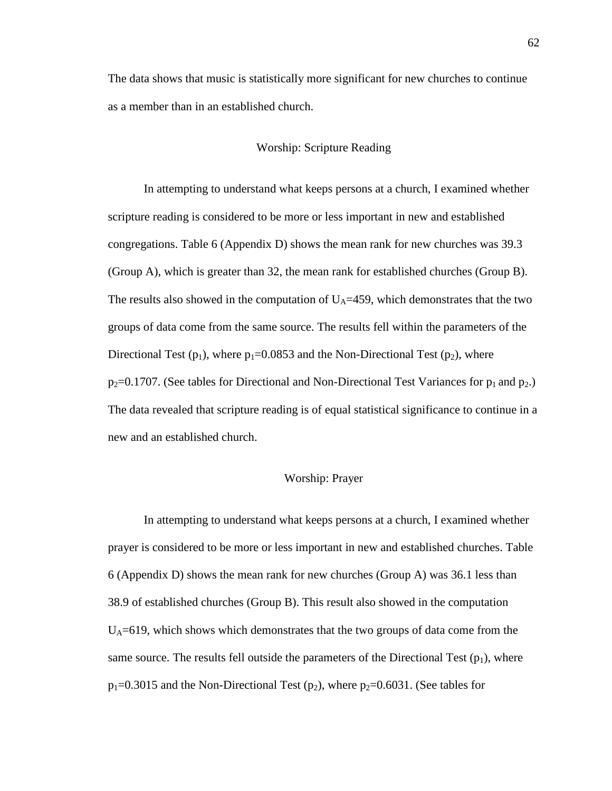The data shows that music is statistically more significant for new churches to continue as a member than in an established church.

### Worship: Scripture Reading

In attempting to understand what keeps persons at a church, I examined whether scripture reading is considered to be more or less important in new and established congregations. Table 6 (Appendix D) shows the mean rank for new churches was 39.3 (Group A), which is greater than 32, the mean rank for established churches (Group B). The results also showed in the computation of  $U_A$ =459, which demonstrates that the two groups of data come from the same source. The results fell within the parameters of the Directional Test ( $p_1$ ), where  $p_1=0.0853$  and the Non-Directional Test ( $p_2$ ), where  $p_2=0.1707$ . (See tables for Directional and Non-Directional Test Variances for  $p_1$  and  $p_2$ .) The data revealed that scripture reading is of equal statistical significance to continue in a new and an established church.

### Worship: Prayer

In attempting to understand what keeps persons at a church, I examined whether prayer is considered to be more or less important in new and established churches. Table 6 (Appendix D) shows the mean rank for new churches (Group A) was 36.1 less than 38.9 of established churches (Group B). This result also showed in the computation  $U_A$ =619, which shows which demonstrates that the two groups of data come from the same source. The results fell outside the parameters of the Directional Test  $(p_1)$ , where  $p_1$ =0.3015 and the Non-Directional Test ( $p_2$ ), where  $p_2$ =0.6031. (See tables for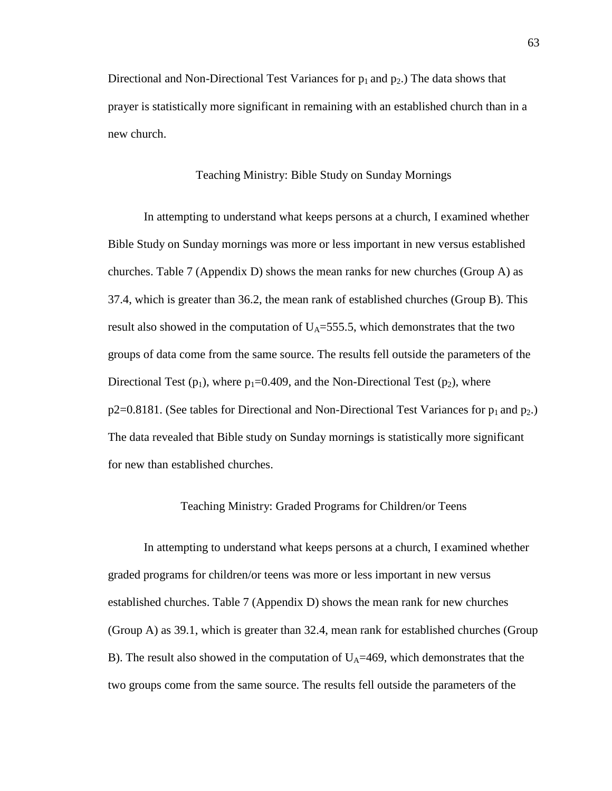Directional and Non-Directional Test Variances for  $p_1$  and  $p_2$ .) The data shows that prayer is statistically more significant in remaining with an established church than in a new church.

### Teaching Ministry: Bible Study on Sunday Mornings

In attempting to understand what keeps persons at a church, I examined whether Bible Study on Sunday mornings was more or less important in new versus established churches. Table 7 (Appendix D) shows the mean ranks for new churches (Group A) as 37.4, which is greater than 36.2, the mean rank of established churches (Group B). This result also showed in the computation of  $U_A = 555.5$ , which demonstrates that the two groups of data come from the same source. The results fell outside the parameters of the Directional Test  $(p_1)$ , where  $p_1=0.409$ , and the Non-Directional Test  $(p_2)$ , where  $p2=0.8181$ . (See tables for Directional and Non-Directional Test Variances for  $p_1$  and  $p_2$ .) The data revealed that Bible study on Sunday mornings is statistically more significant for new than established churches.

### Teaching Ministry: Graded Programs for Children/or Teens

In attempting to understand what keeps persons at a church, I examined whether graded programs for children/or teens was more or less important in new versus established churches. Table 7 (Appendix D) shows the mean rank for new churches (Group A) as 39.1, which is greater than 32.4, mean rank for established churches (Group B). The result also showed in the computation of  $U_A$ =469, which demonstrates that the two groups come from the same source. The results fell outside the parameters of the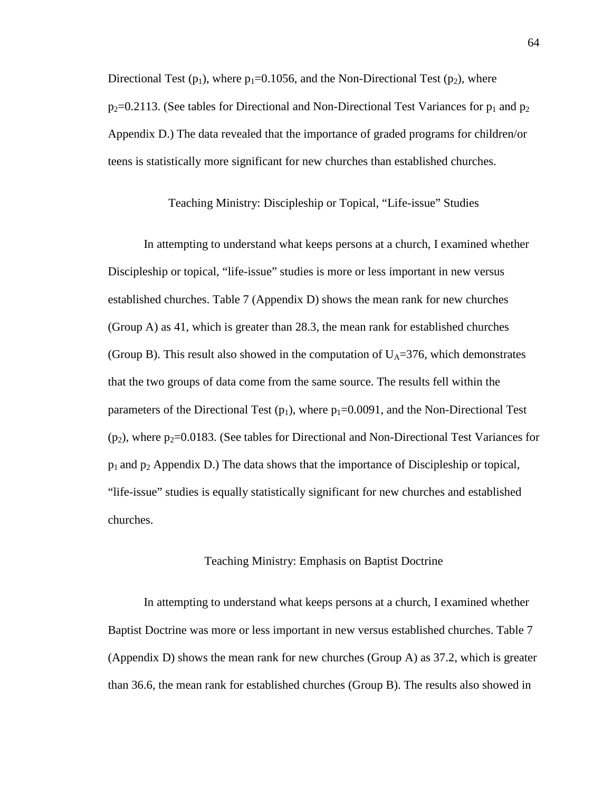Directional Test ( $p_1$ ), where  $p_1=0.1056$ , and the Non-Directional Test ( $p_2$ ), where  $p_2$ =0.2113. (See tables for Directional and Non-Directional Test Variances for  $p_1$  and  $p_2$ Appendix D.) The data revealed that the importance of graded programs for children/or teens is statistically more significant for new churches than established churches.

### Teaching Ministry: Discipleship or Topical, "Life-issue" Studies

In attempting to understand what keeps persons at a church, I examined whether Discipleship or topical, "life-issue" studies is more or less important in new versus established churches. Table 7 (Appendix D) shows the mean rank for new churches (Group A) as 41, which is greater than 28.3, the mean rank for established churches (Group B). This result also showed in the computation of  $U_A$ =376, which demonstrates that the two groups of data come from the same source. The results fell within the parameters of the Directional Test ( $p_1$ ), where  $p_1$ =0.0091, and the Non-Directional Test  $(p_2)$ , where  $p_2$ =0.0183. (See tables for Directional and Non-Directional Test Variances for  $p_1$  and  $p_2$  Appendix D.) The data shows that the importance of Discipleship or topical, "life-issue" studies is equally statistically significant for new churches and established churches.

### Teaching Ministry: Emphasis on Baptist Doctrine

In attempting to understand what keeps persons at a church, I examined whether Baptist Doctrine was more or less important in new versus established churches. Table 7 (Appendix D) shows the mean rank for new churches (Group A) as 37.2, which is greater than 36.6, the mean rank for established churches (Group B). The results also showed in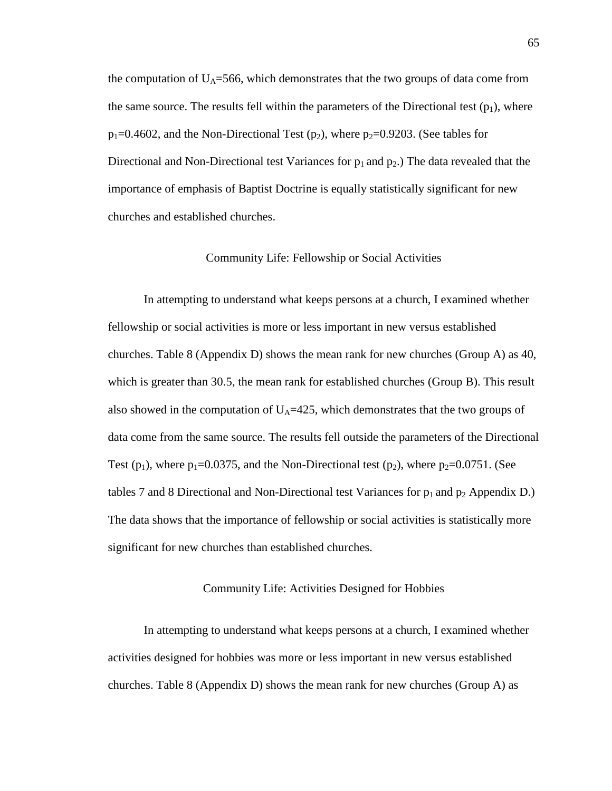the computation of  $U_A$ =566, which demonstrates that the two groups of data come from the same source. The results fell within the parameters of the Directional test  $(p_1)$ , where  $p_1$ =0.4602, and the Non-Directional Test (p<sub>2</sub>), where p<sub>2</sub>=0.9203. (See tables for Directional and Non-Directional test Variances for  $p_1$  and  $p_2$ .) The data revealed that the importance of emphasis of Baptist Doctrine is equally statistically significant for new churches and established churches.

### Community Life: Fellowship or Social Activities

In attempting to understand what keeps persons at a church, I examined whether fellowship or social activities is more or less important in new versus established churches. Table 8 (Appendix D) shows the mean rank for new churches (Group A) as 40, which is greater than 30.5, the mean rank for established churches (Group B). This result also showed in the computation of  $U_A$ =425, which demonstrates that the two groups of data come from the same source. The results fell outside the parameters of the Directional Test ( $p_1$ ), where  $p_1$ =0.0375, and the Non-Directional test ( $p_2$ ), where  $p_2$ =0.0751. (See tables 7 and 8 Directional and Non-Directional test Variances for  $p_1$  and  $p_2$  Appendix D.) The data shows that the importance of fellowship or social activities is statistically more significant for new churches than established churches.

### Community Life: Activities Designed for Hobbies

In attempting to understand what keeps persons at a church, I examined whether activities designed for hobbies was more or less important in new versus established churches. Table 8 (Appendix D) shows the mean rank for new churches (Group A) as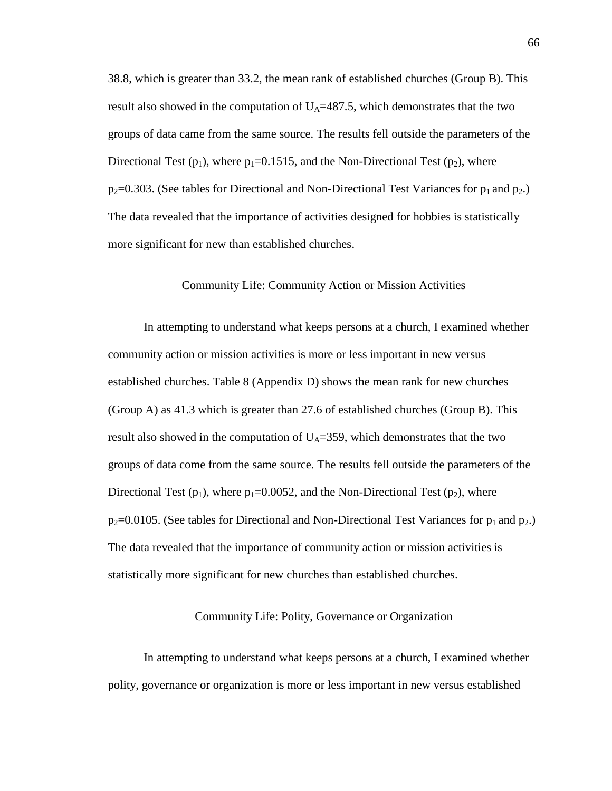38.8, which is greater than 33.2, the mean rank of established churches (Group B). This result also showed in the computation of  $U_A$ =487.5, which demonstrates that the two groups of data came from the same source. The results fell outside the parameters of the Directional Test ( $p_1$ ), where  $p_1=0.1515$ , and the Non-Directional Test ( $p_2$ ), where  $p_2$ =0.303. (See tables for Directional and Non-Directional Test Variances for  $p_1$  and  $p_2$ .) The data revealed that the importance of activities designed for hobbies is statistically more significant for new than established churches.

### Community Life: Community Action or Mission Activities

In attempting to understand what keeps persons at a church, I examined whether community action or mission activities is more or less important in new versus established churches. Table 8 (Appendix D) shows the mean rank for new churches (Group A) as 41.3 which is greater than 27.6 of established churches (Group B). This result also showed in the computation of  $U_A$ =359, which demonstrates that the two groups of data come from the same source. The results fell outside the parameters of the Directional Test ( $p_1$ ), where  $p_1$ =0.0052, and the Non-Directional Test ( $p_2$ ), where  $p_2$ =0.0105. (See tables for Directional and Non-Directional Test Variances for  $p_1$  and  $p_2$ .) The data revealed that the importance of community action or mission activities is statistically more significant for new churches than established churches.

### Community Life: Polity, Governance or Organization

In attempting to understand what keeps persons at a church, I examined whether polity, governance or organization is more or less important in new versus established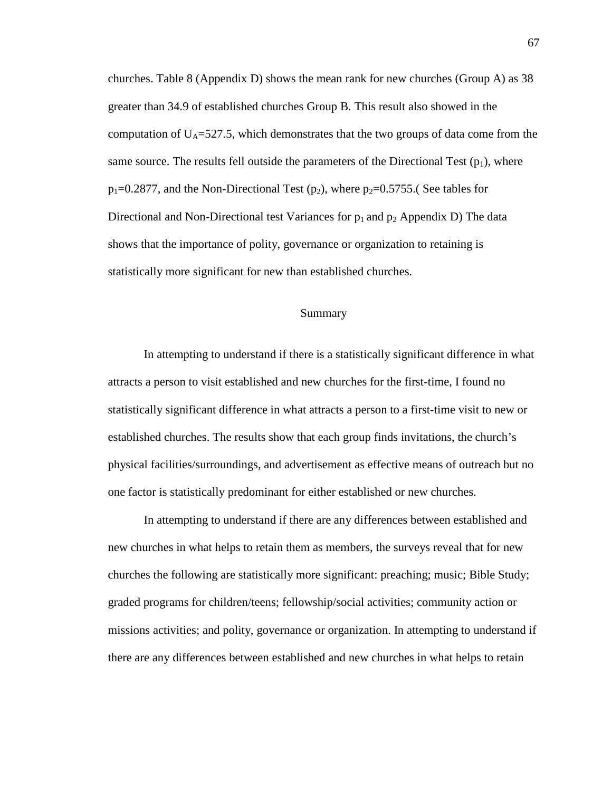churches. Table 8 (Appendix D) shows the mean rank for new churches (Group A) as 38 greater than 34.9 of established churches Group B. This result also showed in the computation of  $U_A = 527.5$ , which demonstrates that the two groups of data come from the same source. The results fell outside the parameters of the Directional Test  $(p_1)$ , where  $p_1$ =0.2877, and the Non-Directional Test (p<sub>2</sub>), where  $p_2$ =0.5755. (See tables for Directional and Non-Directional test Variances for  $p_1$  and  $p_2$  Appendix D) The data shows that the importance of polity, governance or organization to retaining is statistically more significant for new than established churches.

### Summary

In attempting to understand if there is a statistically significant difference in what attracts a person to visit established and new churches for the first-time, I found no statistically significant difference in what attracts a person to a first-time visit to new or established churches. The results show that each group finds invitations, the church's physical facilities/surroundings, and advertisement as effective means of outreach but no one factor is statistically predominant for either established or new churches.

In attempting to understand if there are any differences between established and new churches in what helps to retain them as members, the surveys reveal that for new churches the following are statistically more significant: preaching; music; Bible Study; graded programs for children/teens; fellowship/social activities; community action or missions activities; and polity, governance or organization. In attempting to understand if there are any differences between established and new churches in what helps to retain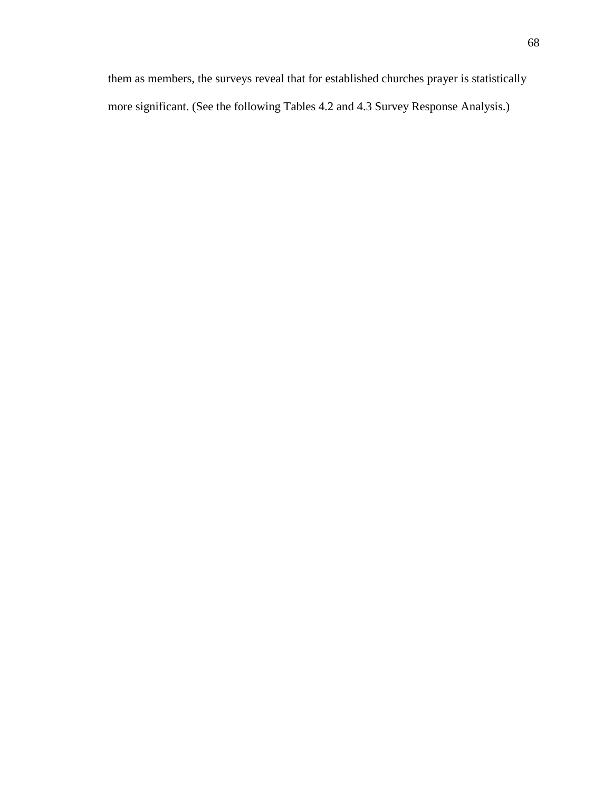them as members, the surveys reveal that for established churches prayer is statistically more significant. (See the following Tables 4.2 and 4.3 Survey Response Analysis.)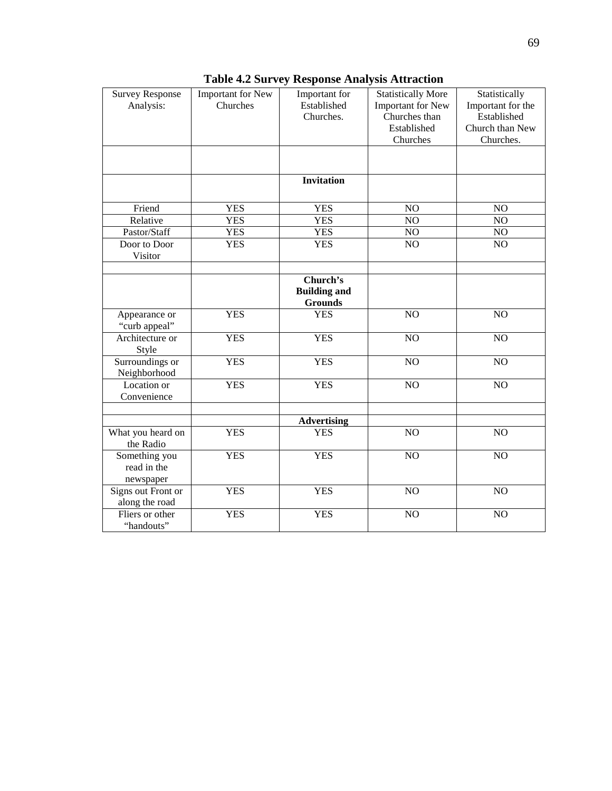| <b>Survey Response</b><br>Analysis:       | Important for New<br>Churches | Important for<br>Established<br>Churches.         | <b>Statistically More</b><br>Important for New<br>Churches than<br>Established<br>Churches | Statistically<br>Important for the<br>Established<br>Church than New<br>Churches. |
|-------------------------------------------|-------------------------------|---------------------------------------------------|--------------------------------------------------------------------------------------------|-----------------------------------------------------------------------------------|
|                                           |                               |                                                   |                                                                                            |                                                                                   |
|                                           |                               | <b>Invitation</b>                                 |                                                                                            |                                                                                   |
| Friend                                    | <b>YES</b>                    | <b>YES</b>                                        | NO                                                                                         | NO                                                                                |
| Relative                                  | <b>YES</b>                    | <b>YES</b>                                        | NO                                                                                         | NO                                                                                |
| Pastor/Staff                              | <b>YES</b>                    | <b>YES</b>                                        | NO                                                                                         | NO                                                                                |
| Door to Door<br>Visitor                   | <b>YES</b>                    | <b>YES</b>                                        | NO                                                                                         | NO                                                                                |
|                                           |                               | Church's<br><b>Building and</b><br><b>Grounds</b> |                                                                                            |                                                                                   |
| Appearance or<br>"curb appeal"            | <b>YES</b>                    | <b>YES</b>                                        | NO                                                                                         | NO                                                                                |
| Architecture or<br>Style                  | <b>YES</b>                    | <b>YES</b>                                        | NO                                                                                         | NO                                                                                |
| Surroundings or<br>Neighborhood           | <b>YES</b>                    | <b>YES</b>                                        | NO                                                                                         | NO                                                                                |
| Location or<br>Convenience                | <b>YES</b>                    | <b>YES</b>                                        | NO                                                                                         | N <sub>O</sub>                                                                    |
|                                           |                               | <b>Advertising</b>                                |                                                                                            |                                                                                   |
| What you heard on<br>the Radio            | <b>YES</b>                    | <b>YES</b>                                        | NO                                                                                         | NO                                                                                |
| Something you<br>read in the<br>newspaper | <b>YES</b>                    | <b>YES</b>                                        | NO                                                                                         | NO                                                                                |
| Signs out Front or<br>along the road      | <b>YES</b>                    | <b>YES</b>                                        | NO                                                                                         | $\overline{NO}$                                                                   |
| Fliers or other<br>"handouts"             | <b>YES</b>                    | <b>YES</b>                                        | NO                                                                                         | NO                                                                                |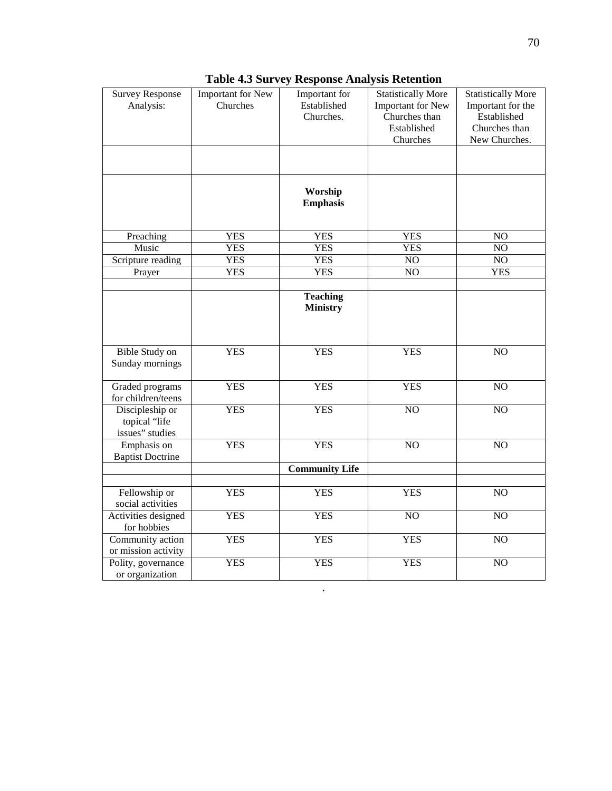| <b>Survey Response</b><br>Analysis:                 | Important for New<br>Churches | Important for<br>Established<br>Churches. | <b>Statistically More</b><br>Important for New<br>Churches than<br>Established<br>Churches | <b>Statistically More</b><br>Important for the<br>Established<br>Churches than<br>New Churches. |
|-----------------------------------------------------|-------------------------------|-------------------------------------------|--------------------------------------------------------------------------------------------|-------------------------------------------------------------------------------------------------|
|                                                     |                               | Worship<br><b>Emphasis</b>                |                                                                                            |                                                                                                 |
| Preaching                                           | <b>YES</b>                    | <b>YES</b>                                | <b>YES</b>                                                                                 | $\overline{NO}$                                                                                 |
| Music                                               | <b>YES</b>                    | <b>YES</b>                                | <b>YES</b>                                                                                 | $\overline{NO}$                                                                                 |
| Scripture reading                                   | <b>YES</b>                    | <b>YES</b>                                | NO                                                                                         | $NO$                                                                                            |
| Prayer                                              | <b>YES</b>                    | <b>YES</b>                                | $\overline{NO}$                                                                            | <b>YES</b>                                                                                      |
|                                                     |                               | <b>Teaching</b><br><b>Ministry</b>        |                                                                                            |                                                                                                 |
| Bible Study on<br>Sunday mornings                   | <b>YES</b>                    | <b>YES</b>                                | <b>YES</b>                                                                                 | $\overline{NO}$                                                                                 |
| Graded programs<br>for children/teens               | <b>YES</b>                    | <b>YES</b>                                | <b>YES</b>                                                                                 | $\overline{NO}$                                                                                 |
| Discipleship or<br>topical "life<br>issues" studies | <b>YES</b>                    | <b>YES</b>                                | $\overline{NO}$                                                                            | $\overline{NO}$                                                                                 |
| Emphasis on<br><b>Baptist Doctrine</b>              | <b>YES</b>                    | <b>YES</b>                                | NO                                                                                         | NO                                                                                              |
|                                                     |                               | <b>Community Life</b>                     |                                                                                            |                                                                                                 |
|                                                     |                               |                                           |                                                                                            |                                                                                                 |
| Fellowship or<br>social activities                  | <b>YES</b>                    | <b>YES</b>                                | <b>YES</b>                                                                                 | NO                                                                                              |
| Activities designed<br>for hobbies                  | <b>YES</b>                    | <b>YES</b>                                | $\overline{NO}$                                                                            | $\overline{NO}$                                                                                 |
| Community action<br>or mission activity             | <b>YES</b>                    | <b>YES</b>                                | <b>YES</b>                                                                                 | NO                                                                                              |
| Polity, governance<br>or organization               | <b>YES</b>                    | <b>YES</b>                                | <b>YES</b>                                                                                 | NO                                                                                              |

.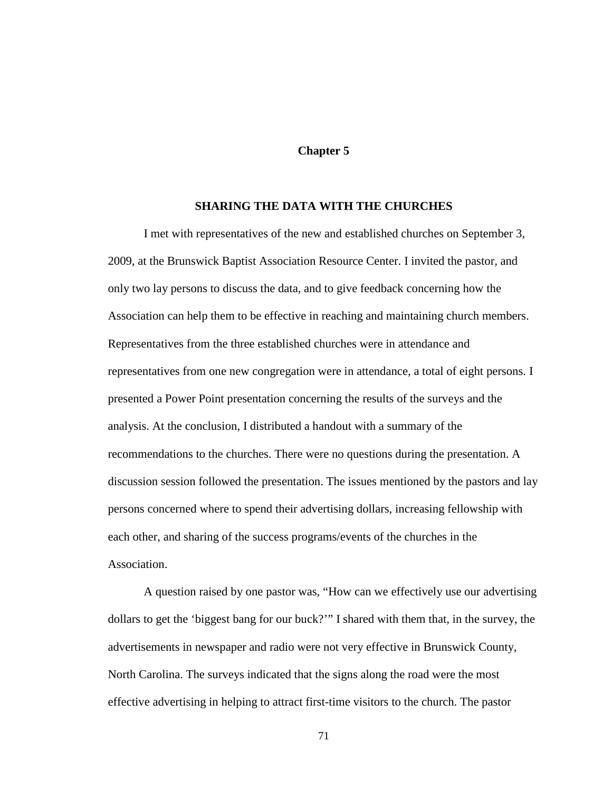### **Chapter 5**

### **SHARING THE DATA WITH THE CHURCHES**

I met with representatives of the new and established churches on September 3, 2009, at the Brunswick Baptist Association Resource Center. I invited the pastor, and only two lay persons to discuss the data, and to give feedback concerning how the Association can help them to be effective in reaching and maintaining church members. Representatives from the three established churches were in attendance and representatives from one new congregation were in attendance, a total of eight persons. I presented a Power Point presentation concerning the results of the surveys and the analysis. At the conclusion, I distributed a handout with a summary of the recommendations to the churches. There were no questions during the presentation. A discussion session followed the presentation. The issues mentioned by the pastors and lay persons concerned where to spend their advertising dollars, increasing fellowship with each other, and sharing of the success programs/events of the churches in the Association.

A question raised by one pastor was, "How can we effectively use our advertising dollars to get the 'biggest bang for our buck?'" I shared with them that, in the survey, the advertisements in newspaper and radio were not very effective in Brunswick County, North Carolina. The surveys indicated that the signs along the road were the most effective advertising in helping to attract first-time visitors to the church. The pastor

71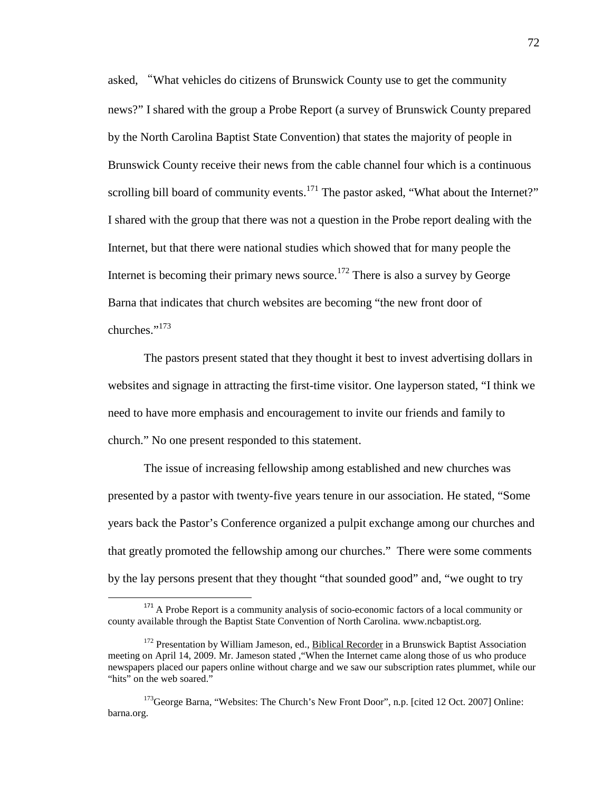asked, "What vehicles do citizens of Brunswick County use to get the community news?" I shared with the group a Probe Report (a survey of Brunswick County prepared by the North Carolina Baptist State Convention) that states the majority of people in Brunswick County receive their news from the cable channel four which is a continuous scrolling bill board of community events.<sup>171</sup> The pastor asked, "What about the Internet?" I shared with the group that there was not a question in the Probe report dealing with the Internet, but that there were national studies which showed that for many people the Internet is becoming their primary news source.<sup>172</sup> There is also a survey by George Barna that indicates that church websites are becoming "the new front door of churches."<sup>173</sup>

The pastors present stated that they thought it best to invest advertising dollars in websites and signage in attracting the first-time visitor. One layperson stated, "I think we need to have more emphasis and encouragement to invite our friends and family to church." No one present responded to this statement.

The issue of increasing fellowship among established and new churches was presented by a pastor with twenty-five years tenure in our association. He stated, "Some years back the Pastor's Conference organized a pulpit exchange among our churches and that greatly promoted the fellowship among our churches." There were some comments by the lay persons present that they thought "that sounded good" and, "we ought to try

 $\overline{a}$ 

 $171$  A Probe Report is a community analysis of socio-economic factors of a local community or county available through the Baptist State Convention of North Carolina. www.ncbaptist.org.

<sup>&</sup>lt;sup>172</sup> Presentation by William Jameson, ed., **Biblical Recorder** in a Brunswick Baptist Association meeting on April 14, 2009. Mr. Jameson stated ,"When the Internet came along those of us who produce newspapers placed our papers online without charge and we saw our subscription rates plummet, while our "hits" on the web soared."

<sup>&</sup>lt;sup>173</sup>George Barna, "Websites: The Church's New Front Door", n.p. [cited 12 Oct. 2007] Online: barna.org.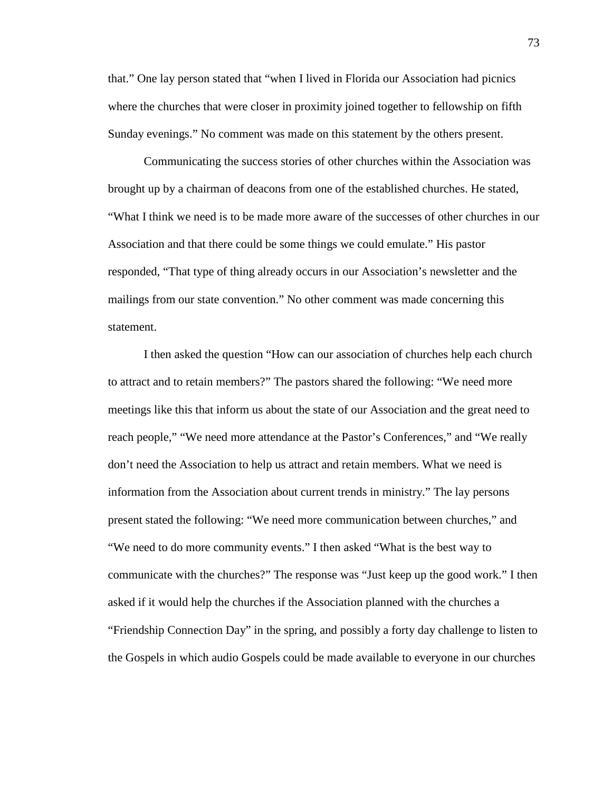that." One lay person stated that "when I lived in Florida our Association had picnics where the churches that were closer in proximity joined together to fellowship on fifth Sunday evenings." No comment was made on this statement by the others present.

Communicating the success stories of other churches within the Association was brought up by a chairman of deacons from one of the established churches. He stated, "What I think we need is to be made more aware of the successes of other churches in our Association and that there could be some things we could emulate." His pastor responded, "That type of thing already occurs in our Association's newsletter and the mailings from our state convention." No other comment was made concerning this statement.

I then asked the question "How can our association of churches help each church to attract and to retain members?" The pastors shared the following: "We need more meetings like this that inform us about the state of our Association and the great need to reach people," "We need more attendance at the Pastor's Conferences," and "We really don't need the Association to help us attract and retain members. What we need is information from the Association about current trends in ministry." The lay persons present stated the following: "We need more communication between churches," and "We need to do more community events." I then asked "What is the best way to communicate with the churches?" The response was "Just keep up the good work." I then asked if it would help the churches if the Association planned with the churches a "Friendship Connection Day" in the spring, and possibly a forty day challenge to listen to the Gospels in which audio Gospels could be made available to everyone in our churches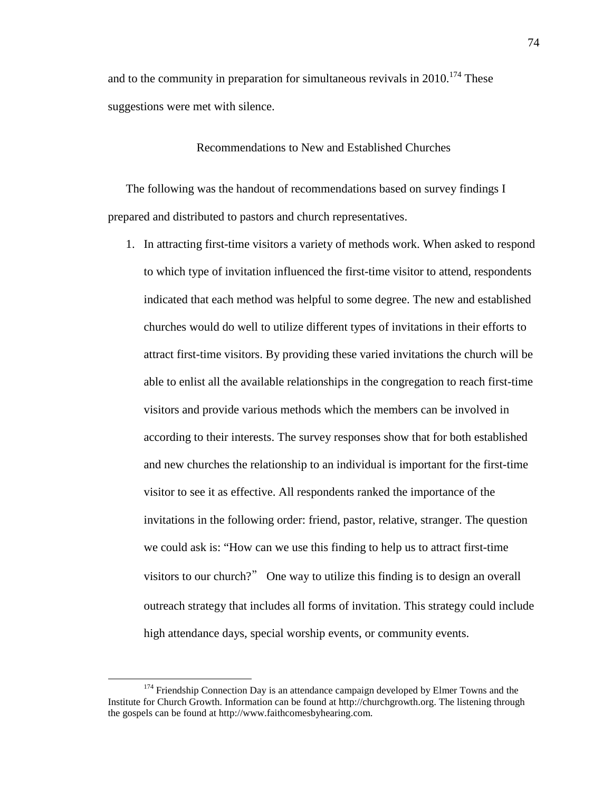and to the community in preparation for simultaneous revivals in  $2010$ <sup> $174$ </sup> These suggestions were met with silence.

Recommendations to New and Established Churches

The following was the handout of recommendations based on survey findings I prepared and distributed to pastors and church representatives.

1. In attracting first-time visitors a variety of methods work. When asked to respond to which type of invitation influenced the first-time visitor to attend, respondents indicated that each method was helpful to some degree. The new and established churches would do well to utilize different types of invitations in their efforts to attract first-time visitors. By providing these varied invitations the church will be able to enlist all the available relationships in the congregation to reach first-time visitors and provide various methods which the members can be involved in according to their interests. The survey responses show that for both established and new churches the relationship to an individual is important for the first-time visitor to see it as effective. All respondents ranked the importance of the invitations in the following order: friend, pastor, relative, stranger. The question we could ask is: "How can we use this finding to help us to attract first-time visitors to our church?" One way to utilize this finding is to design an overall outreach strategy that includes all forms of invitation. This strategy could include high attendance days, special worship events, or community events.

 $\overline{a}$ 

<sup>&</sup>lt;sup>174</sup> Friendship Connection Day is an attendance campaign developed by Elmer Towns and the Institute for Church Growth. Information can be found at http://churchgrowth.org. The listening through the gospels can be found at http://www.faithcomesbyhearing.com.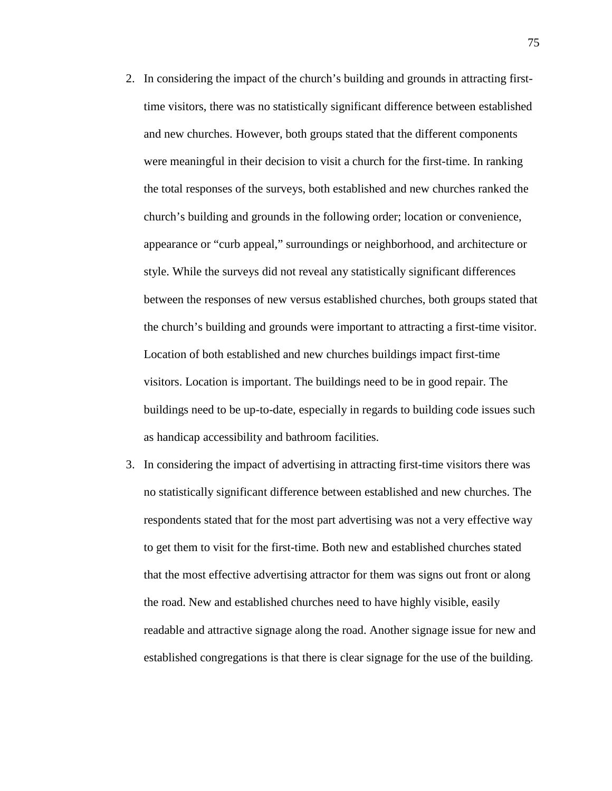- 2. In considering the impact of the church's building and grounds in attracting firsttime visitors, there was no statistically significant difference between established and new churches. However, both groups stated that the different components were meaningful in their decision to visit a church for the first-time. In ranking the total responses of the surveys, both established and new churches ranked the church's building and grounds in the following order; location or convenience, appearance or "curb appeal," surroundings or neighborhood, and architecture or style. While the surveys did not reveal any statistically significant differences between the responses of new versus established churches, both groups stated that the church's building and grounds were important to attracting a first-time visitor. Location of both established and new churches buildings impact first-time visitors. Location is important. The buildings need to be in good repair. The buildings need to be up-to-date, especially in regards to building code issues such as handicap accessibility and bathroom facilities.
- 3. In considering the impact of advertising in attracting first-time visitors there was no statistically significant difference between established and new churches. The respondents stated that for the most part advertising was not a very effective way to get them to visit for the first-time. Both new and established churches stated that the most effective advertising attractor for them was signs out front or along the road. New and established churches need to have highly visible, easily readable and attractive signage along the road. Another signage issue for new and established congregations is that there is clear signage for the use of the building.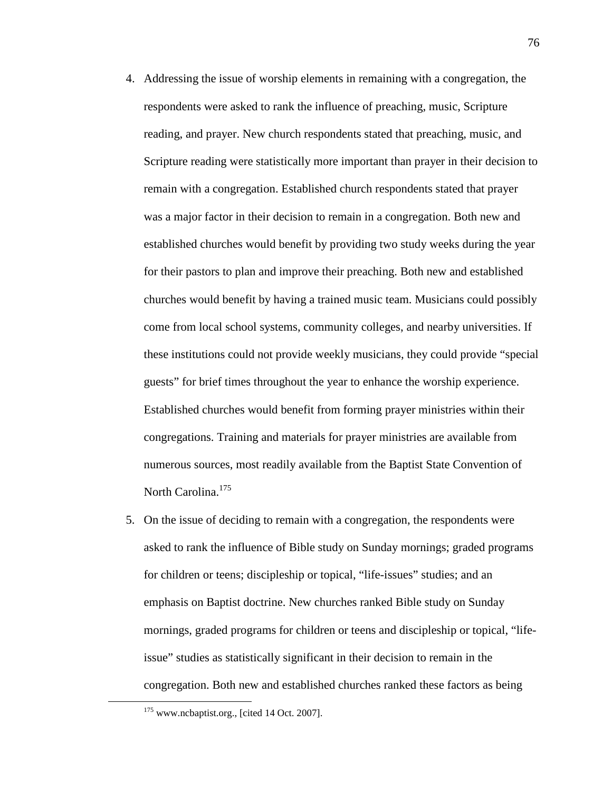- 4. Addressing the issue of worship elements in remaining with a congregation, the respondents were asked to rank the influence of preaching, music, Scripture reading, and prayer. New church respondents stated that preaching, music, and Scripture reading were statistically more important than prayer in their decision to remain with a congregation. Established church respondents stated that prayer was a major factor in their decision to remain in a congregation. Both new and established churches would benefit by providing two study weeks during the year for their pastors to plan and improve their preaching. Both new and established churches would benefit by having a trained music team. Musicians could possibly come from local school systems, community colleges, and nearby universities. If these institutions could not provide weekly musicians, they could provide "special guests" for brief times throughout the year to enhance the worship experience. Established churches would benefit from forming prayer ministries within their congregations. Training and materials for prayer ministries are available from numerous sources, most readily available from the Baptist State Convention of North Carolina.<sup>175</sup>
- 5. On the issue of deciding to remain with a congregation, the respondents were asked to rank the influence of Bible study on Sunday mornings; graded programs for children or teens; discipleship or topical, "life-issues" studies; and an emphasis on Baptist doctrine. New churches ranked Bible study on Sunday mornings, graded programs for children or teens and discipleship or topical, "lifeissue" studies as statistically significant in their decision to remain in the congregation. Both new and established churches ranked these factors as being

<u>.</u>

<sup>&</sup>lt;sup>175</sup> www.ncbaptist.org., [cited 14 Oct. 2007].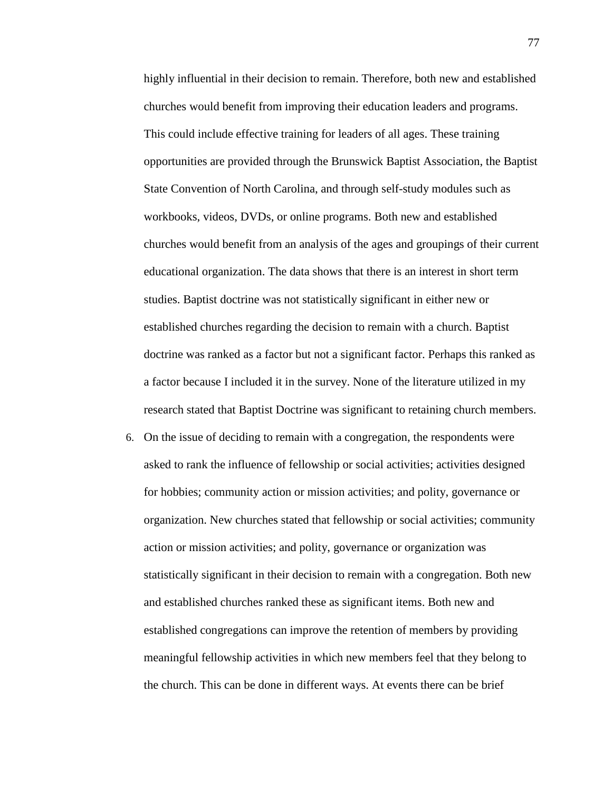highly influential in their decision to remain. Therefore, both new and established churches would benefit from improving their education leaders and programs. This could include effective training for leaders of all ages. These training opportunities are provided through the Brunswick Baptist Association, the Baptist State Convention of North Carolina, and through self-study modules such as workbooks, videos, DVDs, or online programs. Both new and established churches would benefit from an analysis of the ages and groupings of their current educational organization. The data shows that there is an interest in short term studies. Baptist doctrine was not statistically significant in either new or established churches regarding the decision to remain with a church. Baptist doctrine was ranked as a factor but not a significant factor. Perhaps this ranked as a factor because I included it in the survey. None of the literature utilized in my research stated that Baptist Doctrine was significant to retaining church members.

6. On the issue of deciding to remain with a congregation, the respondents were asked to rank the influence of fellowship or social activities; activities designed for hobbies; community action or mission activities; and polity, governance or organization. New churches stated that fellowship or social activities; community action or mission activities; and polity, governance or organization was statistically significant in their decision to remain with a congregation. Both new and established churches ranked these as significant items. Both new and established congregations can improve the retention of members by providing meaningful fellowship activities in which new members feel that they belong to the church. This can be done in different ways. At events there can be brief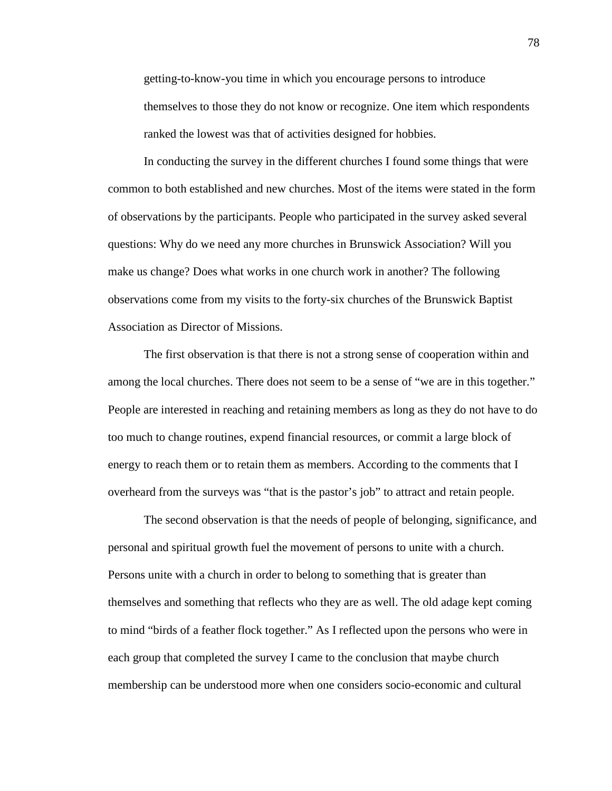getting-to-know-you time in which you encourage persons to introduce themselves to those they do not know or recognize. One item which respondents ranked the lowest was that of activities designed for hobbies.

 In conducting the survey in the different churches I found some things that were common to both established and new churches. Most of the items were stated in the form of observations by the participants. People who participated in the survey asked several questions: Why do we need any more churches in Brunswick Association? Will you make us change? Does what works in one church work in another? The following observations come from my visits to the forty-six churches of the Brunswick Baptist Association as Director of Missions.

 The first observation is that there is not a strong sense of cooperation within and among the local churches. There does not seem to be a sense of "we are in this together." People are interested in reaching and retaining members as long as they do not have to do too much to change routines, expend financial resources, or commit a large block of energy to reach them or to retain them as members. According to the comments that I overheard from the surveys was "that is the pastor's job" to attract and retain people.

The second observation is that the needs of people of belonging, significance, and personal and spiritual growth fuel the movement of persons to unite with a church. Persons unite with a church in order to belong to something that is greater than themselves and something that reflects who they are as well. The old adage kept coming to mind "birds of a feather flock together." As I reflected upon the persons who were in each group that completed the survey I came to the conclusion that maybe church membership can be understood more when one considers socio-economic and cultural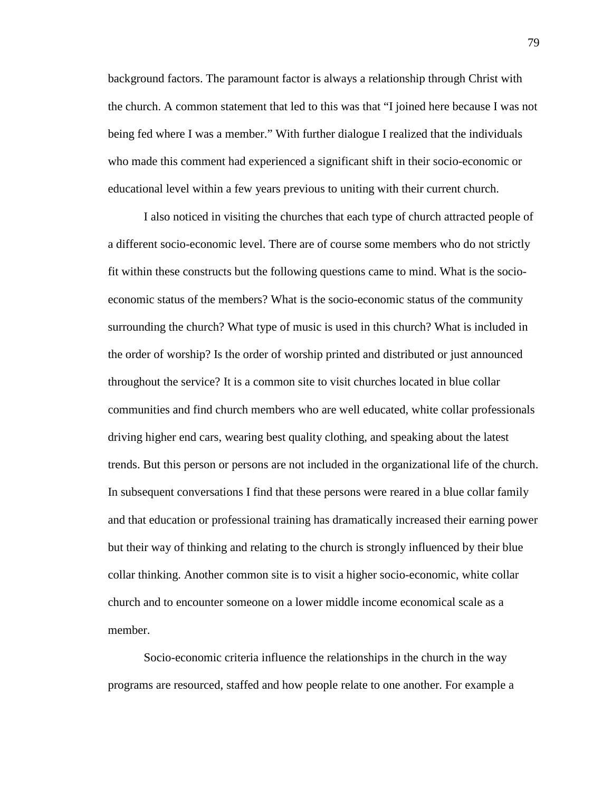background factors. The paramount factor is always a relationship through Christ with the church. A common statement that led to this was that "I joined here because I was not being fed where I was a member." With further dialogue I realized that the individuals who made this comment had experienced a significant shift in their socio-economic or educational level within a few years previous to uniting with their current church.

I also noticed in visiting the churches that each type of church attracted people of a different socio-economic level. There are of course some members who do not strictly fit within these constructs but the following questions came to mind. What is the socioeconomic status of the members? What is the socio-economic status of the community surrounding the church? What type of music is used in this church? What is included in the order of worship? Is the order of worship printed and distributed or just announced throughout the service? It is a common site to visit churches located in blue collar communities and find church members who are well educated, white collar professionals driving higher end cars, wearing best quality clothing, and speaking about the latest trends. But this person or persons are not included in the organizational life of the church. In subsequent conversations I find that these persons were reared in a blue collar family and that education or professional training has dramatically increased their earning power but their way of thinking and relating to the church is strongly influenced by their blue collar thinking. Another common site is to visit a higher socio-economic, white collar church and to encounter someone on a lower middle income economical scale as a member.

Socio-economic criteria influence the relationships in the church in the way programs are resourced, staffed and how people relate to one another. For example a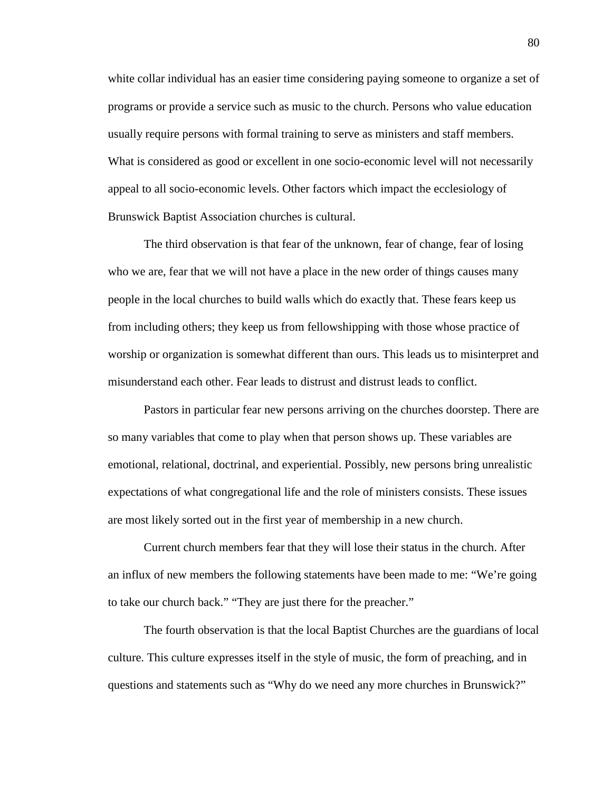white collar individual has an easier time considering paying someone to organize a set of programs or provide a service such as music to the church. Persons who value education usually require persons with formal training to serve as ministers and staff members. What is considered as good or excellent in one socio-economic level will not necessarily appeal to all socio-economic levels. Other factors which impact the ecclesiology of Brunswick Baptist Association churches is cultural.

The third observation is that fear of the unknown, fear of change, fear of losing who we are, fear that we will not have a place in the new order of things causes many people in the local churches to build walls which do exactly that. These fears keep us from including others; they keep us from fellowshipping with those whose practice of worship or organization is somewhat different than ours. This leads us to misinterpret and misunderstand each other. Fear leads to distrust and distrust leads to conflict.

Pastors in particular fear new persons arriving on the churches doorstep. There are so many variables that come to play when that person shows up. These variables are emotional, relational, doctrinal, and experiential. Possibly, new persons bring unrealistic expectations of what congregational life and the role of ministers consists. These issues are most likely sorted out in the first year of membership in a new church.

Current church members fear that they will lose their status in the church. After an influx of new members the following statements have been made to me: "We're going to take our church back." "They are just there for the preacher."

The fourth observation is that the local Baptist Churches are the guardians of local culture. This culture expresses itself in the style of music, the form of preaching, and in questions and statements such as "Why do we need any more churches in Brunswick?"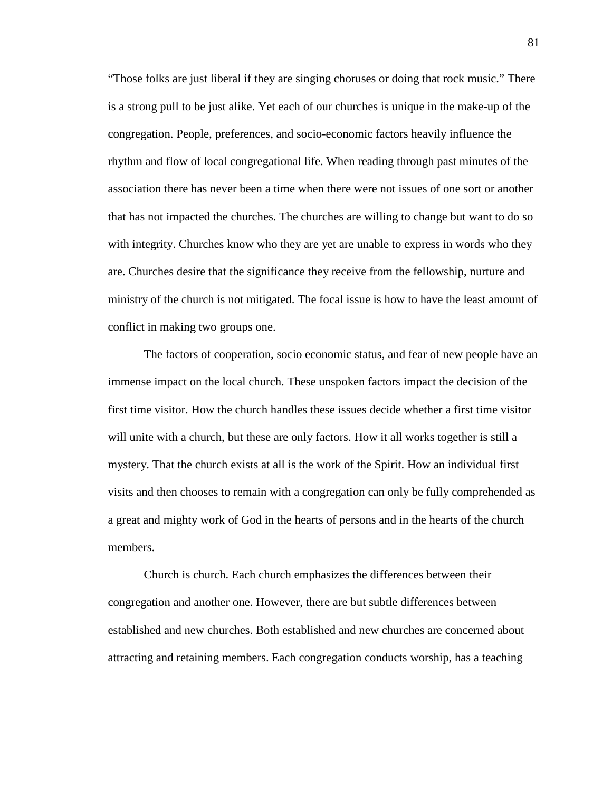"Those folks are just liberal if they are singing choruses or doing that rock music." There is a strong pull to be just alike. Yet each of our churches is unique in the make-up of the congregation. People, preferences, and socio-economic factors heavily influence the rhythm and flow of local congregational life. When reading through past minutes of the association there has never been a time when there were not issues of one sort or another that has not impacted the churches. The churches are willing to change but want to do so with integrity. Churches know who they are yet are unable to express in words who they are. Churches desire that the significance they receive from the fellowship, nurture and ministry of the church is not mitigated. The focal issue is how to have the least amount of conflict in making two groups one.

The factors of cooperation, socio economic status, and fear of new people have an immense impact on the local church. These unspoken factors impact the decision of the first time visitor. How the church handles these issues decide whether a first time visitor will unite with a church, but these are only factors. How it all works together is still a mystery. That the church exists at all is the work of the Spirit. How an individual first visits and then chooses to remain with a congregation can only be fully comprehended as a great and mighty work of God in the hearts of persons and in the hearts of the church members.

Church is church. Each church emphasizes the differences between their congregation and another one. However, there are but subtle differences between established and new churches. Both established and new churches are concerned about attracting and retaining members. Each congregation conducts worship, has a teaching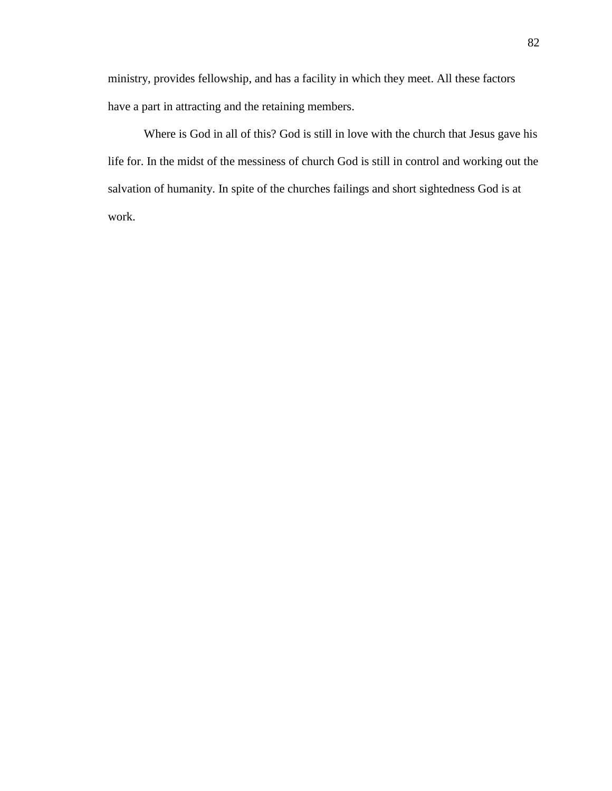ministry, provides fellowship, and has a facility in which they meet. All these factors have a part in attracting and the retaining members.

Where is God in all of this? God is still in love with the church that Jesus gave his life for. In the midst of the messiness of church God is still in control and working out the salvation of humanity. In spite of the churches failings and short sightedness God is at work.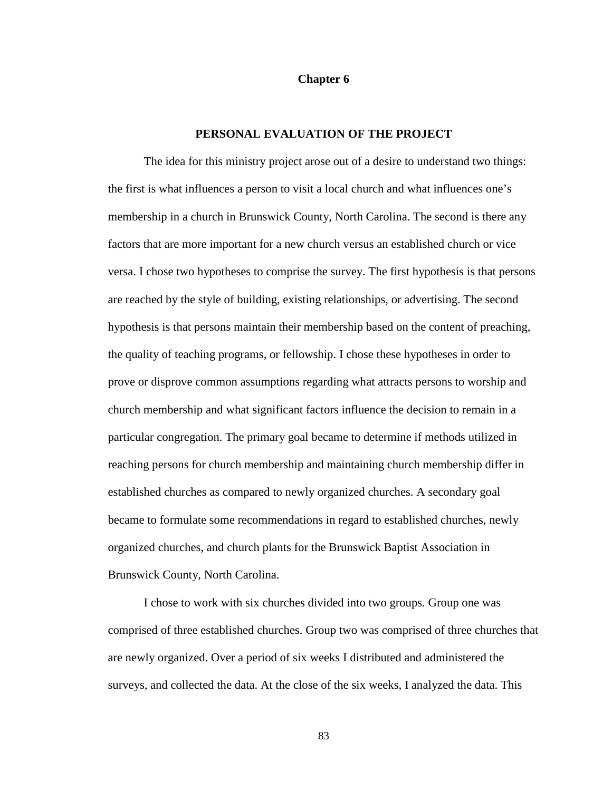#### **Chapter 6**

### **PERSONAL EVALUATION OF THE PROJECT**

The idea for this ministry project arose out of a desire to understand two things: the first is what influences a person to visit a local church and what influences one's membership in a church in Brunswick County, North Carolina. The second is there any factors that are more important for a new church versus an established church or vice versa. I chose two hypotheses to comprise the survey. The first hypothesis is that persons are reached by the style of building, existing relationships, or advertising. The second hypothesis is that persons maintain their membership based on the content of preaching, the quality of teaching programs, or fellowship. I chose these hypotheses in order to prove or disprove common assumptions regarding what attracts persons to worship and church membership and what significant factors influence the decision to remain in a particular congregation. The primary goal became to determine if methods utilized in reaching persons for church membership and maintaining church membership differ in established churches as compared to newly organized churches. A secondary goal became to formulate some recommendations in regard to established churches, newly organized churches, and church plants for the Brunswick Baptist Association in Brunswick County, North Carolina.

I chose to work with six churches divided into two groups. Group one was comprised of three established churches. Group two was comprised of three churches that are newly organized. Over a period of six weeks I distributed and administered the surveys, and collected the data. At the close of the six weeks, I analyzed the data. This

83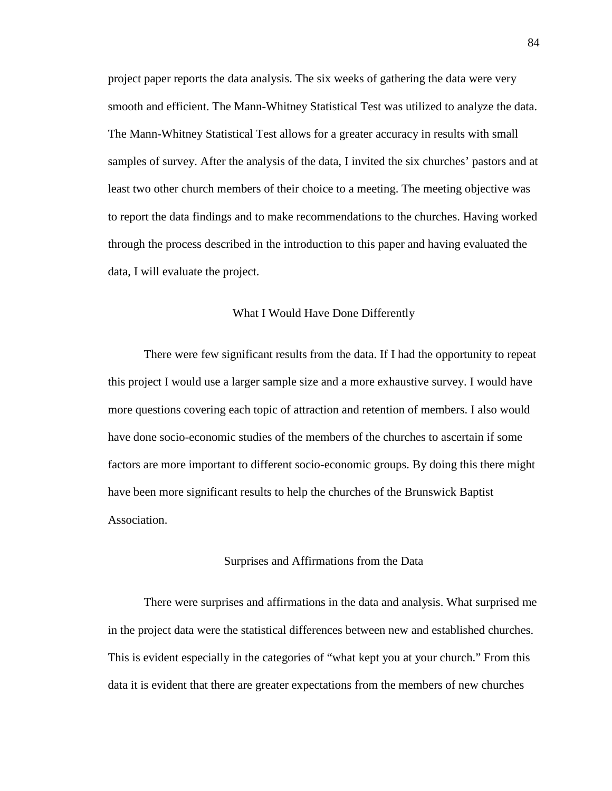project paper reports the data analysis. The six weeks of gathering the data were very smooth and efficient. The Mann-Whitney Statistical Test was utilized to analyze the data. The Mann-Whitney Statistical Test allows for a greater accuracy in results with small samples of survey. After the analysis of the data, I invited the six churches' pastors and at least two other church members of their choice to a meeting. The meeting objective was to report the data findings and to make recommendations to the churches. Having worked through the process described in the introduction to this paper and having evaluated the data, I will evaluate the project.

### What I Would Have Done Differently

There were few significant results from the data. If I had the opportunity to repeat this project I would use a larger sample size and a more exhaustive survey. I would have more questions covering each topic of attraction and retention of members. I also would have done socio-economic studies of the members of the churches to ascertain if some factors are more important to different socio-economic groups. By doing this there might have been more significant results to help the churches of the Brunswick Baptist Association.

#### Surprises and Affirmations from the Data

There were surprises and affirmations in the data and analysis. What surprised me in the project data were the statistical differences between new and established churches. This is evident especially in the categories of "what kept you at your church." From this data it is evident that there are greater expectations from the members of new churches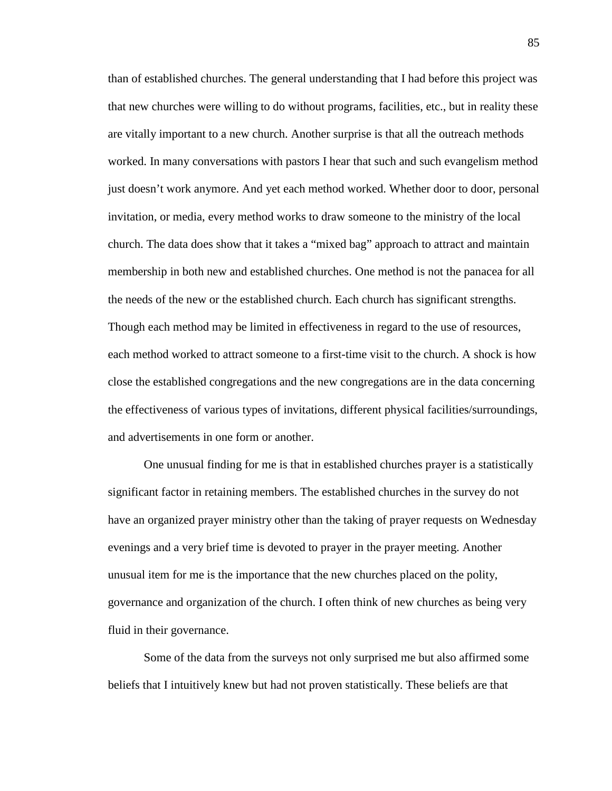than of established churches. The general understanding that I had before this project was that new churches were willing to do without programs, facilities, etc., but in reality these are vitally important to a new church. Another surprise is that all the outreach methods worked. In many conversations with pastors I hear that such and such evangelism method just doesn't work anymore. And yet each method worked. Whether door to door, personal invitation, or media, every method works to draw someone to the ministry of the local church. The data does show that it takes a "mixed bag" approach to attract and maintain membership in both new and established churches. One method is not the panacea for all the needs of the new or the established church. Each church has significant strengths. Though each method may be limited in effectiveness in regard to the use of resources, each method worked to attract someone to a first-time visit to the church. A shock is how close the established congregations and the new congregations are in the data concerning the effectiveness of various types of invitations, different physical facilities/surroundings, and advertisements in one form or another.

One unusual finding for me is that in established churches prayer is a statistically significant factor in retaining members. The established churches in the survey do not have an organized prayer ministry other than the taking of prayer requests on Wednesday evenings and a very brief time is devoted to prayer in the prayer meeting. Another unusual item for me is the importance that the new churches placed on the polity, governance and organization of the church. I often think of new churches as being very fluid in their governance.

Some of the data from the surveys not only surprised me but also affirmed some beliefs that I intuitively knew but had not proven statistically. These beliefs are that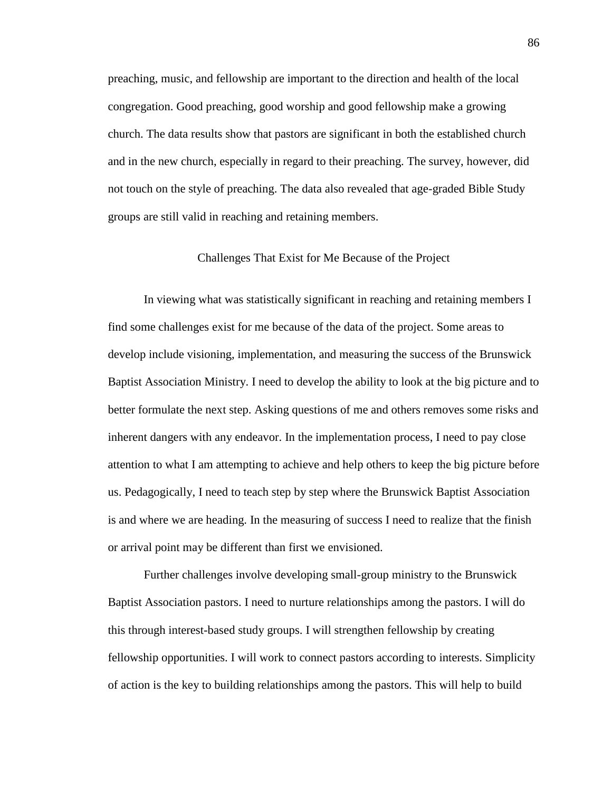preaching, music, and fellowship are important to the direction and health of the local congregation. Good preaching, good worship and good fellowship make a growing church. The data results show that pastors are significant in both the established church and in the new church, especially in regard to their preaching. The survey, however, did not touch on the style of preaching. The data also revealed that age-graded Bible Study groups are still valid in reaching and retaining members.

### Challenges That Exist for Me Because of the Project

In viewing what was statistically significant in reaching and retaining members I find some challenges exist for me because of the data of the project. Some areas to develop include visioning, implementation, and measuring the success of the Brunswick Baptist Association Ministry. I need to develop the ability to look at the big picture and to better formulate the next step. Asking questions of me and others removes some risks and inherent dangers with any endeavor. In the implementation process, I need to pay close attention to what I am attempting to achieve and help others to keep the big picture before us. Pedagogically, I need to teach step by step where the Brunswick Baptist Association is and where we are heading. In the measuring of success I need to realize that the finish or arrival point may be different than first we envisioned.

Further challenges involve developing small-group ministry to the Brunswick Baptist Association pastors. I need to nurture relationships among the pastors. I will do this through interest-based study groups. I will strengthen fellowship by creating fellowship opportunities. I will work to connect pastors according to interests. Simplicity of action is the key to building relationships among the pastors. This will help to build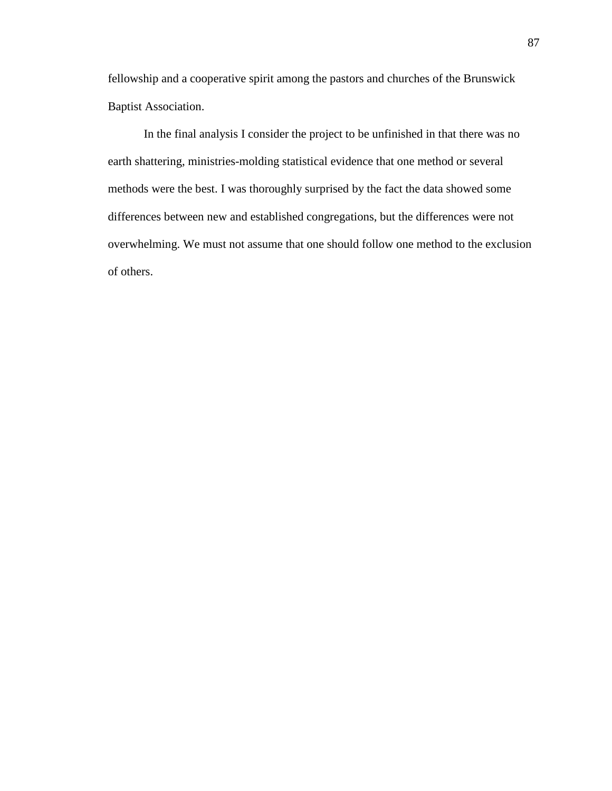fellowship and a cooperative spirit among the pastors and churches of the Brunswick Baptist Association.

In the final analysis I consider the project to be unfinished in that there was no earth shattering, ministries-molding statistical evidence that one method or several methods were the best. I was thoroughly surprised by the fact the data showed some differences between new and established congregations, but the differences were not overwhelming. We must not assume that one should follow one method to the exclusion of others.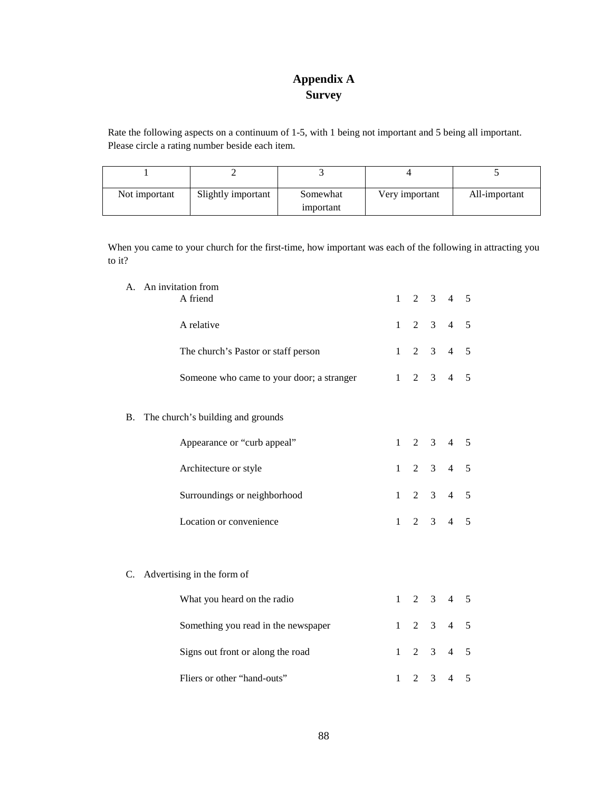# **Appendix A Survey**

Rate the following aspects on a continuum of 1-5, with 1 being not important and 5 being all important. Please circle a rating number beside each item.

| Not important | Slightly important | Somewhat  | Very important | All-important |
|---------------|--------------------|-----------|----------------|---------------|
|               |                    | important |                |               |

When you came to your church for the first-time, how important was each of the following in attracting you to it?

|    | A. An invitation from                     |              |                |                |                |   |
|----|-------------------------------------------|--------------|----------------|----------------|----------------|---|
|    | A friend                                  | $\mathbf{1}$ | $\overline{2}$ | 3              | $\overline{4}$ | 5 |
|    | A relative                                | $\mathbf{1}$ | 2              | $\mathfrak{Z}$ | $\overline{4}$ | 5 |
|    | The church's Pastor or staff person       | $\mathbf{1}$ | 2              | $\mathfrak{Z}$ | $\overline{4}$ | 5 |
|    | Someone who came to your door; a stranger | $\mathbf{1}$ | 2              | $\mathfrak{Z}$ | $\overline{4}$ | 5 |
| В. | The church's building and grounds         |              |                |                |                |   |
|    | Appearance or "curb appeal"               | $\mathbf{1}$ | 2              | $\overline{3}$ | $\overline{4}$ | 5 |
|    | Architecture or style                     | $\mathbf{1}$ | $\overline{2}$ | 3              | $\overline{4}$ | 5 |
|    | Surroundings or neighborhood              | $\mathbf{1}$ | 2              | 3              | $\overline{4}$ | 5 |
|    | Location or convenience                   | $\mathbf{1}$ | $\overline{2}$ | $\overline{3}$ | $\overline{4}$ | 5 |
|    |                                           |              |                |                |                |   |
| C. | Advertising in the form of                |              |                |                |                |   |
|    | What you heard on the radio               | $\mathbf{1}$ | 2              | 3              | $\overline{4}$ | 5 |
|    | Something you read in the newspaper       | $\mathbf{1}$ | 2              | $\mathfrak{Z}$ | $\overline{4}$ | 5 |
|    | Signs out front or along the road         | 1            | 2              | 3              | $\overline{4}$ | 5 |
|    | Fliers or other "hand-outs"               | $\mathbf{1}$ | $\overline{2}$ | 3              | $\overline{4}$ | 5 |
|    |                                           |              |                |                |                |   |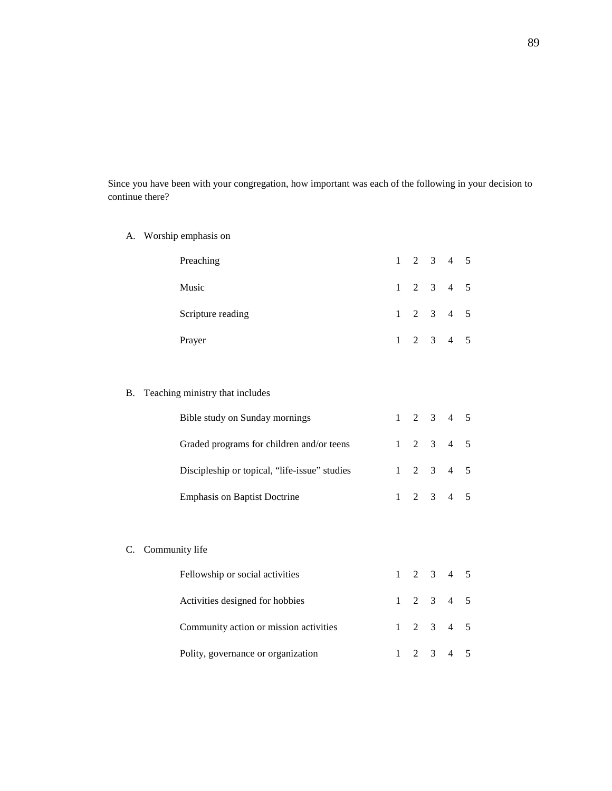Since you have been with your congregation, how important was each of the following in your decision to continue there?

A. Worship emphasis on

| Preaching         |  | $1 \t2 \t3 \t4 \t5$ |  |
|-------------------|--|---------------------|--|
| Music             |  | $1 \t2 \t3 \t4 \t5$ |  |
| Scripture reading |  | $1 \t2 \t3 \t4 \t5$ |  |
| Prayer            |  | $1 \t2 \t3 \t4 \t5$ |  |

### B. Teaching ministry that includes

| Bible study on Sunday mornings                |  | $1 \t2 \t3 \t4 \t5$ |  |
|-----------------------------------------------|--|---------------------|--|
| Graded programs for children and/or teens     |  | $1 \t2 \t3 \t4 \t5$ |  |
| Discipleship or topical, "life-issue" studies |  | $1 \t2 \t3 \t4 \t5$ |  |
| <b>Emphasis on Baptist Doctrine</b>           |  | $1 \t2 \t3 \t4 \t5$ |  |

### C. Community life

| Fellowship or social activities        |  | $1 \t2 \t3 \t4 \t5$ |  |
|----------------------------------------|--|---------------------|--|
| Activities designed for hobbies        |  | $1 \t2 \t3 \t4 \t5$ |  |
| Community action or mission activities |  | $1 \t2 \t3 \t4 \t5$ |  |
| Polity, governance or organization     |  | $1 \t2 \t3 \t4 \t5$ |  |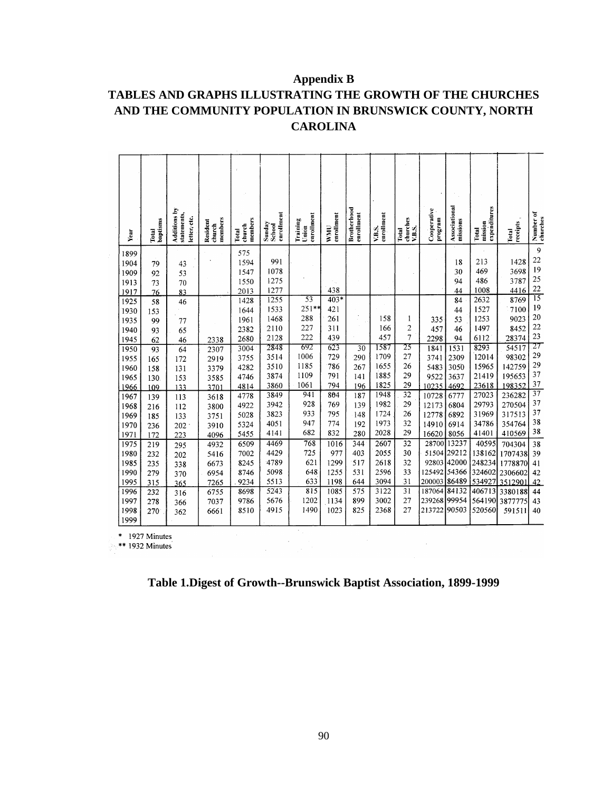# **Appendix B**

# **TABLES AND GRAPHS ILLUSTRATING THE GROWTH OF THE CHURCHES AND THE COMMUNITY POPULATION IN BRUNSWICK COUNTY, NORTH CAROLINA**

|              | Year | baptisms<br>Total            | Additions by<br>statements,<br>letter, etc. | members<br>Resident<br>church | members<br>church<br>Total | enrollment<br>Sunday<br>School | enrollment<br>Training<br>Union | enrollment<br>UINW | <b>Brotherhood</b><br>enrollment | enrollment<br>V.B.S. | churches<br>V.B.S.<br>Total | Cooperative<br>program | Associational<br>missions | expenditures<br>mission<br>Total | receipts<br>Total  | Number of<br>churches |
|--------------|------|------------------------------|---------------------------------------------|-------------------------------|----------------------------|--------------------------------|---------------------------------|--------------------|----------------------------------|----------------------|-----------------------------|------------------------|---------------------------|----------------------------------|--------------------|-----------------------|
|              | 1899 |                              |                                             |                               | 575                        |                                |                                 |                    |                                  |                      |                             |                        |                           |                                  |                    | 9                     |
|              | 1904 | 79                           | 43                                          |                               | 1594                       | 991                            |                                 |                    |                                  |                      |                             |                        | 18                        | 213                              | 1428               | $\overline{22}$       |
|              | 1909 | 92                           | 53                                          |                               | 1547                       | 1078                           |                                 |                    |                                  |                      |                             |                        | 30                        | 469                              | 3698               | 19                    |
| 1913         |      | 73                           | 70                                          |                               | 1550                       | 1275                           |                                 |                    |                                  |                      |                             |                        | 94                        | 486                              | 3787               | 25                    |
|              | 1917 | 76                           | 83                                          |                               | 2013                       | 1277                           |                                 | 438                |                                  |                      |                             |                        | 44                        | 1008                             | 4416               | 22                    |
|              | 1925 | 58                           | 46                                          |                               | 1428                       | 1255                           | $\overline{53}$                 | $403*$             |                                  |                      |                             |                        | 84                        | 2632                             | 8769               | $\overline{15}$       |
|              | 1930 | 153                          |                                             |                               | 1644                       | 1533                           | 251**                           | 421                |                                  |                      |                             |                        | 44                        | 1527                             | 7100               | 19                    |
|              | 1935 | 99                           | 77                                          |                               | 1961                       | 1468                           | 288                             | 261                |                                  | 158                  | 1                           | 335                    | 53                        | 1253                             | 9023               | 20                    |
|              | 1940 | 93                           | 65                                          |                               | 2382                       | 2110                           | 227                             | 311                |                                  | 166                  | $\overline{c}$              | 457                    | 46                        | 1497                             | 8452               | 22                    |
|              | 1945 | 62                           | 46                                          | 2338                          | 2680                       | 2128                           | 222                             | 439                |                                  | 457                  | $\overline{7}$              | 2298                   | 94                        | 6112                             | 28374              | 23                    |
|              | 1950 | 93                           | 64                                          | 2307                          | 3004                       | 2848                           | 692                             | 623                | $\overline{30}$                  | 1587                 | 25                          | 1841                   | 1531                      | 8293                             | 54517              | 27                    |
|              | 1955 | 165                          | 172                                         | 2919                          | 3755                       | 3514                           | 1006                            | 729                | 290                              | 1709                 | 27                          | 3741                   | 2309                      | 12014                            | 98302              | 29                    |
|              | 1960 | 158                          | 131                                         | 3379                          | 4282                       | 3510                           | 1185                            | 786                | 267                              | 1655                 | 26                          | 5483                   | 3050                      | 15965                            | 142759             | 29<br>37              |
|              | 1965 | 130                          | 153                                         | 3585                          | 4746                       | 3874                           | 1109                            | 791                | 141                              | 1885                 | 29                          | 9522                   | 3637                      | 21419                            | 195653             | 37                    |
|              | 1966 | 109                          | 133                                         | 3701                          | 4814                       | 3860                           | 1061                            | 794                | 196                              | 1825                 | 29                          | 10235                  | 4692                      | 23618                            | 198352             | $\overline{37}$       |
|              | 1967 | 139                          | 113                                         | 3618                          | 4778                       | 3849                           | 941<br>928                      | 804                | 187                              | 1948                 | $\overline{32}$<br>29       | 10728                  | 6777                      | 27023                            | 236282             | 37                    |
|              | 1968 | 216                          | 112                                         | 3800                          | 4922                       | 3942                           | 933                             | 769                | 139                              | 1982<br>1724         | 26                          | 12173                  | 6804                      | 29793                            | 270504             | 37                    |
|              | 1969 | 185                          | 133                                         | 3751                          | 5028                       | 3823<br>4051                   | 947                             | 795<br>774         | 148                              | 1973                 | 32                          | 12778                  | 6892                      | 31969<br>34786                   | 317513             | 38                    |
|              | 1970 | 236                          | 202                                         | 3910                          | 5324                       |                                | 682                             | 832                | 192                              | 2028                 | 29                          | 14910                  | 6914                      |                                  | 354764             | 38                    |
| 1971         |      | 172                          | 223                                         | 4096                          | 5455                       | 4141                           |                                 |                    | 280                              |                      |                             | 16620                  | 8056                      | 41401                            | 410569             |                       |
| 1975         |      | 219                          | 295                                         | 4932                          | 6509                       | 4469                           | 768                             | 1016               | 344                              | 2607                 | 32                          | 28700                  | 13237                     | 40595                            | 704304             | 38                    |
| 1980         |      | 232                          | 202                                         | 5416                          | 7002                       | 4429<br>4789                   | 725<br>621                      | 977                | 403                              | 2055                 | 30<br>32                    | 51504                  | 29212<br>92803 42000      | 138162                           | 1707438            | 39                    |
|              | 1985 | 235                          | 338                                         | 6673                          | 8245                       | 5098                           | 648                             | 1299<br>1255       | 517<br>531                       | 2618<br>2596         | 33                          | 125492 54366           |                           | 248234<br>324602                 | 1778870            | 41                    |
| 1990<br>1995 |      | 279                          | 370                                         | 6954                          | 8746<br>9234               | 5513                           | 633                             | 1198               | 644                              | 3094                 | 31                          | 200003 86489           |                           | 534927                           | 2306602<br>3512901 | 42<br>42              |
| 1996         |      | 315                          | 365                                         | 7265                          |                            | 5243                           | 815                             | 1085               | 575                              | 3122                 | 31                          | 187064                 | 84132                     | 406713                           |                    |                       |
| 1997         |      | 232                          | 316                                         | 6755                          | 8698<br>9786               | 5676                           | 1202                            | 1134               | 899                              | 3002                 | 27                          | 239268                 | 99954                     | 564190                           | 3380188            | 44<br>43              |
| 1998         |      | 278                          | 366                                         | 7037                          | 8510                       | 4915                           | 1490                            | 1023               | 825                              | 2368                 | 27                          | 213722                 | 90503                     | 520560                           | 3877775            |                       |
|              | 1999 | 270                          | 362                                         | 6661                          |                            |                                |                                 |                    |                                  |                      |                             |                        |                           |                                  | 591511             | 40                    |
|              |      |                              |                                             |                               |                            |                                |                                 |                    |                                  |                      |                             |                        |                           |                                  |                    |                       |
| *<br>**      |      | 1927 Minutes<br>1932 Minutes |                                             |                               |                            |                                |                                 |                    |                                  |                      |                             |                        |                           |                                  |                    |                       |

**Table 1.Digest of Growth--Brunswick Baptist Association, 1899-1999**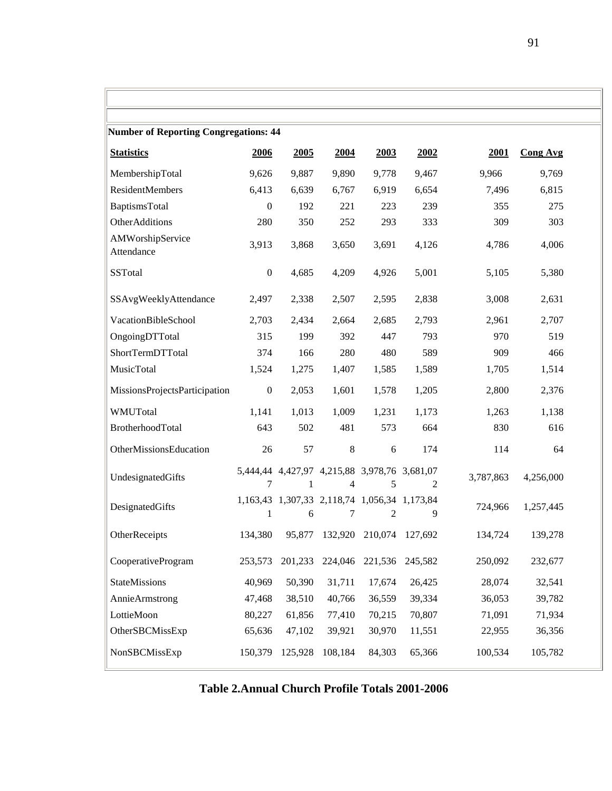| <b>Number of Reporting Congregations: 44</b> |                  |         |         |                                                   |                |           |                 |
|----------------------------------------------|------------------|---------|---------|---------------------------------------------------|----------------|-----------|-----------------|
| <b>Statistics</b>                            | 2006             | 2005    | 2004    | 2003                                              | 2002           | 2001      | <b>Cong Avg</b> |
| MembershipTotal                              | 9,626            | 9,887   | 9,890   | 9,778                                             | 9,467          | 9,966     | 9,769           |
| ResidentMembers                              | 6,413            | 6,639   | 6,767   | 6,919                                             | 6,654          | 7,496     | 6,815           |
| BaptismsTotal                                | $\boldsymbol{0}$ | 192     | 221     | 223                                               | 239            | 355       | 275             |
| OtherAdditions                               | 280              | 350     | 252     | 293                                               | 333            | 309       | 303             |
| AMWorshipService<br>Attendance               | 3,913            | 3,868   | 3,650   | 3,691                                             | 4,126          | 4,786     | 4,006           |
| <b>SSTotal</b>                               | $\boldsymbol{0}$ | 4,685   | 4,209   | 4,926                                             | 5,001          | 5,105     | 5,380           |
| SSAvgWeeklyAttendance                        | 2,497            | 2,338   | 2,507   | 2,595                                             | 2,838          | 3,008     | 2,631           |
| <b>VacationBibleSchool</b>                   | 2,703            | 2,434   | 2,664   | 2,685                                             | 2,793          | 2,961     | 2,707           |
| OngoingDTTotal                               | 315              | 199     | 392     | 447                                               | 793            | 970       | 519             |
| ShortTermDTTotal                             | 374              | 166     | 280     | 480                                               | 589            | 909       | 466             |
| MusicTotal                                   | 1,524            | 1,275   | 1,407   | 1,585                                             | 1,589          | 1,705     | 1,514           |
| MissionsProjectsParticipation                | $\boldsymbol{0}$ | 2,053   | 1,601   | 1,578                                             | 1,205          | 2,800     | 2,376           |
| WMUTotal                                     | 1,141            | 1,013   | 1,009   | 1,231                                             | 1,173          | 1,263     | 1,138           |
| BrotherhoodTotal                             | 643              | 502     | 481     | 573                                               | 664            | 830       | 616             |
| OtherMissionsEducation                       | 26               | 57      | $\,8\,$ | 6                                                 | 174            | 114       | 64              |
| UndesignatedGifts                            | 7                | 1       | 4       | 5,444,44 4,427,97 4,215,88 3,978,76 3,681,07<br>5 | $\overline{2}$ | 3,787,863 | 4,256,000       |
| DesignatedGifts                              | 1                | 6       | 7       | 1,163,43 1,307,33 2,118,74 1,056,34 1,173,84<br>2 | 9              | 724,966   | 1,257,445       |
| OtherReceipts                                | 134,380          | 95,877  |         | 132,920 210,074                                   | 127,692        | 134,724   | 139,278         |
| CooperativeProgram                           | 253,573          | 201,233 | 224,046 | 221,536                                           | 245,582        | 250,092   | 232,677         |
| StateMissions                                | 40,969           | 50,390  | 31,711  | 17,674                                            | 26,425         | 28,074    | 32,541          |
| <b>Annie Armstrong</b>                       | 47,468           | 38,510  | 40,766  | 36,559                                            | 39,334         | 36,053    | 39,782          |
| LottieMoon                                   | 80,227           | 61,856  | 77,410  | 70,215                                            | 70,807         | 71,091    | 71,934          |
| OtherSBCMissExp                              | 65,636           | 47,102  | 39,921  | 30,970                                            | 11,551         | 22,955    | 36,356          |
| NonSBCMissExp                                | 150,379          | 125,928 | 108,184 | 84,303                                            | 65,366         | 100,534   | 105,782         |

# **Table 2.Annual Church Profile Totals 2001-2006**

 $\mathbb{I}$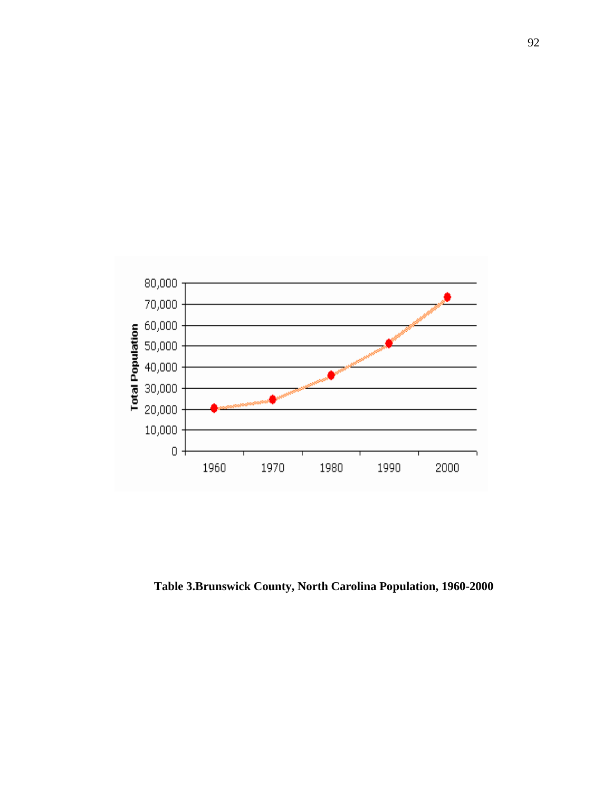

**Table 3.Brunswick County, North Carolina Population, 1960-2000**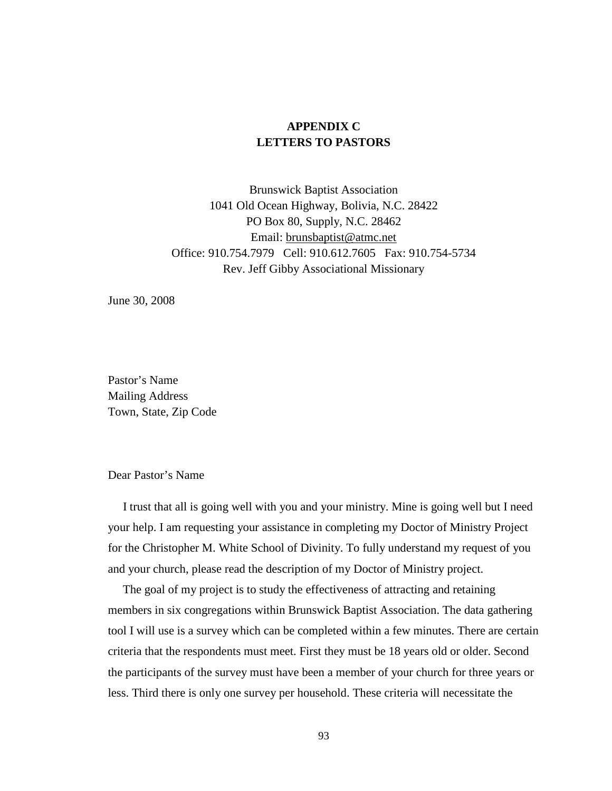# **APPENDIX C LETTERS TO PASTORS**

Brunswick Baptist Association 1041 Old Ocean Highway, Bolivia, N.C. 28422 PO Box 80, Supply, N.C. 28462 Email: brunsbaptist@atmc.net Office: 910.754.7979 Cell: 910.612.7605 Fax: 910.754-5734 Rev. Jeff Gibby Associational Missionary

June 30, 2008

Pastor's Name Mailing Address Town, State, Zip Code

#### Dear Pastor's Name

 I trust that all is going well with you and your ministry. Mine is going well but I need your help. I am requesting your assistance in completing my Doctor of Ministry Project for the Christopher M. White School of Divinity. To fully understand my request of you and your church, please read the description of my Doctor of Ministry project.

 The goal of my project is to study the effectiveness of attracting and retaining members in six congregations within Brunswick Baptist Association. The data gathering tool I will use is a survey which can be completed within a few minutes. There are certain criteria that the respondents must meet. First they must be 18 years old or older. Second the participants of the survey must have been a member of your church for three years or less. Third there is only one survey per household. These criteria will necessitate the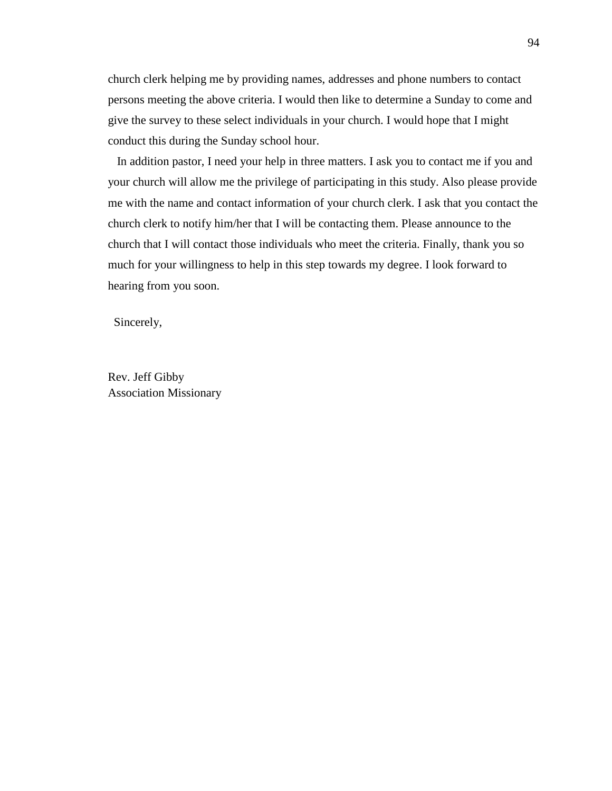church clerk helping me by providing names, addresses and phone numbers to contact persons meeting the above criteria. I would then like to determine a Sunday to come and give the survey to these select individuals in your church. I would hope that I might conduct this during the Sunday school hour.

 In addition pastor, I need your help in three matters. I ask you to contact me if you and your church will allow me the privilege of participating in this study. Also please provide me with the name and contact information of your church clerk. I ask that you contact the church clerk to notify him/her that I will be contacting them. Please announce to the church that I will contact those individuals who meet the criteria. Finally, thank you so much for your willingness to help in this step towards my degree. I look forward to hearing from you soon.

Sincerely,

Rev. Jeff Gibby Association Missionary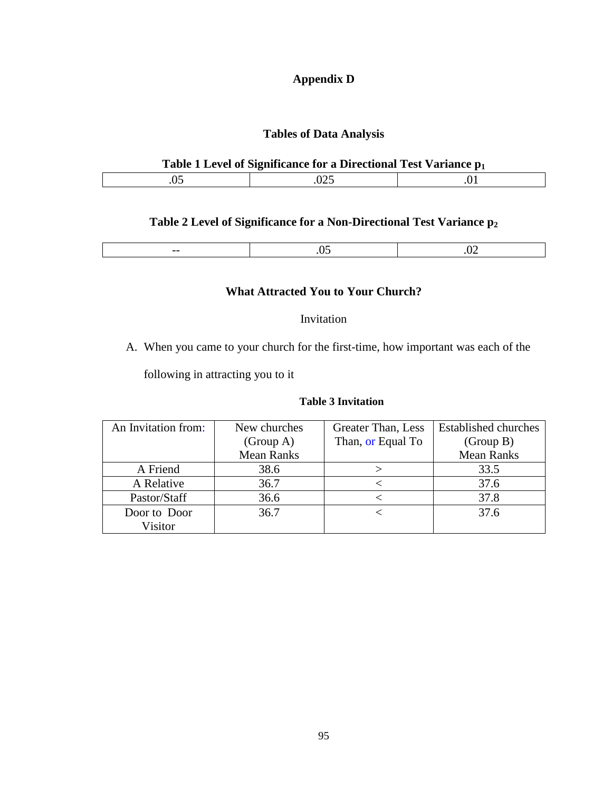# **Appendix D**

## **Tables of Data Analysis**

## **Table 1 Level of Significance for a Directional Test Variance p<sup>1</sup>**

## **Table 2 Level of Significance for a Non-Directional Test Variance p<sup>2</sup>**

|--|

### **What Attracted You to Your Church?**

### Invitation

A. When you came to your church for the first-time, how important was each of the

following in attracting you to it

### **Table 3 Invitation**

| An Invitation from: | New churches      | Greater Than, Less | <b>Established churches</b> |
|---------------------|-------------------|--------------------|-----------------------------|
|                     | (Group A)         | Than, or Equal To  | (Group B)                   |
|                     | <b>Mean Ranks</b> |                    | <b>Mean Ranks</b>           |
| A Friend            | 38.6              |                    | 33.5                        |
| A Relative          | 36.7              |                    | 37.6                        |
| Pastor/Staff        | 36.6              |                    | 37.8                        |
| Door to Door        | 36.7              |                    | 37.6                        |
| Visitor             |                   |                    |                             |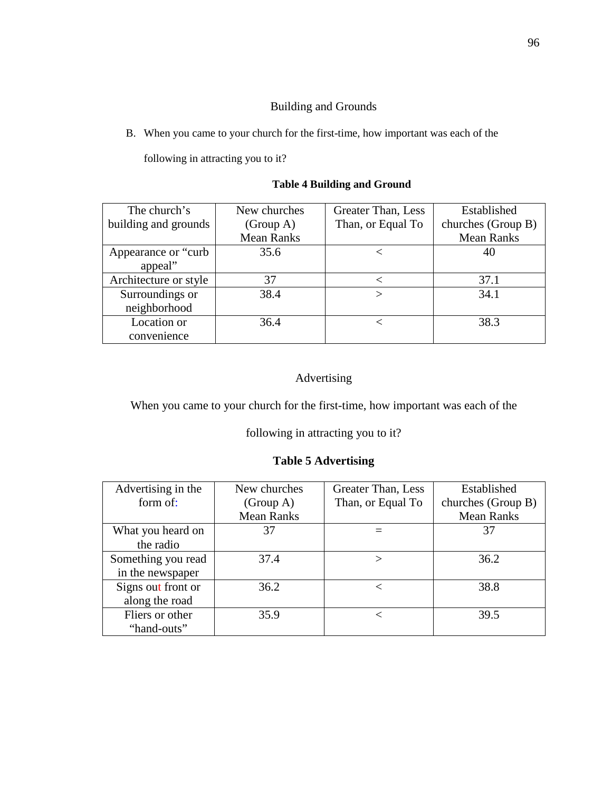## Building and Grounds

B. When you came to your church for the first-time, how important was each of the

following in attracting you to it?

## **Table 4 Building and Ground**

| The church's          | New churches      | Greater Than, Less | Established        |
|-----------------------|-------------------|--------------------|--------------------|
| building and grounds  | (Group A)         | Than, or Equal To  | churches (Group B) |
|                       | <b>Mean Ranks</b> |                    | <b>Mean Ranks</b>  |
| Appearance or "curb"  | 35.6              |                    | 40                 |
| appeal"               |                   |                    |                    |
| Architecture or style | 37                |                    | 37.1               |
| Surroundings or       | 38.4              |                    | 34.1               |
| neighborhood          |                   |                    |                    |
| Location or           | 36.4              |                    | 38.3               |
| convenience           |                   |                    |                    |

# Advertising

When you came to your church for the first-time, how important was each of the

following in attracting you to it?

## **Table 5 Advertising**

| Advertising in the | New churches      | Greater Than, Less | Established        |
|--------------------|-------------------|--------------------|--------------------|
| form of:           | (Group A)         | Than, or Equal To  | churches (Group B) |
|                    | <b>Mean Ranks</b> |                    | <b>Mean Ranks</b>  |
| What you heard on  | 37                |                    | 37                 |
| the radio          |                   |                    |                    |
| Something you read | 37.4              |                    | 36.2               |
| in the newspaper   |                   |                    |                    |
| Signs out front or | 36.2              |                    | 38.8               |
| along the road     |                   |                    |                    |
| Fliers or other    | 35.9              | $\,<\,$            | 39.5               |
| "hand-outs"        |                   |                    |                    |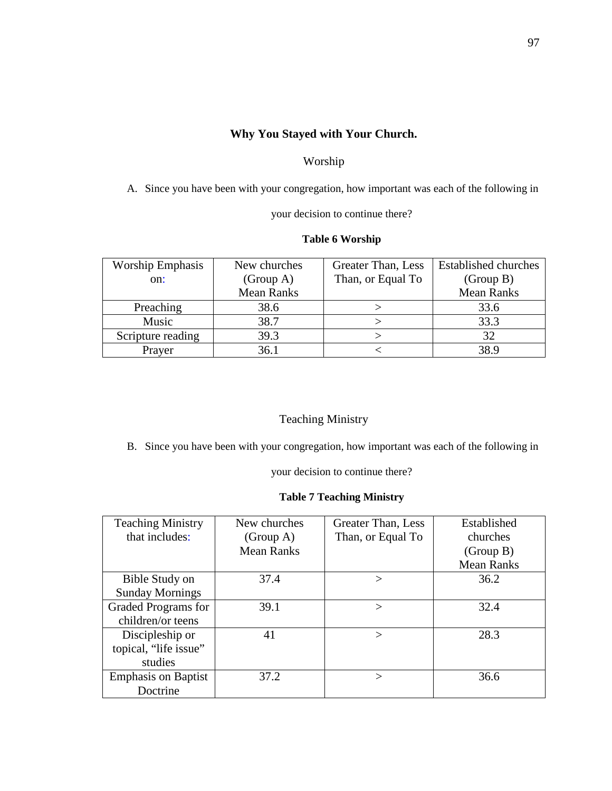# **Why You Stayed with Your Church.**

### Worship

A. Since you have been with your congregation, how important was each of the following in

your decision to continue there?

### **Table 6 Worship**

| <b>Worship Emphasis</b> | New churches      | Greater Than, Less | <b>Established churches</b> |
|-------------------------|-------------------|--------------------|-----------------------------|
| on:                     | (Group A)         | Than, or Equal To  | (Group B)                   |
|                         | <b>Mean Ranks</b> |                    | <b>Mean Ranks</b>           |
| Preaching               | 38.6              |                    | 33.6                        |
| Music                   | 38.7              |                    | 33.3                        |
| Scripture reading       | 39.3              |                    | 32                          |
| Prayer                  | 36.1              |                    | 38.9                        |

## Teaching Ministry

B. Since you have been with your congregation, how important was each of the following in

your decision to continue there?

#### **Table 7 Teaching Ministry**

| <b>Teaching Ministry</b>   | New churches      | Greater Than, Less | Established       |
|----------------------------|-------------------|--------------------|-------------------|
| that includes:             | (Group A)         | Than, or Equal To  | churches          |
|                            | <b>Mean Ranks</b> |                    | (Group B)         |
|                            |                   |                    | <b>Mean Ranks</b> |
| Bible Study on             | 37.4              | $\rm{>}$           | 36.2              |
| <b>Sunday Mornings</b>     |                   |                    |                   |
| Graded Programs for        | 39.1              | $\rm{>}$           | 32.4              |
| children/or teens          |                   |                    |                   |
| Discipleship or            | 41                | $\rm{>}$           | 28.3              |
| topical, "life issue"      |                   |                    |                   |
| studies                    |                   |                    |                   |
| <b>Emphasis on Baptist</b> | 37.2              | $\check{~}$        | 36.6              |
| Doctrine                   |                   |                    |                   |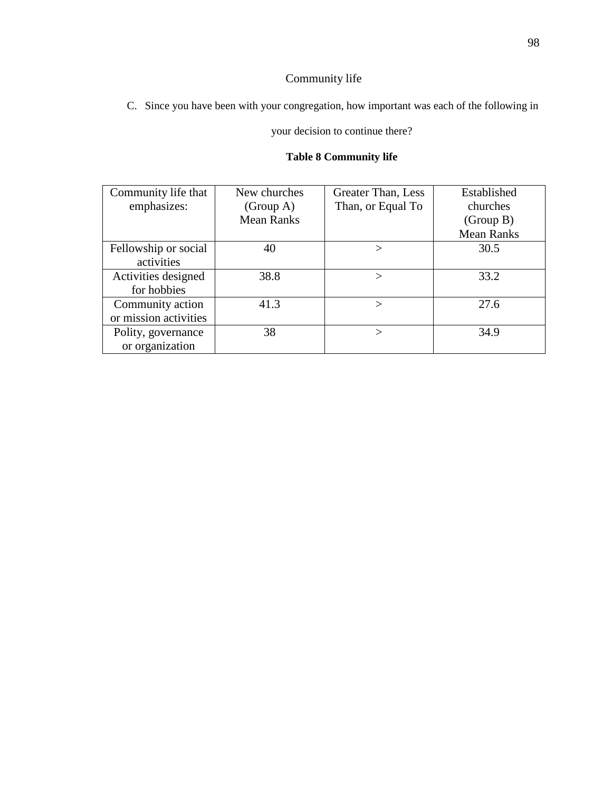# Community life

C. Since you have been with your congregation, how important was each of the following in

### your decision to continue there?

# **Table 8 Community life**

| Community life that   | New churches      | Greater Than, Less | Established       |
|-----------------------|-------------------|--------------------|-------------------|
| emphasizes:           | (Group A)         | Than, or Equal To  | churches          |
|                       | <b>Mean Ranks</b> |                    | (Group B)         |
|                       |                   |                    | <b>Mean Ranks</b> |
| Fellowship or social  | 40                | $\rm{>}$           | 30.5              |
| activities            |                   |                    |                   |
| Activities designed   | 38.8              |                    | 33.2              |
| for hobbies           |                   |                    |                   |
| Community action      | 41.3              | $\mathbf{L}$       | 27.6              |
| or mission activities |                   |                    |                   |
| Polity, governance    | 38                | $\gt$              | 34.9              |
| or organization       |                   |                    |                   |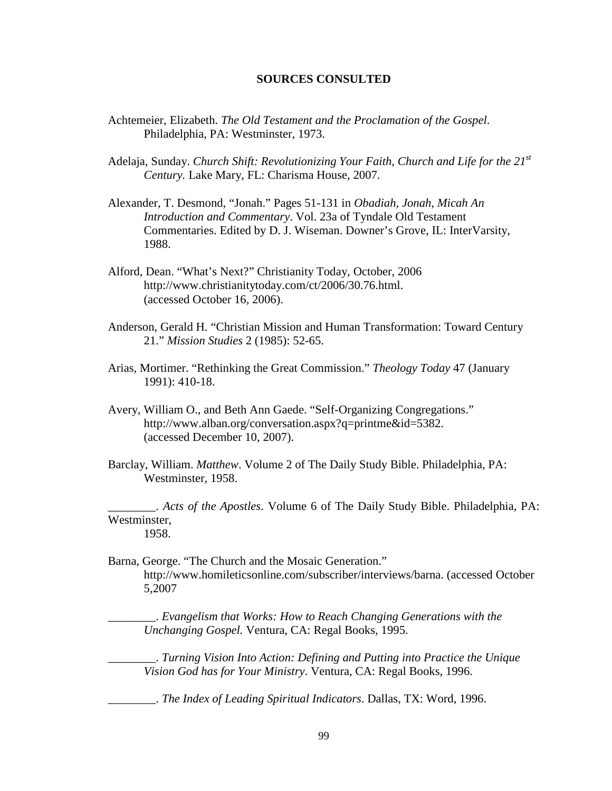#### **SOURCES CONSULTED**

- Achtemeier, Elizabeth. *The Old Testament and the Proclamation of the Gospel*. Philadelphia, PA: Westminster, 1973.
- Adelaja, Sunday. *Church Shift: Revolutionizing Your Faith, Church and Life for the 21st Century.* Lake Mary, FL: Charisma House, 2007.
- Alexander, T. Desmond, "Jonah." Pages 51-131 in *Obadiah, Jonah, Micah An Introduction and Commentary*. Vol. 23a of Tyndale Old Testament Commentaries. Edited by D. J. Wiseman. Downer's Grove, IL: InterVarsity, 1988.
- Alford, Dean. "What's Next?" Christianity Today, October, 2006 http://www.christianitytoday.com/ct/2006/30.76.html. (accessed October 16, 2006).
- Anderson, Gerald H. "Christian Mission and Human Transformation: Toward Century 21." *Mission Studies* 2 (1985): 52-65.
- Arias, Mortimer. "Rethinking the Great Commission." *Theology Today* 47 (January 1991): 410-18.
- Avery, William O., and Beth Ann Gaede. "Self-Organizing Congregations." http://www.alban.org/conversation.aspx?q=printme&id=5382. (accessed December 10, 2007).
- Barclay, William. *Matthew*. Volume 2 of The Daily Study Bible. Philadelphia, PA: Westminster, 1958.

\_\_\_\_\_\_\_\_. *Acts of the Apostles*. Volume 6 of The Daily Study Bible. Philadelphia, PA: Westminster, 1958.

Barna, George. "The Church and the Mosaic Generation." http://www.homileticsonline.com/subscriber/interviews/barna. (accessed October 5,2007

\_\_\_\_\_\_\_\_. *Evangelism that Works: How to Reach Changing Generations with the Unchanging Gospel.* Ventura, CA: Regal Books, 1995.

\_\_\_\_\_\_\_\_. *Turning Vision Into Action: Defining and Putting into Practice the Unique Vision God has for Your Ministry*. Ventura, CA: Regal Books, 1996.

\_\_\_\_\_\_\_\_. *The Index of Leading Spiritual Indicators*. Dallas, TX: Word, 1996.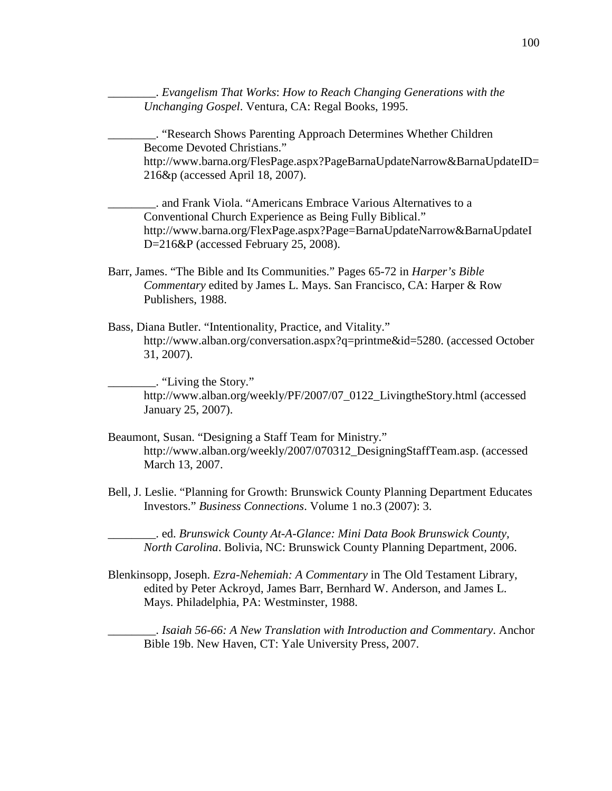\_\_\_\_\_\_\_\_. *Evangelism That Works*: *How to Reach Changing Generations with the Unchanging Gospel*. Ventura, CA: Regal Books, 1995.

\_\_\_\_\_\_\_\_. "Research Shows Parenting Approach Determines Whether Children Become Devoted Christians." http://www.barna.org/FlesPage.aspx?PageBarnaUpdateNarrow&BarnaUpdateID= 216&p (accessed April 18, 2007).

\_\_\_\_\_\_\_\_. and Frank Viola. "Americans Embrace Various Alternatives to a Conventional Church Experience as Being Fully Biblical." http://www.barna.org/FlexPage.aspx?Page=BarnaUpdateNarrow&BarnaUpdateI D=216&P (accessed February 25, 2008).

Barr, James. "The Bible and Its Communities." Pages 65-72 in *Harper's Bible Commentary* edited by James L. Mays. San Francisco, CA: Harper & Row Publishers, 1988.

Bass, Diana Butler. "Intentionality, Practice, and Vitality." http://www.alban.org/conversation.aspx?q=printme&id=5280. (accessed October 31, 2007).

\_\_\_\_\_\_\_\_. "Living the Story." http://www.alban.org/weekly/PF/2007/07\_0122\_LivingtheStory.html (accessed January 25, 2007).

- Beaumont, Susan. "Designing a Staff Team for Ministry." http://www.alban.org/weekly/2007/070312\_DesigningStaffTeam.asp. (accessed March 13, 2007.
- Bell, J. Leslie. "Planning for Growth: Brunswick County Planning Department Educates Investors." *Business Connections*. Volume 1 no.3 (2007): 3.

\_\_\_\_\_\_\_\_. ed. *Brunswick County At-A-Glance: Mini Data Book Brunswick County, North Carolina*. Bolivia, NC: Brunswick County Planning Department, 2006.

Blenkinsopp, Joseph. *Ezra-Nehemiah: A Commentary* in The Old Testament Library, edited by Peter Ackroyd, James Barr, Bernhard W. Anderson, and James L. Mays. Philadelphia, PA: Westminster, 1988.

\_\_\_\_\_\_\_\_. *Isaiah 56-66: A New Translation with Introduction and Commentary*. Anchor Bible 19b. New Haven, CT: Yale University Press, 2007.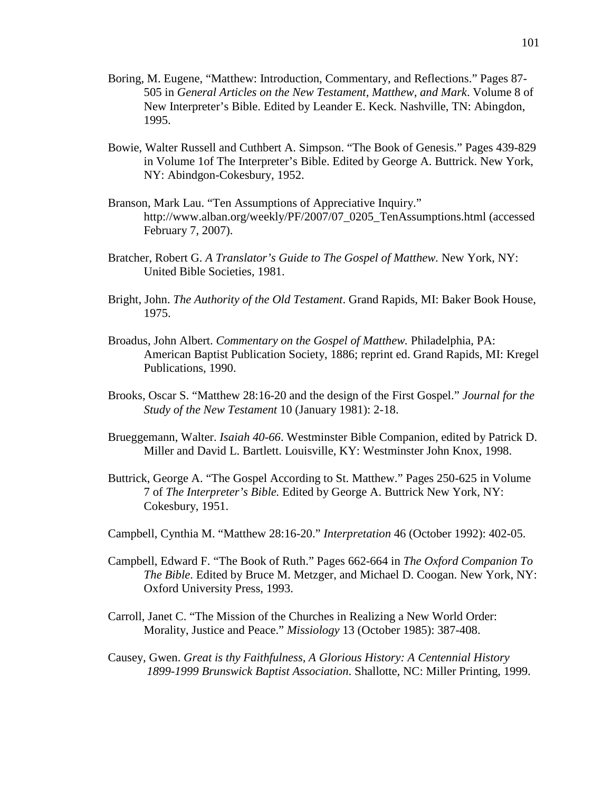- Boring, M. Eugene, "Matthew: Introduction, Commentary, and Reflections." Pages 87- 505 in *General Articles on the New Testament, Matthew, and Mark*. Volume 8 of New Interpreter's Bible. Edited by Leander E. Keck*.* Nashville, TN: Abingdon, 1995.
- Bowie, Walter Russell and Cuthbert A. Simpson. "The Book of Genesis." Pages 439-829 in Volume 1of The Interpreter's Bible. Edited by George A. Buttrick. New York, NY: Abindgon-Cokesbury, 1952.
- Branson, Mark Lau. "Ten Assumptions of Appreciative Inquiry." http://www.alban.org/weekly/PF/2007/07\_0205\_TenAssumptions.html (accessed February 7, 2007).
- Bratcher, Robert G. *A Translator's Guide to The Gospel of Matthew.* New York, NY: United Bible Societies, 1981.
- Bright, John. *The Authority of the Old Testament*. Grand Rapids, MI: Baker Book House, 1975.
- Broadus, John Albert. *Commentary on the Gospel of Matthew.* Philadelphia, PA: American Baptist Publication Society, 1886; reprint ed. Grand Rapids, MI: Kregel Publications, 1990.
- Brooks, Oscar S. "Matthew 28:16-20 and the design of the First Gospel." *Journal for the Study of the New Testament* 10 (January 1981): 2-18.
- Brueggemann, Walter. *Isaiah 40-66*. Westminster Bible Companion, edited by Patrick D. Miller and David L. Bartlett. Louisville, KY: Westminster John Knox, 1998.
- Buttrick, George A. "The Gospel According to St. Matthew." Pages 250-625 in Volume 7 of *The Interpreter's Bible.* Edited by George A. Buttrick New York, NY: Cokesbury, 1951.
- Campbell, Cynthia M. "Matthew 28:16-20." *Interpretation* 46 (October 1992): 402-05.
- Campbell, Edward F. "The Book of Ruth." Pages 662-664 in *The Oxford Companion To The Bible*. Edited by Bruce M. Metzger, and Michael D. Coogan. New York, NY: Oxford University Press, 1993.
- Carroll, Janet C. "The Mission of the Churches in Realizing a New World Order: Morality, Justice and Peace." *Missiology* 13 (October 1985): 387-408.
- Causey, Gwen. *Great is thy Faithfulness, A Glorious History: A Centennial History 1899-1999 Brunswick Baptist Association*. Shallotte, NC: Miller Printing, 1999.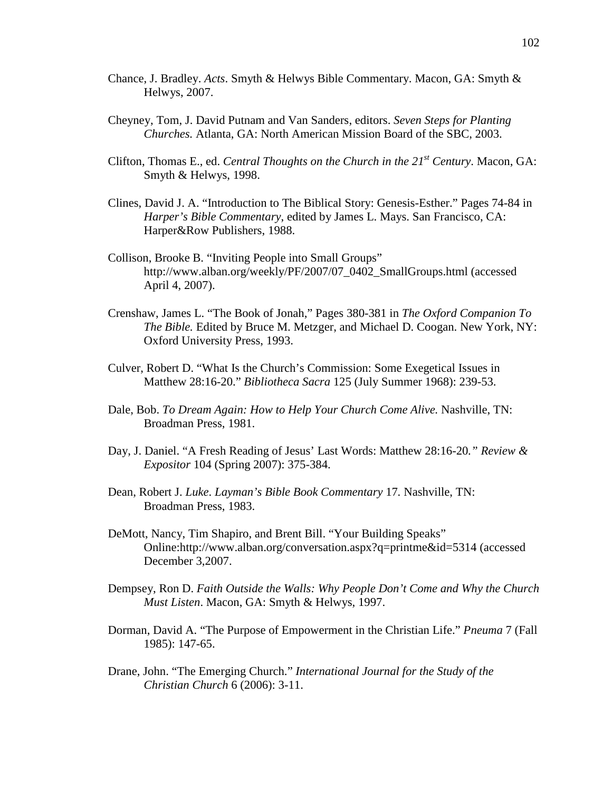- Chance, J. Bradley. *Acts*. Smyth & Helwys Bible Commentary. Macon, GA: Smyth & Helwys, 2007.
- Cheyney, Tom, J. David Putnam and Van Sanders, editors. *Seven Steps for Planting Churches.* Atlanta, GA: North American Mission Board of the SBC, 2003.
- Clifton, Thomas E., ed. *Central Thoughts on the Church in the 21st Century*. Macon, GA: Smyth & Helwys, 1998.
- Clines, David J. A. "Introduction to The Biblical Story: Genesis-Esther." Pages 74-84 in *Harper's Bible Commentary*, edited by James L. Mays. San Francisco, CA: Harper&Row Publishers, 1988.
- Collison, Brooke B. "Inviting People into Small Groups" http://www.alban.org/weekly/PF/2007/07\_0402\_SmallGroups.html (accessed April 4, 2007).
- Crenshaw, James L. "The Book of Jonah," Pages 380-381 in *The Oxford Companion To The Bible.* Edited by Bruce M. Metzger, and Michael D. Coogan. New York, NY: Oxford University Press, 1993.
- Culver, Robert D. "What Is the Church's Commission: Some Exegetical Issues in Matthew 28:16-20." *Bibliotheca Sacra* 125 (July Summer 1968): 239-53.
- Dale, Bob. *To Dream Again: How to Help Your Church Come Alive.* Nashville, TN: Broadman Press, 1981.
- Day, J. Daniel. "A Fresh Reading of Jesus' Last Words: Matthew 28:16-20*." Review & Expositor* 104 (Spring 2007): 375-384.
- Dean, Robert J. *Luke*. *Layman's Bible Book Commentary* 17*.* Nashville, TN: Broadman Press, 1983.
- DeMott, Nancy, Tim Shapiro, and Brent Bill. "Your Building Speaks" Online:http://www.alban.org/conversation.aspx?q=printme&id=5314 (accessed December 3,2007.
- Dempsey, Ron D. *Faith Outside the Walls: Why People Don't Come and Why the Church Must Listen*. Macon, GA: Smyth & Helwys, 1997.
- Dorman, David A. "The Purpose of Empowerment in the Christian Life." *Pneuma* 7 (Fall 1985): 147-65.
- Drane, John. "The Emerging Church." *International Journal for the Study of the Christian Church* 6 (2006): 3-11.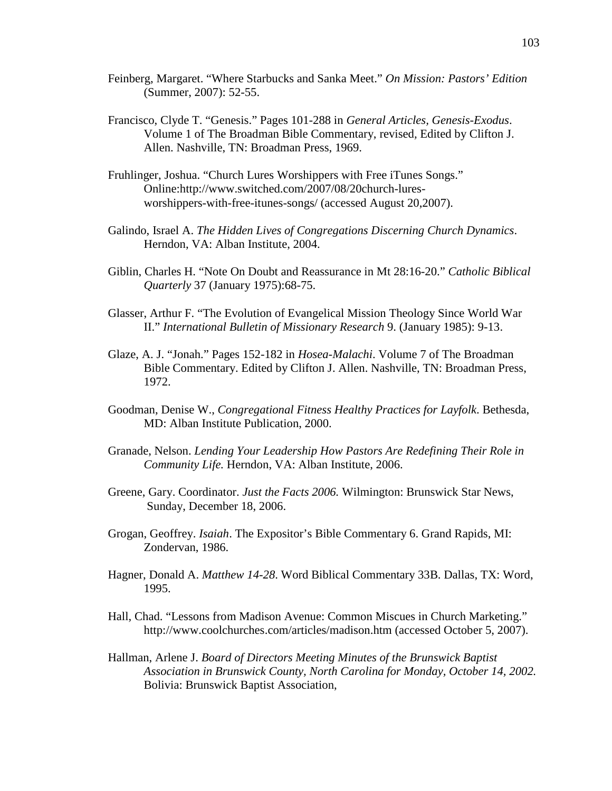- Feinberg, Margaret. "Where Starbucks and Sanka Meet." *On Mission: Pastors' Edition*  (Summer, 2007): 52-55.
- Francisco, Clyde T. "Genesis." Pages 101-288 in *General Articles, Genesis-Exodus*. Volume 1 of The Broadman Bible Commentary, revised*,* Edited by Clifton J. Allen. Nashville, TN: Broadman Press, 1969.
- Fruhlinger, Joshua. "Church Lures Worshippers with Free iTunes Songs." Online:http://www.switched.com/2007/08/20church-luresworshippers-with-free-itunes-songs/ (accessed August 20,2007).
- Galindo, Israel A. *The Hidden Lives of Congregations Discerning Church Dynamics*. Herndon, VA: Alban Institute, 2004.
- Giblin, Charles H. "Note On Doubt and Reassurance in Mt 28:16-20." *Catholic Biblical Quarterly* 37 (January 1975):68-75.
- Glasser, Arthur F. "The Evolution of Evangelical Mission Theology Since World War II." *International Bulletin of Missionary Research* 9. (January 1985): 9-13.
- Glaze, A. J. "Jonah." Pages 152-182 in *Hosea-Malachi*. Volume 7 of The Broadman Bible Commentary. Edited by Clifton J. Allen. Nashville, TN: Broadman Press, 1972.
- Goodman, Denise W., *Congregational Fitness Healthy Practices for Layfolk*. Bethesda, MD: Alban Institute Publication, 2000.
- Granade, Nelson. *Lending Your Leadership How Pastors Are Redefining Their Role in Community Life.* Herndon, VA: Alban Institute, 2006.
- Greene, Gary. Coordinator. *Just the Facts 2006.* Wilmington: Brunswick Star News, Sunday, December 18, 2006.
- Grogan, Geoffrey. *Isaiah*. The Expositor's Bible Commentary 6. Grand Rapids, MI: Zondervan, 1986.
- Hagner, Donald A. *Matthew 14-28*. Word Biblical Commentary 33B. Dallas, TX: Word, 1995.
- Hall, Chad. "Lessons from Madison Avenue: Common Miscues in Church Marketing." http://www.coolchurches.com/articles/madison.htm (accessed October 5, 2007).
- Hallman, Arlene J. *Board of Directors Meeting Minutes of the Brunswick Baptist Association in Brunswick County, North Carolina for Monday, October 14, 2002.*  Bolivia: Brunswick Baptist Association,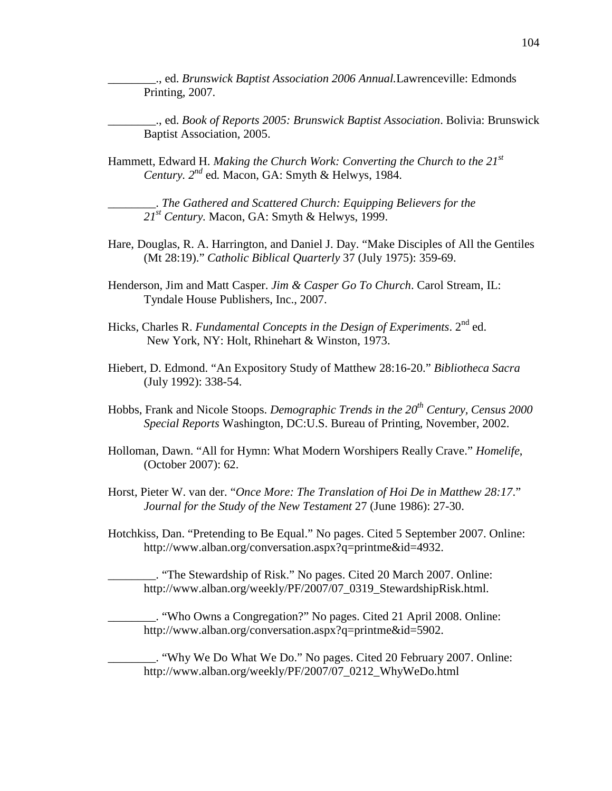\_\_\_\_\_\_\_\_., ed. *Brunswick Baptist Association 2006 Annual.*Lawrenceville: Edmonds Printing, 2007.

\_\_\_\_\_\_\_\_., ed. *Book of Reports 2005: Brunswick Baptist Association*. Bolivia: Brunswick Baptist Association, 2005.

Hammett, Edward H. *Making the Church Work: Converting the Church to the 21<sup>st</sup> Century. 2nd* ed*.* Macon, GA: Smyth & Helwys, 1984.

\_\_\_\_\_\_\_\_. *The Gathered and Scattered Church: Equipping Believers for the 21st Century.* Macon, GA: Smyth & Helwys, 1999.

- Hare, Douglas, R. A. Harrington, and Daniel J. Day. "Make Disciples of All the Gentiles (Mt 28:19)." *Catholic Biblical Quarterly* 37 (July 1975): 359-69.
- Henderson, Jim and Matt Casper. *Jim & Casper Go To Church*. Carol Stream, IL: Tyndale House Publishers, Inc., 2007.
- Hicks, Charles R. *Fundamental Concepts in the Design of Experiments*. 2<sup>nd</sup> ed. New York, NY: Holt, Rhinehart & Winston, 1973.
- Hiebert, D. Edmond. "An Expository Study of Matthew 28:16-20." *Bibliotheca Sacra*  (July 1992): 338-54.
- Hobbs, Frank and Nicole Stoops. *Demographic Trends in the 20th Century, Census 2000 Special Reports* Washington, DC:U.S. Bureau of Printing, November, 2002.
- Holloman, Dawn. "All for Hymn: What Modern Worshipers Really Crave." *Homelife*, (October 2007): 62.
- Horst, Pieter W. van der. "*Once More: The Translation of Hoi De in Matthew 28:17*." *Journal for the Study of the New Testament* 27 (June 1986): 27-30.
- Hotchkiss, Dan. "Pretending to Be Equal." No pages. Cited 5 September 2007. Online: http://www.alban.org/conversation.aspx?q=printme&id=4932.

\_\_\_\_\_\_\_\_. "The Stewardship of Risk." No pages. Cited 20 March 2007. Online: http://www.alban.org/weekly/PF/2007/07\_0319\_StewardshipRisk.html.

\_\_\_\_\_\_\_\_. "Who Owns a Congregation?" No pages. Cited 21 April 2008. Online: http://www.alban.org/conversation.aspx?q=printme&id=5902.

\_\_\_\_\_\_\_\_. "Why We Do What We Do." No pages. Cited 20 February 2007. Online: http://www.alban.org/weekly/PF/2007/07\_0212\_WhyWeDo.html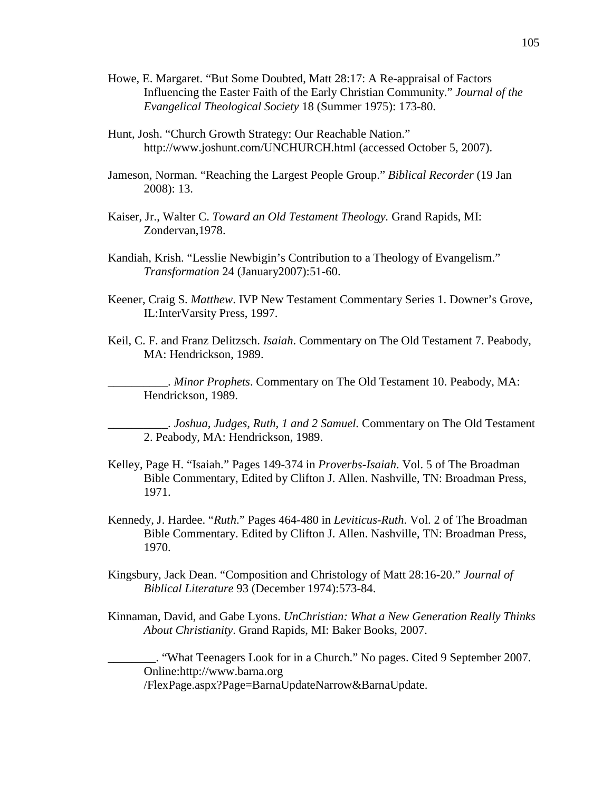- Howe, E. Margaret. "But Some Doubted, Matt 28:17: A Re-appraisal of Factors Influencing the Easter Faith of the Early Christian Community." *Journal of the Evangelical Theological Society* 18 (Summer 1975): 173-80.
- Hunt, Josh. "Church Growth Strategy: Our Reachable Nation." http://www.joshunt.com/UNCHURCH.html (accessed October 5, 2007).
- Jameson, Norman. "Reaching the Largest People Group." *Biblical Recorder* (19 Jan 2008): 13.
- Kaiser, Jr., Walter C. *Toward an Old Testament Theology.* Grand Rapids, MI: Zondervan,1978.
- Kandiah, Krish. "Lesslie Newbigin's Contribution to a Theology of Evangelism." *Transformation* 24 (January2007):51-60.
- Keener, Craig S. *Matthew*. IVP New Testament Commentary Series 1. Downer's Grove, IL:InterVarsity Press, 1997.
- Keil, C. F. and Franz Delitzsch. *Isaiah*. Commentary on The Old Testament 7. Peabody, MA: Hendrickson, 1989.

\_\_\_\_\_\_\_\_\_\_. *Minor Prophets*. Commentary on The Old Testament 10. Peabody, MA: Hendrickson, 1989.

\_\_\_\_\_\_\_\_\_\_. *Joshua, Judges, Ruth, 1 and 2 Samuel.* Commentary on The Old Testament 2. Peabody, MA: Hendrickson, 1989.

- Kelley, Page H. "Isaiah." Pages 149-374 in *Proverbs-Isaiah*. Vol. 5 of The Broadman Bible Commentary, Edited by Clifton J. Allen. Nashville, TN: Broadman Press, 1971.
- Kennedy, J. Hardee. "*Ruth*." Pages 464-480 in *Leviticus-Ruth*. Vol. 2 of The Broadman Bible Commentary. Edited by Clifton J. Allen. Nashville, TN: Broadman Press, 1970.
- Kingsbury, Jack Dean. "Composition and Christology of Matt 28:16-20." *Journal of Biblical Literature* 93 (December 1974):573-84.
- Kinnaman, David, and Gabe Lyons. *UnChristian: What a New Generation Really Thinks About Christianity*. Grand Rapids, MI: Baker Books, 2007.

\_\_\_\_\_\_\_\_. "What Teenagers Look for in a Church." No pages. Cited 9 September 2007. Online:http://www.barna.org /FlexPage.aspx?Page=BarnaUpdateNarrow&BarnaUpdate.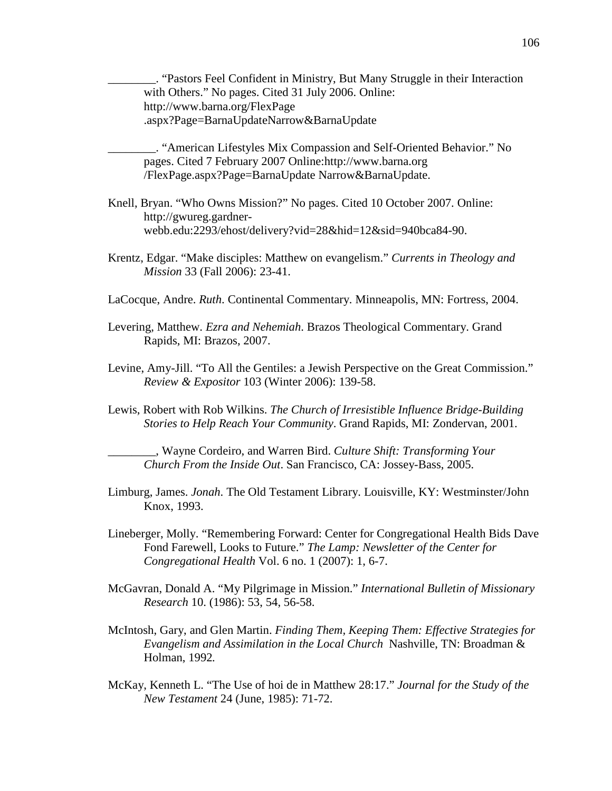\_\_\_\_\_\_\_\_. "Pastors Feel Confident in Ministry, But Many Struggle in their Interaction with Others." No pages. Cited 31 July 2006. Online: http://www.barna.org/FlexPage .aspx?Page=BarnaUpdateNarrow&BarnaUpdate

\_\_\_\_\_\_\_\_. "American Lifestyles Mix Compassion and Self-Oriented Behavior." No pages. Cited 7 February 2007 Online:http://www.barna.org /FlexPage.aspx?Page=BarnaUpdate Narrow&BarnaUpdate.

- Knell, Bryan. "Who Owns Mission?" No pages. Cited 10 October 2007. Online: http://gwureg.gardnerwebb.edu:2293/ehost/delivery?vid=28&hid=12&sid=940bca84-90.
- Krentz, Edgar. "Make disciples: Matthew on evangelism." *Currents in Theology and Mission* 33 (Fall 2006): 23-41.
- LaCocque, Andre. *Ruth*. Continental Commentary*.* Minneapolis, MN: Fortress, 2004.
- Levering, Matthew. *Ezra and Nehemiah*. Brazos Theological Commentary. Grand Rapids, MI: Brazos, 2007.
- Levine, Amy-Jill. "To All the Gentiles: a Jewish Perspective on the Great Commission." *Review & Expositor* 103 (Winter 2006): 139-58.
- Lewis, Robert with Rob Wilkins. *The Church of Irresistible Influence Bridge-Building Stories to Help Reach Your Community*. Grand Rapids, MI: Zondervan, 2001.

\_\_\_\_\_\_\_\_, Wayne Cordeiro, and Warren Bird. *Culture Shift: Transforming Your Church From the Inside Out*. San Francisco, CA: Jossey-Bass, 2005.

- Limburg, James. *Jonah*. The Old Testament Library. Louisville, KY: Westminster/John Knox, 1993.
- Lineberger, Molly. "Remembering Forward: Center for Congregational Health Bids Dave Fond Farewell, Looks to Future." *The Lamp: Newsletter of the Center for Congregational Health* Vol. 6 no. 1 (2007): 1, 6-7.
- McGavran, Donald A. "My Pilgrimage in Mission." *International Bulletin of Missionary Research* 10. (1986): 53, 54, 56-58.
- McIntosh, Gary, and Glen Martin. *Finding Them, Keeping Them: Effective Strategies for Evangelism and Assimilation in the Local Church* Nashville, TN: Broadman & Holman, 1992*.*
- McKay, Kenneth L. "The Use of hoi de in Matthew 28:17." *Journal for the Study of the New Testament* 24 (June, 1985): 71-72.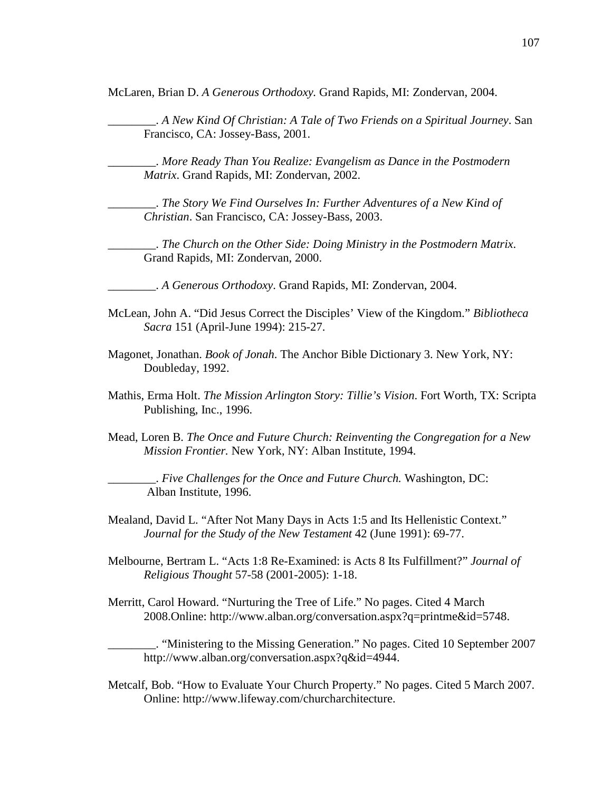McLaren, Brian D. *A Generous Orthodoxy.* Grand Rapids, MI: Zondervan, 2004.

\_\_\_\_\_\_\_\_. *A New Kind Of Christian: A Tale of Two Friends on a Spiritual Journey*. San Francisco, CA: Jossey-Bass, 2001.

\_\_\_\_\_\_\_\_. *More Ready Than You Realize: Evangelism as Dance in the Postmodern Matrix*. Grand Rapids, MI: Zondervan, 2002.

\_\_\_\_\_\_\_\_. *The Story We Find Ourselves In: Further Adventures of a New Kind of Christian*. San Francisco, CA: Jossey-Bass, 2003.

\_\_\_\_\_\_\_\_. *The Church on the Other Side: Doing Ministry in the Postmodern Matrix*. Grand Rapids, MI: Zondervan, 2000.

\_\_\_\_\_\_\_\_. *A Generous Orthodoxy*. Grand Rapids, MI: Zondervan, 2004.

- McLean, John A. "Did Jesus Correct the Disciples' View of the Kingdom." *Bibliotheca Sacra* 151 (April-June 1994): 215-27.
- Magonet, Jonathan. *Book of Jonah*. The Anchor Bible Dictionary 3. New York, NY: Doubleday, 1992.
- Mathis, Erma Holt. *The Mission Arlington Story: Tillie's Vision*. Fort Worth, TX: Scripta Publishing, Inc., 1996.
- Mead, Loren B. *The Once and Future Church: Reinventing the Congregation for a New Mission Frontier.* New York, NY: Alban Institute, 1994.

\_\_\_\_\_\_\_\_. *Five Challenges for the Once and Future Church.* Washington, DC: Alban Institute, 1996.

Mealand, David L. "After Not Many Days in Acts 1:5 and Its Hellenistic Context." *Journal for the Study of the New Testament* 42 (June 1991): 69-77.

- Melbourne, Bertram L. "Acts 1:8 Re-Examined: is Acts 8 Its Fulfillment?" *Journal of Religious Thought* 57-58 (2001-2005): 1-18.
- Merritt, Carol Howard. "Nurturing the Tree of Life." No pages. Cited 4 March 2008.Online: http://www.alban.org/conversation.aspx?q=printme&id=5748.

\_\_\_\_\_\_\_\_. "Ministering to the Missing Generation." No pages. Cited 10 September 2007 http://www.alban.org/conversation.aspx?q&id=4944.

Metcalf, Bob. "How to Evaluate Your Church Property." No pages. Cited 5 March 2007. Online: http://www.lifeway.com/churcharchitecture.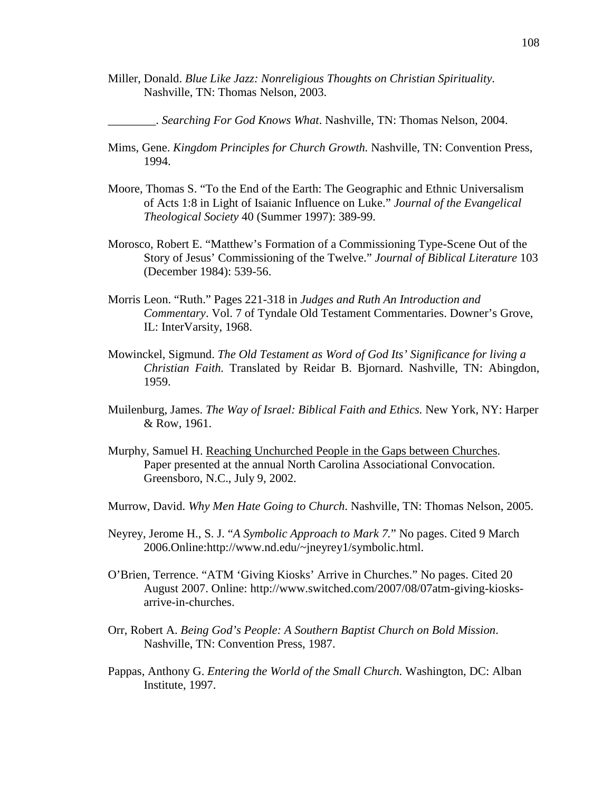Miller, Donald. *Blue Like Jazz: Nonreligious Thoughts on Christian Spirituality*. Nashville, TN: Thomas Nelson, 2003.

\_\_\_\_\_\_\_\_. *Searching For God Knows What*. Nashville, TN: Thomas Nelson, 2004.

- Mims, Gene. *Kingdom Principles for Church Growth.* Nashville, TN: Convention Press, 1994.
- Moore, Thomas S. "To the End of the Earth: The Geographic and Ethnic Universalism of Acts 1:8 in Light of Isaianic Influence on Luke." *Journal of the Evangelical Theological Society* 40 (Summer 1997): 389-99.
- Morosco, Robert E. "Matthew's Formation of a Commissioning Type-Scene Out of the Story of Jesus' Commissioning of the Twelve." *Journal of Biblical Literature* 103 (December 1984): 539-56.
- Morris Leon. "Ruth." Pages 221-318 in *Judges and Ruth An Introduction and Commentary*. Vol. 7 of Tyndale Old Testament Commentaries. Downer's Grove, IL: InterVarsity, 1968.
- Mowinckel, Sigmund. *The Old Testament as Word of God Its' Significance for living a Christian Faith.* Translated by Reidar B. Bjornard. Nashville, TN: Abingdon, 1959.
- Muilenburg, James. *The Way of Israel: Biblical Faith and Ethics.* New York, NY: Harper & Row, 1961.
- Murphy, Samuel H. Reaching Unchurched People in the Gaps between Churches. Paper presented at the annual North Carolina Associational Convocation. Greensboro, N.C., July 9, 2002.
- Murrow, David. *Why Men Hate Going to Church*. Nashville, TN: Thomas Nelson, 2005.
- Neyrey, Jerome H., S. J. "*A Symbolic Approach to Mark 7.*" No pages. Cited 9 March 2006.Online:http://www.nd.edu/~jneyrey1/symbolic.html.
- O'Brien, Terrence. "ATM 'Giving Kiosks' Arrive in Churches." No pages. Cited 20 August 2007. Online: http://www.switched.com/2007/08/07atm-giving-kiosksarrive-in-churches.
- Orr, Robert A. *Being God's People: A Southern Baptist Church on Bold Mission*. Nashville, TN: Convention Press, 1987.
- Pappas, Anthony G. *Entering the World of the Small Church.* Washington, DC: Alban Institute, 1997.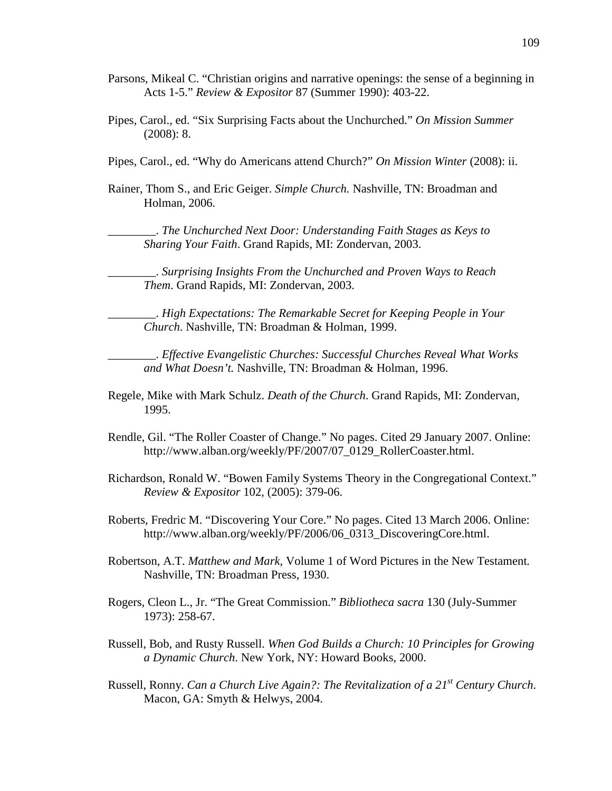- Parsons, Mikeal C. "Christian origins and narrative openings: the sense of a beginning in Acts 1-5." *Review & Expositor* 87 (Summer 1990): 403-22.
- Pipes, Carol., ed. "Six Surprising Facts about the Unchurched." *On Mission Summer*  (2008): 8.
- Pipes, Carol., ed. "Why do Americans attend Church?" *On Mission Winter* (2008): ii.
- Rainer, Thom S., and Eric Geiger. *Simple Church.* Nashville, TN: Broadman and Holman, 2006.

\_\_\_\_\_\_\_\_. *The Unchurched Next Door: Understanding Faith Stages as Keys to Sharing Your Faith*. Grand Rapids, MI: Zondervan, 2003.

\_\_\_\_\_\_\_\_. *Surprising Insights From the Unchurched and Proven Ways to Reach Them*. Grand Rapids, MI: Zondervan, 2003.

\_\_\_\_\_\_\_\_. *High Expectations: The Remarkable Secret for Keeping People in Your Church*. Nashville, TN: Broadman & Holman, 1999.

\_\_\_\_\_\_\_\_. *Effective Evangelistic Churches: Successful Churches Reveal What Works and What Doesn't.* Nashville, TN: Broadman & Holman, 1996.

- Regele, Mike with Mark Schulz. *Death of the Church*. Grand Rapids, MI: Zondervan, 1995.
- Rendle, Gil. "The Roller Coaster of Change." No pages. Cited 29 January 2007. Online: http://www.alban.org/weekly/PF/2007/07\_0129\_RollerCoaster.html.
- Richardson, Ronald W. "Bowen Family Systems Theory in the Congregational Context." *Review & Expositor* 102, (2005): 379-06.
- Roberts, Fredric M. "Discovering Your Core." No pages. Cited 13 March 2006. Online: http://www.alban.org/weekly/PF/2006/06\_0313\_DiscoveringCore.html.
- Robertson, A.T. *Matthew and Mark,* Volume 1 of Word Pictures in the New Testament*.*  Nashville, TN: Broadman Press, 1930.
- Rogers, Cleon L., Jr. "The Great Commission." *Bibliotheca sacra* 130 (July-Summer 1973): 258-67.
- Russell, Bob, and Rusty Russell. *When God Builds a Church: 10 Principles for Growing a Dynamic Church*. New York, NY: Howard Books, 2000.
- Russell, Ronny. *Can a Church Live Again?: The Revitalization of a 21st Century Church*. Macon, GA: Smyth & Helwys, 2004.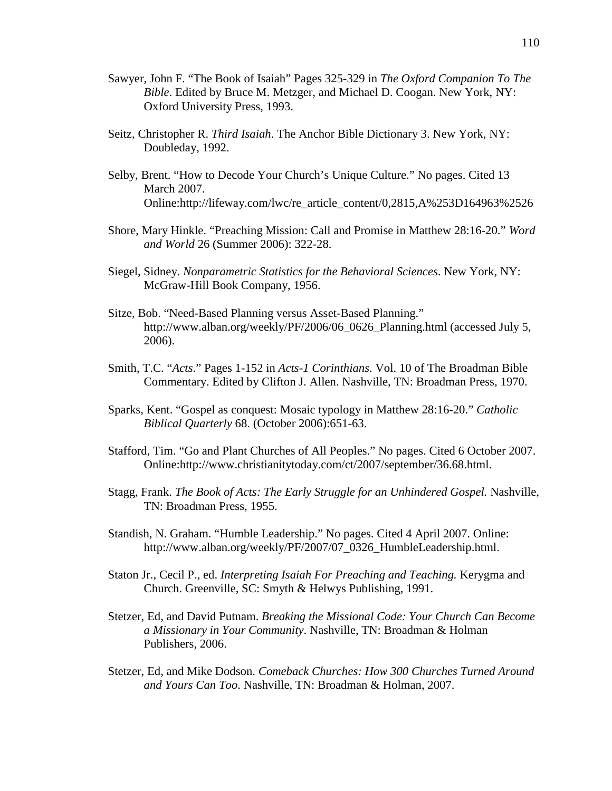- Sawyer, John F. "The Book of Isaiah" Pages 325-329 in *The Oxford Companion To The Bible*. Edited by Bruce M. Metzger, and Michael D. Coogan. New York, NY: Oxford University Press, 1993.
- Seitz, Christopher R. *Third Isaiah*. The Anchor Bible Dictionary 3. New York, NY: Doubleday, 1992.
- Selby, Brent. "How to Decode Your Church's Unique Culture." No pages. Cited 13 March 2007. Online:http://lifeway.com/lwc/re\_article\_content/0,2815,A%253D164963%2526
- Shore, Mary Hinkle. "Preaching Mission: Call and Promise in Matthew 28:16-20." *Word and World* 26 (Summer 2006): 322-28.
- Siegel, Sidney. *Nonparametric Statistics for the Behavioral Sciences*. New York, NY: McGraw-Hill Book Company, 1956.
- Sitze, Bob. "Need-Based Planning versus Asset-Based Planning." http://www.alban.org/weekly/PF/2006/06\_0626\_Planning.html (accessed July 5, 2006).
- Smith, T.C. "*Acts*." Pages 1-152 in *Acts-1 Corinthians*. Vol. 10 of The Broadman Bible Commentary. Edited by Clifton J. Allen. Nashville, TN: Broadman Press, 1970.
- Sparks, Kent. "Gospel as conquest: Mosaic typology in Matthew 28:16-20." *Catholic Biblical Quarterly* 68. (October 2006):651-63.
- Stafford, Tim. "Go and Plant Churches of All Peoples." No pages. Cited 6 October 2007. Online:http://www.christianitytoday.com/ct/2007/september/36.68.html.
- Stagg, Frank. *The Book of Acts: The Early Struggle for an Unhindered Gospel.* Nashville, TN: Broadman Press, 1955.
- Standish, N. Graham. "Humble Leadership." No pages. Cited 4 April 2007. Online: http://www.alban.org/weekly/PF/2007/07\_0326\_HumbleLeadership.html.
- Staton Jr., Cecil P., ed. *Interpreting Isaiah For Preaching and Teaching.* Kerygma and Church. Greenville, SC: Smyth & Helwys Publishing, 1991.
- Stetzer, Ed, and David Putnam. *Breaking the Missional Code: Your Church Can Become a Missionary in Your Community*. Nashville, TN: Broadman & Holman Publishers, 2006.
- Stetzer, Ed, and Mike Dodson. *Comeback Churches: How 300 Churches Turned Around and Yours Can Too*. Nashville, TN: Broadman & Holman, 2007.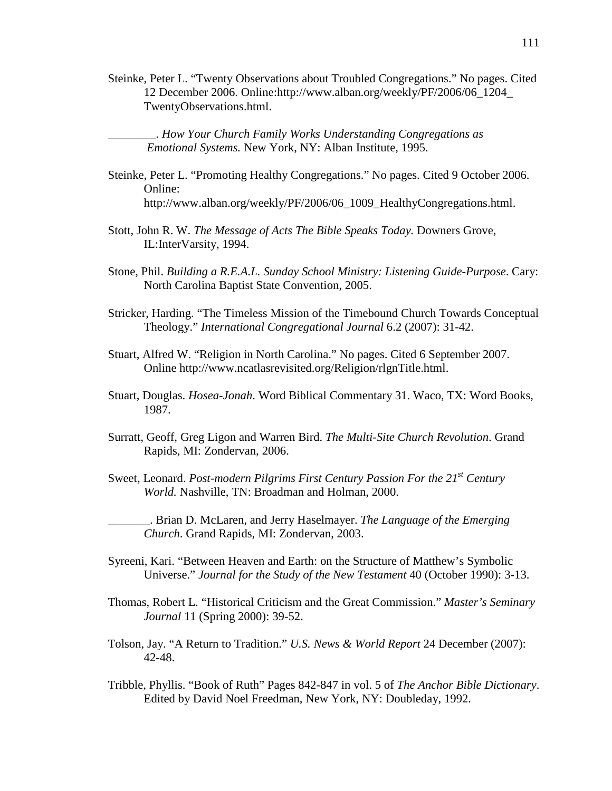Steinke, Peter L. "Twenty Observations about Troubled Congregations." No pages. Cited 12 December 2006. Online:http://www.alban.org/weekly/PF/2006/06\_1204\_ TwentyObservations.html.

\_\_\_\_\_\_\_\_. *How Your Church Family Works Understanding Congregations as Emotional Systems.* New York, NY: Alban Institute, 1995.

- Steinke, Peter L. "Promoting Healthy Congregations." No pages. Cited 9 October 2006. Online: http://www.alban.org/weekly/PF/2006/06\_1009\_HealthyCongregations.html.
- Stott, John R. W. *The Message of Acts The Bible Speaks Today.* Downers Grove, IL:InterVarsity, 1994.
- Stone, Phil. *Building a R.E.A.L. Sunday School Ministry: Listening Guide-Purpose*. Cary: North Carolina Baptist State Convention, 2005.
- Stricker, Harding. "The Timeless Mission of the Timebound Church Towards Conceptual Theology." *International Congregational Journal* 6.2 (2007): 31-42.
- Stuart, Alfred W. "Religion in North Carolina." No pages. Cited 6 September 2007. Online http://www.ncatlasrevisited.org/Religion/rlgnTitle.html.
- Stuart, Douglas. *Hosea-Jonah*. Word Biblical Commentary 31. Waco, TX: Word Books, 1987.
- Surratt, Geoff, Greg Ligon and Warren Bird. *The Multi-Site Church Revolution*. Grand Rapids, MI: Zondervan, 2006.
- Sweet, Leonard. *Post-modern Pilgrims First Century Passion For the 21st Century World.* Nashville, TN: Broadman and Holman, 2000.

\_\_\_\_\_\_\_. Brian D. McLaren, and Jerry Haselmayer. *The Language of the Emerging Church*. Grand Rapids, MI: Zondervan, 2003.

- Syreeni, Kari. "Between Heaven and Earth: on the Structure of Matthew's Symbolic Universe." *Journal for the Study of the New Testament* 40 (October 1990): 3-13.
- Thomas, Robert L. "Historical Criticism and the Great Commission." *Master's Seminary Journal* 11 (Spring 2000): 39-52.
- Tolson, Jay. "A Return to Tradition." *U.S. News & World Report* 24 December (2007): 42-48.
- Tribble, Phyllis. "Book of Ruth" Pages 842-847 in vol. 5 of *The Anchor Bible Dictionary*. Edited by David Noel Freedman, New York, NY: Doubleday, 1992.